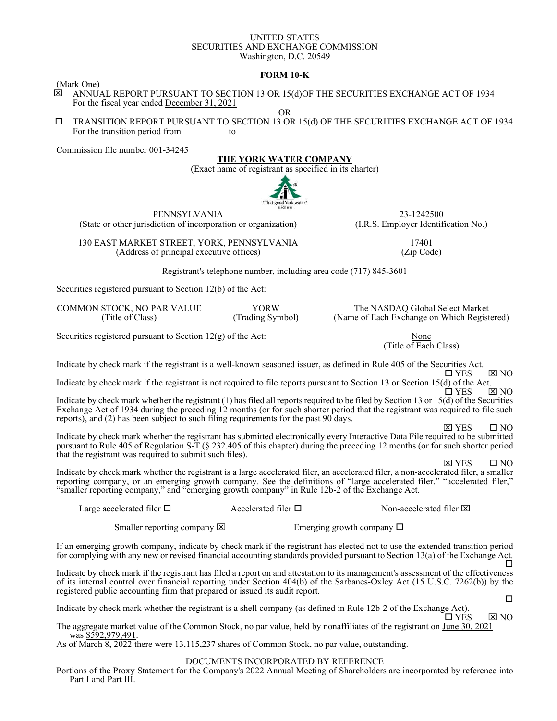#### UNITED STATES SECURITIES AND EXCHANGE COMMISSION Washington, D.C. 20549

**FORM 10-K**

(Mark One)

- $\boxtimes$  ANNUAL REPORT PURSUANT TO SECTION 13 OR 15(d)OF THE SECURITIES EXCHANGE ACT OF 1934 For the fiscal year ended December 31, 2021 OR
- TRANSITION REPORT PURSUANT TO SECTION 13 OR 15(d) OF THE SECURITIES EXCHANGE ACT OF 1934 For the transition period from to

Commission file number 001-34245

# **THE YORK WATER COMPANY**

(Exact name of registrant as specified in its charter)



(State or other jurisdiction of incorporation or organization)

130 EAST MARKET STREET, YORK, PENNSYLVANIA 17401 (Address of principal executive offices) (Zip Code)

PENNSYLVANIA<br>diction of incorporation or organization) (I.R.S. Employer Identification No.)

(Title of Each Class)

Registrant's telephone number, including area code (717) 845-3601

Securities registered pursuant to Section 12(b) of the Act:

| <b>COMMON STOCK, NO PAR VALUE</b> | YORW             | The NASDAO Global Select Market             |
|-----------------------------------|------------------|---------------------------------------------|
| Title of Class)                   | (Trading Symbol) | (Name of Each Exchange on Which Registered) |

Securities registered pursuant to Section 12(g) of the Act: None

Indicate by check mark if the registrant is a well-known seasoned issuer, as defined in Rule 405 of the Securities Act. **O** YES **EX** NO

Indicate by check mark if the registrant is not required to file reports pursuant to Section 13 or Section 15(d) of the Act.  $\Box$  YES  $\boxtimes$  NO

Indicate by check mark whether the registrant (1) has filed all reports required to be filed by Section 13 or 15(d) of the Securities Exchange Act of 1934 during the preceding 12 months (or for such shorter period that the registrant was required to file such reports), and (2) has been subject to such filing requirements for the past 90 days.

 $\boxtimes$  YES  $\Box$  NO Indicate by check mark whether the registrant has submitted electronically every Interactive Data File required to be submitted pursuant to Rule 405 of Regulation S-T (§ 232.405 of this chapter) during the preceding 12 months (or for such shorter period that the registrant was required to submit such files).

 $\boxtimes$  YES  $\Box$  NO

Indicate by check mark whether the registrant is a large accelerated filer, an accelerated filer, a non-accelerated filer, a smaller reporting company, or an emerging growth company. See the definitions of "large accelerated filer," "accelerated filer," "smaller reporting company," and "emerging growth company" in Rule 12b-2 of the Exchange Act.

Large accelerated filer  $\square$  Accelerated filer  $\square$  Non-accelerated filer  $\square$ 

Smaller reporting company  $\boxtimes$  Emerging growth company  $\Box$ 

If an emerging growth company, indicate by check mark if the registrant has elected not to use the extended transition period for complying with any new or revised financial accounting standards provided pursuant to Section 13(a) of the Exchange Act. □

Indicate by check mark if the registrant has filed a report on and attestation to its management's assessment of the effectiveness of its internal control over financial reporting under Section 404(b) of the Sarbanes-Oxley Act (15 U.S.C. 7262(b)) by the registered public accounting firm that prepared or issued its audit report.

Indicate by check mark whether the registrant is a shell company (as defined in Rule 12b-2 of the Exchange Act).

 $\Box$  YES  $\boxtimes$  NO The aggregate market value of the Common Stock, no par value, held by nonaffiliates of the registrant on <u>June 30, 2021</u> was \$592,979,491.

As of <u>March 8, 2022</u> there were  $13,115,237$  shares of Common Stock, no par value, outstanding.

# DOCUMENTS INCORPORATED BY REFERENCE

Portions of the Proxy Statement for the Company's 2022 Annual Meeting of Shareholders are incorporated by reference into Part I and Part III.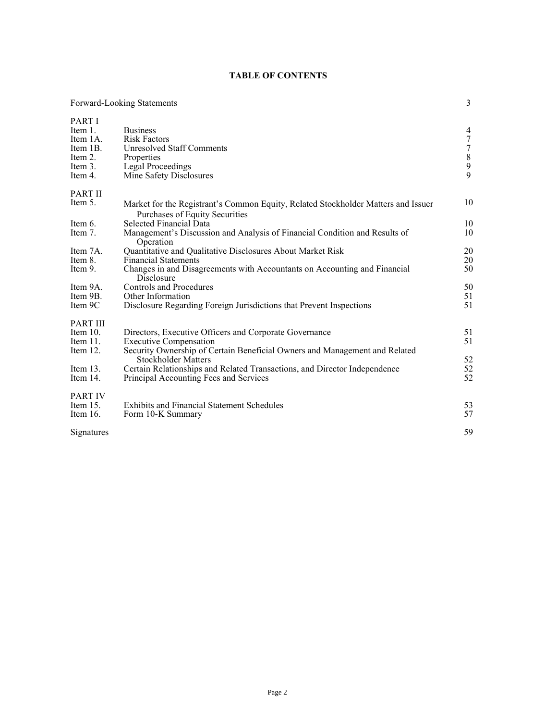# **TABLE OF CONTENTS**

|            | Forward-Looking Statements                                                              | $\overline{3}$ |
|------------|-----------------------------------------------------------------------------------------|----------------|
| PART I     |                                                                                         |                |
| Item 1.    | <b>Business</b>                                                                         | 4              |
| Item 1A.   | <b>Risk Factors</b>                                                                     |                |
| Item 1B.   | <b>Unresolved Staff Comments</b>                                                        |                |
| Item 2.    | Properties                                                                              |                |
| Item 3.    | <b>Legal Proceedings</b>                                                                | 77899          |
| Item 4.    | Mine Safety Disclosures                                                                 |                |
| PART II    |                                                                                         |                |
| Item 5.    | Market for the Registrant's Common Equity, Related Stockholder Matters and Issuer       | 10             |
|            | Purchases of Equity Securities                                                          |                |
| Item 6.    | Selected Financial Data                                                                 | 10             |
| Item 7.    | Management's Discussion and Analysis of Financial Condition and Results of<br>Operation | 10             |
| Item 7A.   | Quantitative and Qualitative Disclosures About Market Risk                              | 20             |
| Item 8.    | <b>Financial Statements</b>                                                             | 20             |
| Item 9.    | Changes in and Disagreements with Accountants on Accounting and Financial<br>Disclosure | 50             |
| Item 9A.   | <b>Controls and Procedures</b>                                                          | 50             |
| Item 9B.   | Other Information                                                                       | 51             |
| Item 9C    | Disclosure Regarding Foreign Jurisdictions that Prevent Inspections                     | 51             |
| PART III   |                                                                                         |                |
| Item 10.   | Directors, Executive Officers and Corporate Governance                                  | 51             |
| Item 11.   | <b>Executive Compensation</b>                                                           | 51             |
| Item 12.   | Security Ownership of Certain Beneficial Owners and Management and Related              |                |
|            | <b>Stockholder Matters</b>                                                              | 52             |
| Item 13.   | Certain Relationships and Related Transactions, and Director Independence               | 52             |
| Item 14.   | Principal Accounting Fees and Services                                                  | 52             |
| PART IV    |                                                                                         |                |
| Item 15.   | <b>Exhibits and Financial Statement Schedules</b>                                       | 53             |
| Item 16.   | Form 10-K Summary                                                                       | 57             |
| Signatures |                                                                                         | 59             |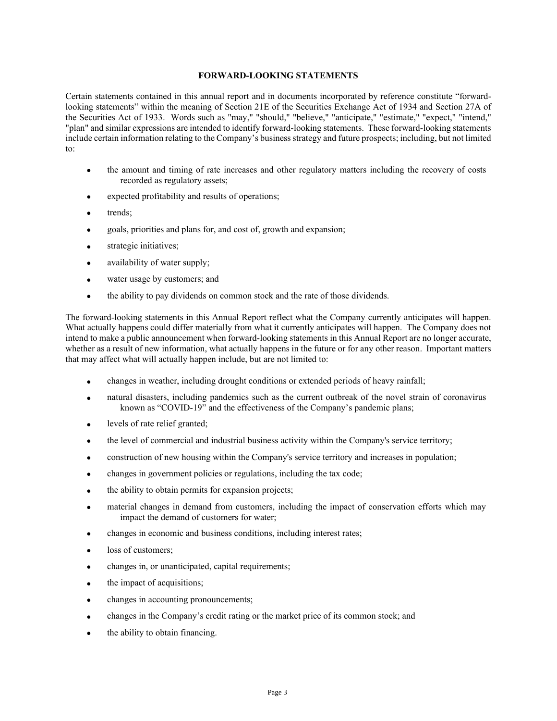# **FORWARD-LOOKING STATEMENTS**

Certain statements contained in this annual report and in documents incorporated by reference constitute "forwardlooking statements" within the meaning of Section 21E of the Securities Exchange Act of 1934 and Section 27A of the Securities Act of 1933. Words such as "may," "should," "believe," "anticipate," "estimate," "expect," "intend," "plan" and similar expressions are intended to identify forward-looking statements. These forward-looking statements include certain information relating to the Company's business strategy and future prospects; including, but not limited to:

- the amount and timing of rate increases and other regulatory matters including the recovery of costs recorded as regulatory assets;
- expected profitability and results of operations;
- trends;
- goals, priorities and plans for, and cost of, growth and expansion;
- strategic initiatives;
- availability of water supply;
- water usage by customers; and
- the ability to pay dividends on common stock and the rate of those dividends.

The forward-looking statements in this Annual Report reflect what the Company currently anticipates will happen. What actually happens could differ materially from what it currently anticipates will happen. The Company does not intend to make a public announcement when forward-looking statements in this Annual Report are no longer accurate, whether as a result of new information, what actually happens in the future or for any other reason. Important matters that may affect what will actually happen include, but are not limited to:

- changes in weather, including drought conditions or extended periods of heavy rainfall;
- natural disasters, including pandemics such as the current outbreak of the novel strain of coronavirus known as "COVID-19" and the effectiveness of the Company's pandemic plans;
- levels of rate relief granted;
- the level of commercial and industrial business activity within the Company's service territory;
- construction of new housing within the Company's service territory and increases in population;
- changes in government policies or regulations, including the tax code;
- the ability to obtain permits for expansion projects;
- material changes in demand from customers, including the impact of conservation efforts which may impact the demand of customers for water;
- changes in economic and business conditions, including interest rates;
- loss of customers;
- changes in, or unanticipated, capital requirements;
- the impact of acquisitions;
- changes in accounting pronouncements;
- changes in the Company's credit rating or the market price of its common stock; and
- the ability to obtain financing.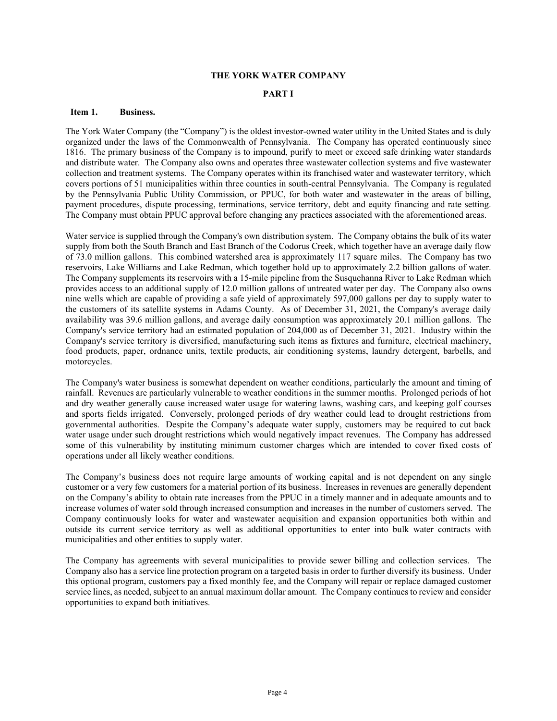#### **PART I**

#### **Item 1. Business.**

The York Water Company (the "Company") is the oldest investor-owned water utility in the United States and is duly organized under the laws of the Commonwealth of Pennsylvania. The Company has operated continuously since 1816. The primary business of the Company is to impound, purify to meet or exceed safe drinking water standards and distribute water. The Company also owns and operates three wastewater collection systems and five wastewater collection and treatment systems. The Company operates within its franchised water and wastewater territory, which covers portions of 51 municipalities within three counties in south-central Pennsylvania. The Company is regulated by the Pennsylvania Public Utility Commission, or PPUC, for both water and wastewater in the areas of billing, payment procedures, dispute processing, terminations, service territory, debt and equity financing and rate setting. The Company must obtain PPUC approval before changing any practices associated with the aforementioned areas.

Water service is supplied through the Company's own distribution system. The Company obtains the bulk of its water supply from both the South Branch and East Branch of the Codorus Creek, which together have an average daily flow of 73.0 million gallons. This combined watershed area is approximately 117 square miles. The Company has two reservoirs, Lake Williams and Lake Redman, which together hold up to approximately 2.2 billion gallons of water. The Company supplements its reservoirs with a 15-mile pipeline from the Susquehanna River to Lake Redman which provides access to an additional supply of 12.0 million gallons of untreated water per day. The Company also owns nine wells which are capable of providing a safe yield of approximately 597,000 gallons per day to supply water to the customers of its satellite systems in Adams County. As of December 31, 2021, the Company's average daily availability was 39.6 million gallons, and average daily consumption was approximately 20.1 million gallons. The Company's service territory had an estimated population of 204,000 as of December 31, 2021. Industry within the Company's service territory is diversified, manufacturing such items as fixtures and furniture, electrical machinery, food products, paper, ordnance units, textile products, air conditioning systems, laundry detergent, barbells, and motorcycles.

The Company's water business is somewhat dependent on weather conditions, particularly the amount and timing of rainfall. Revenues are particularly vulnerable to weather conditions in the summer months. Prolonged periods of hot and dry weather generally cause increased water usage for watering lawns, washing cars, and keeping golf courses and sports fields irrigated. Conversely, prolonged periods of dry weather could lead to drought restrictions from governmental authorities. Despite the Company's adequate water supply, customers may be required to cut back water usage under such drought restrictions which would negatively impact revenues. The Company has addressed some of this vulnerability by instituting minimum customer charges which are intended to cover fixed costs of operations under all likely weather conditions.

The Company's business does not require large amounts of working capital and is not dependent on any single customer or a very few customers for a material portion of its business. Increases in revenues are generally dependent on the Company's ability to obtain rate increases from the PPUC in a timely manner and in adequate amounts and to increase volumes of water sold through increased consumption and increases in the number of customers served. The Company continuously looks for water and wastewater acquisition and expansion opportunities both within and outside its current service territory as well as additional opportunities to enter into bulk water contracts with municipalities and other entities to supply water.

The Company has agreements with several municipalities to provide sewer billing and collection services. The Company also has a service line protection program on a targeted basis in order to further diversify its business. Under this optional program, customers pay a fixed monthly fee, and the Company will repair or replace damaged customer service lines, as needed, subject to an annual maximum dollar amount. The Company continues to review and consider opportunities to expand both initiatives.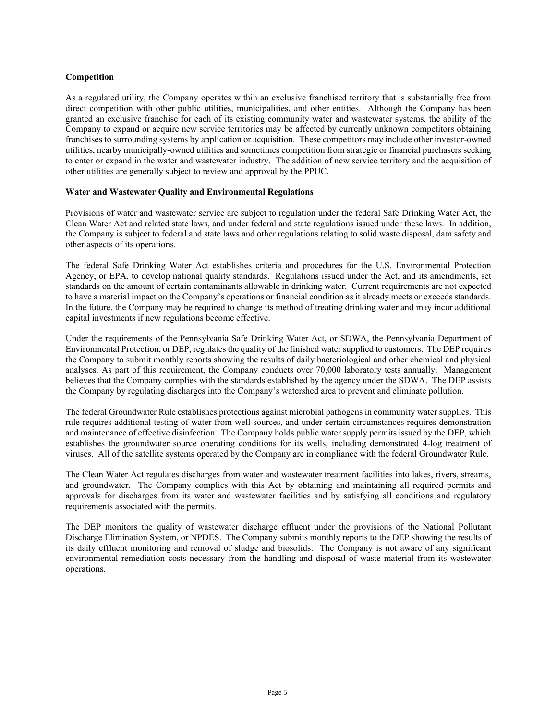### **Competition**

As a regulated utility, the Company operates within an exclusive franchised territory that is substantially free from direct competition with other public utilities, municipalities, and other entities. Although the Company has been granted an exclusive franchise for each of its existing community water and wastewater systems, the ability of the Company to expand or acquire new service territories may be affected by currently unknown competitors obtaining franchises to surrounding systems by application or acquisition. These competitors may include other investor-owned utilities, nearby municipally-owned utilities and sometimes competition from strategic or financial purchasers seeking to enter or expand in the water and wastewater industry. The addition of new service territory and the acquisition of other utilities are generally subject to review and approval by the PPUC.

# **Water and Wastewater Quality and Environmental Regulations**

Provisions of water and wastewater service are subject to regulation under the federal Safe Drinking Water Act, the Clean Water Act and related state laws, and under federal and state regulations issued under these laws. In addition, the Company is subject to federal and state laws and other regulations relating to solid waste disposal, dam safety and other aspects of its operations.

The federal Safe Drinking Water Act establishes criteria and procedures for the U.S. Environmental Protection Agency, or EPA, to develop national quality standards. Regulations issued under the Act, and its amendments, set standards on the amount of certain contaminants allowable in drinking water. Current requirements are not expected to have a material impact on the Company's operations or financial condition as it already meets or exceeds standards. In the future, the Company may be required to change its method of treating drinking water and may incur additional capital investments if new regulations become effective.

Under the requirements of the Pennsylvania Safe Drinking Water Act, or SDWA, the Pennsylvania Department of Environmental Protection, or DEP, regulates the quality of the finished water supplied to customers. The DEP requires the Company to submit monthly reports showing the results of daily bacteriological and other chemical and physical analyses. As part of this requirement, the Company conducts over 70,000 laboratory tests annually. Management believes that the Company complies with the standards established by the agency under the SDWA. The DEP assists the Company by regulating discharges into the Company's watershed area to prevent and eliminate pollution.

The federal Groundwater Rule establishes protections against microbial pathogens in community water supplies. This rule requires additional testing of water from well sources, and under certain circumstances requires demonstration and maintenance of effective disinfection. The Company holds public water supply permits issued by the DEP, which establishes the groundwater source operating conditions for its wells, including demonstrated 4-log treatment of viruses. All of the satellite systems operated by the Company are in compliance with the federal Groundwater Rule.

The Clean Water Act regulates discharges from water and wastewater treatment facilities into lakes, rivers, streams, and groundwater. The Company complies with this Act by obtaining and maintaining all required permits and approvals for discharges from its water and wastewater facilities and by satisfying all conditions and regulatory requirements associated with the permits.

The DEP monitors the quality of wastewater discharge effluent under the provisions of the National Pollutant Discharge Elimination System, or NPDES. The Company submits monthly reports to the DEP showing the results of its daily effluent monitoring and removal of sludge and biosolids. The Company is not aware of any significant environmental remediation costs necessary from the handling and disposal of waste material from its wastewater operations.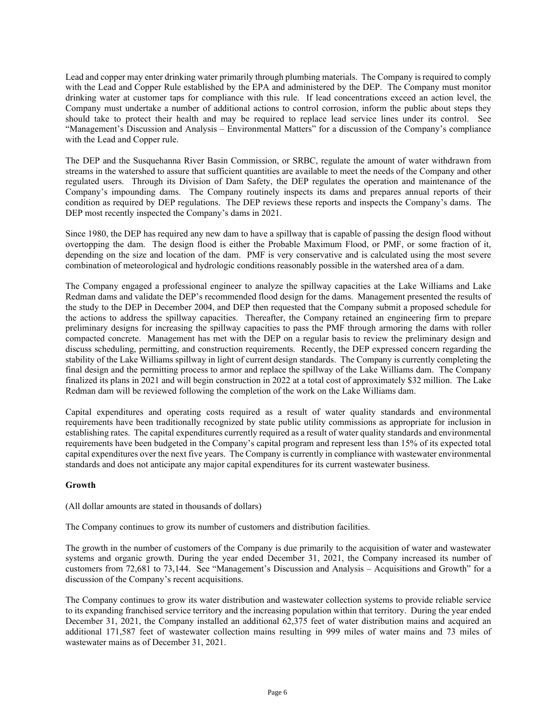Lead and copper may enter drinking water primarily through plumbing materials. The Company is required to comply with the Lead and Copper Rule established by the EPA and administered by the DEP. The Company must monitor drinking water at customer taps for compliance with this rule. If lead concentrations exceed an action level, the Company must undertake a number of additional actions to control corrosion, inform the public about steps they should take to protect their health and may be required to replace lead service lines under its control. See "Management's Discussion and Analysis – Environmental Matters" for a discussion of the Company's compliance with the Lead and Copper rule.

The DEP and the Susquehanna River Basin Commission, or SRBC, regulate the amount of water withdrawn from streams in the watershed to assure that sufficient quantities are available to meet the needs of the Company and other regulated users. Through its Division of Dam Safety, the DEP regulates the operation and maintenance of the Company's impounding dams. The Company routinely inspects its dams and prepares annual reports of their condition as required by DEP regulations. The DEP reviews these reports and inspects the Company's dams. The DEP most recently inspected the Company's dams in 2021.

Since 1980, the DEP has required any new dam to have a spillway that is capable of passing the design flood without overtopping the dam. The design flood is either the Probable Maximum Flood, or PMF, or some fraction of it, depending on the size and location of the dam. PMF is very conservative and is calculated using the most severe combination of meteorological and hydrologic conditions reasonably possible in the watershed area of a dam.

The Company engaged a professional engineer to analyze the spillway capacities at the Lake Williams and Lake Redman dams and validate the DEP's recommended flood design for the dams. Management presented the results of the study to the DEP in December 2004, and DEP then requested that the Company submit a proposed schedule for the actions to address the spillway capacities. Thereafter, the Company retained an engineering firm to prepare preliminary designs for increasing the spillway capacities to pass the PMF through armoring the dams with roller compacted concrete. Management has met with the DEP on a regular basis to review the preliminary design and discuss scheduling, permitting, and construction requirements. Recently, the DEP expressed concern regarding the stability of the Lake Williams spillway in light of current design standards. The Company is currently completing the final design and the permitting process to armor and replace the spillway of the Lake Williams dam. The Company finalized its plans in 2021 and will begin construction in 2022 at a total cost of approximately \$32 million. The Lake Redman dam will be reviewed following the completion of the work on the Lake Williams dam.

Capital expenditures and operating costs required as a result of water quality standards and environmental requirements have been traditionally recognized by state public utility commissions as appropriate for inclusion in establishing rates. The capital expenditures currently required as a result of water quality standards and environmental requirements have been budgeted in the Company's capital program and represent less than 15% of its expected total capital expenditures over the next five years. The Company is currently in compliance with wastewater environmental standards and does not anticipate any major capital expenditures for its current wastewater business.

# **Growth**

(All dollar amounts are stated in thousands of dollars)

The Company continues to grow its number of customers and distribution facilities.

The growth in the number of customers of the Company is due primarily to the acquisition of water and wastewater systems and organic growth. During the year ended December 31, 2021, the Company increased its number of customers from 72,681 to 73,144. See "Management's Discussion and Analysis – Acquisitions and Growth" for a discussion of the Company's recent acquisitions.

The Company continues to grow its water distribution and wastewater collection systems to provide reliable service to its expanding franchised service territory and the increasing population within that territory. During the year ended December 31, 2021, the Company installed an additional 62,375 feet of water distribution mains and acquired an additional 171,587 feet of wastewater collection mains resulting in 999 miles of water mains and 73 miles of wastewater mains as of December 31, 2021.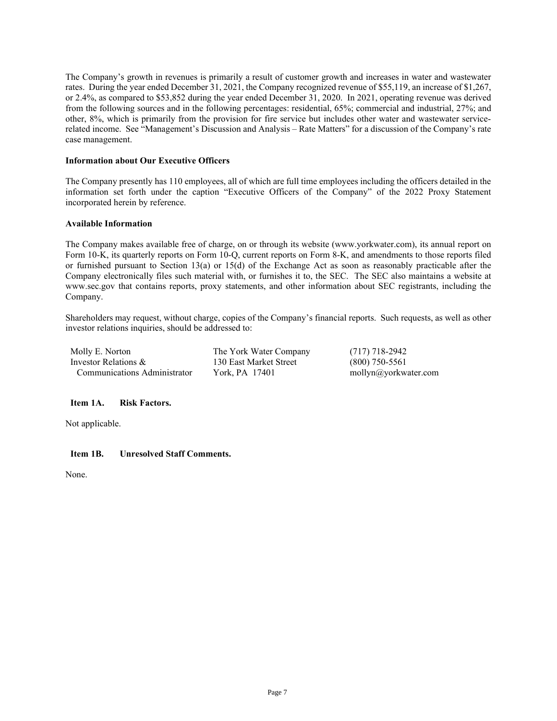The Company's growth in revenues is primarily a result of customer growth and increases in water and wastewater rates. During the year ended December 31, 2021, the Company recognized revenue of \$55,119, an increase of \$1,267, or 2.4%, as compared to \$53,852 during the year ended December 31, 2020. In 2021, operating revenue was derived from the following sources and in the following percentages: residential, 65%; commercial and industrial, 27%; and other, 8%, which is primarily from the provision for fire service but includes other water and wastewater servicerelated income. See "Management's Discussion and Analysis – Rate Matters" for a discussion of the Company's rate case management.

# **Information about Our Executive Officers**

The Company presently has 110 employees, all of which are full time employees including the officers detailed in the information set forth under the caption "Executive Officers of the Company" of the 2022 Proxy Statement incorporated herein by reference.

# **Available Information**

The Company makes available free of charge, on or through its website (www.yorkwater.com), its annual report on Form 10-K, its quarterly reports on Form 10-Q, current reports on Form 8-K, and amendments to those reports filed or furnished pursuant to Section 13(a) or 15(d) of the Exchange Act as soon as reasonably practicable after the Company electronically files such material with, or furnishes it to, the SEC. The SEC also maintains a website at www.sec.gov that contains reports, proxy statements, and other information about SEC registrants, including the Company.

Shareholders may request, without charge, copies of the Company's financial reports. Such requests, as well as other investor relations inquiries, should be addressed to:

| Molly E. Norton              | The York Water Company | (717) 718-2942       |
|------------------------------|------------------------|----------------------|
| Investor Relations &         | 130 East Market Street | $(800)$ 750-5561     |
| Communications Administrator | York, PA 17401         | mollyn@yorkwater.com |

# **Item 1A. Risk Factors.**

Not applicable.

# **Item 1B. Unresolved Staff Comments.**

None.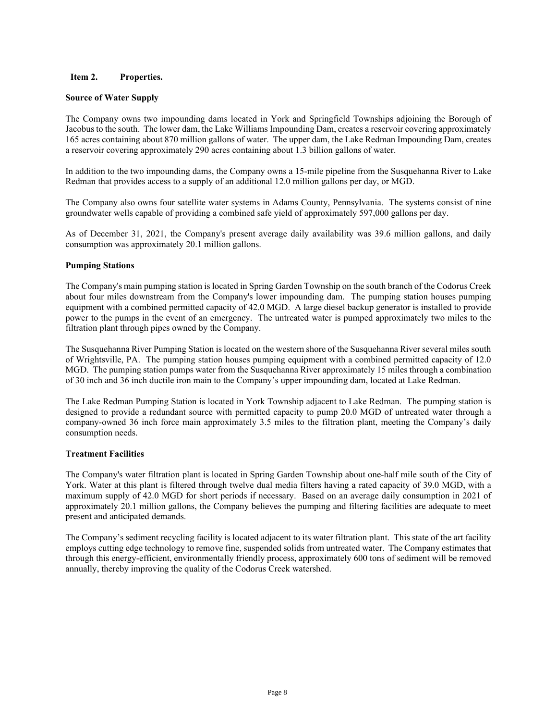# **Item 2. Properties.**

#### **Source of Water Supply**

The Company owns two impounding dams located in York and Springfield Townships adjoining the Borough of Jacobus to the south. The lower dam, the Lake Williams Impounding Dam, creates a reservoir covering approximately 165 acres containing about 870 million gallons of water. The upper dam, the Lake Redman Impounding Dam, creates a reservoir covering approximately 290 acres containing about 1.3 billion gallons of water.

In addition to the two impounding dams, the Company owns a 15-mile pipeline from the Susquehanna River to Lake Redman that provides access to a supply of an additional 12.0 million gallons per day, or MGD.

The Company also owns four satellite water systems in Adams County, Pennsylvania. The systems consist of nine groundwater wells capable of providing a combined safe yield of approximately 597,000 gallons per day.

As of December 31, 2021, the Company's present average daily availability was 39.6 million gallons, and daily consumption was approximately 20.1 million gallons.

### **Pumping Stations**

The Company's main pumping station is located in Spring Garden Township on the south branch of the Codorus Creek about four miles downstream from the Company's lower impounding dam. The pumping station houses pumping equipment with a combined permitted capacity of 42.0 MGD. A large diesel backup generator is installed to provide power to the pumps in the event of an emergency. The untreated water is pumped approximately two miles to the filtration plant through pipes owned by the Company.

The Susquehanna River Pumping Station is located on the western shore of the Susquehanna River several miles south of Wrightsville, PA. The pumping station houses pumping equipment with a combined permitted capacity of 12.0 MGD. The pumping station pumps water from the Susquehanna River approximately 15 miles through a combination of 30 inch and 36 inch ductile iron main to the Company's upper impounding dam, located at Lake Redman.

The Lake Redman Pumping Station is located in York Township adjacent to Lake Redman. The pumping station is designed to provide a redundant source with permitted capacity to pump 20.0 MGD of untreated water through a company-owned 36 inch force main approximately 3.5 miles to the filtration plant, meeting the Company's daily consumption needs.

#### **Treatment Facilities**

The Company's water filtration plant is located in Spring Garden Township about one-half mile south of the City of York. Water at this plant is filtered through twelve dual media filters having a rated capacity of 39.0 MGD, with a maximum supply of 42.0 MGD for short periods if necessary. Based on an average daily consumption in 2021 of approximately 20.1 million gallons, the Company believes the pumping and filtering facilities are adequate to meet present and anticipated demands.

The Company's sediment recycling facility is located adjacent to its water filtration plant. This state of the art facility employs cutting edge technology to remove fine, suspended solids from untreated water. The Company estimates that through this energy-efficient, environmentally friendly process, approximately 600 tons of sediment will be removed annually, thereby improving the quality of the Codorus Creek watershed.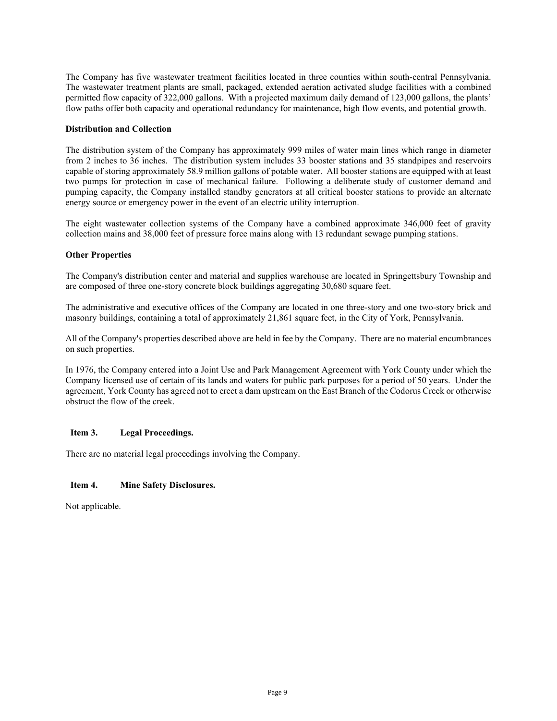The Company has five wastewater treatment facilities located in three counties within south-central Pennsylvania. The wastewater treatment plants are small, packaged, extended aeration activated sludge facilities with a combined permitted flow capacity of 322,000 gallons. With a projected maximum daily demand of 123,000 gallons, the plants' flow paths offer both capacity and operational redundancy for maintenance, high flow events, and potential growth.

# **Distribution and Collection**

The distribution system of the Company has approximately 999 miles of water main lines which range in diameter from 2 inches to 36 inches. The distribution system includes 33 booster stations and 35 standpipes and reservoirs capable of storing approximately 58.9 million gallons of potable water. All booster stations are equipped with at least two pumps for protection in case of mechanical failure. Following a deliberate study of customer demand and pumping capacity, the Company installed standby generators at all critical booster stations to provide an alternate energy source or emergency power in the event of an electric utility interruption.

The eight wastewater collection systems of the Company have a combined approximate 346,000 feet of gravity collection mains and 38,000 feet of pressure force mains along with 13 redundant sewage pumping stations.

# **Other Properties**

The Company's distribution center and material and supplies warehouse are located in Springettsbury Township and are composed of three one-story concrete block buildings aggregating 30,680 square feet.

The administrative and executive offices of the Company are located in one three-story and one two-story brick and masonry buildings, containing a total of approximately 21,861 square feet, in the City of York, Pennsylvania.

All of the Company's properties described above are held in fee by the Company. There are no material encumbrances on such properties.

In 1976, the Company entered into a Joint Use and Park Management Agreement with York County under which the Company licensed use of certain of its lands and waters for public park purposes for a period of 50 years. Under the agreement, York County has agreed not to erect a dam upstream on the East Branch of the Codorus Creek or otherwise obstruct the flow of the creek.

# **Item 3. Legal Proceedings.**

There are no material legal proceedings involving the Company.

# **Item 4. Mine Safety Disclosures.**

Not applicable.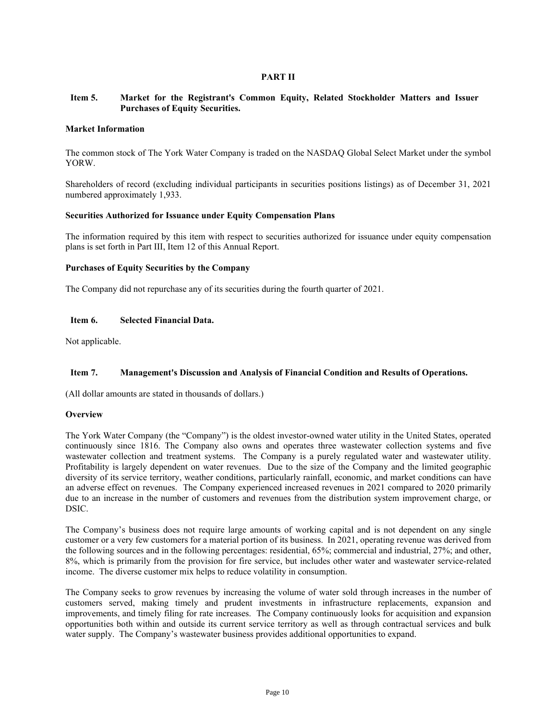# **PART II**

### **Item 5. Market for the Registrant's Common Equity, Related Stockholder Matters and Issuer Purchases of Equity Securities.**

#### **Market Information**

The common stock of The York Water Company is traded on the NASDAQ Global Select Market under the symbol YORW.

Shareholders of record (excluding individual participants in securities positions listings) as of December 31, 2021 numbered approximately 1,933.

#### **Securities Authorized for Issuance under Equity Compensation Plans**

The information required by this item with respect to securities authorized for issuance under equity compensation plans is set forth in Part III, Item 12 of this Annual Report.

#### **Purchases of Equity Securities by the Company**

The Company did not repurchase any of its securities during the fourth quarter of 2021.

#### **Item 6. Selected Financial Data.**

Not applicable.

#### **Item 7. Management's Discussion and Analysis of Financial Condition and Results of Operations.**

(All dollar amounts are stated in thousands of dollars.)

#### **Overview**

The York Water Company (the "Company") is the oldest investor-owned water utility in the United States, operated continuously since 1816. The Company also owns and operates three wastewater collection systems and five wastewater collection and treatment systems. The Company is a purely regulated water and wastewater utility. Profitability is largely dependent on water revenues. Due to the size of the Company and the limited geographic diversity of its service territory, weather conditions, particularly rainfall, economic, and market conditions can have an adverse effect on revenues. The Company experienced increased revenues in 2021 compared to 2020 primarily due to an increase in the number of customers and revenues from the distribution system improvement charge, or DSIC.

The Company's business does not require large amounts of working capital and is not dependent on any single customer or a very few customers for a material portion of its business. In 2021, operating revenue was derived from the following sources and in the following percentages: residential, 65%; commercial and industrial, 27%; and other, 8%, which is primarily from the provision for fire service, but includes other water and wastewater service-related income. The diverse customer mix helps to reduce volatility in consumption.

The Company seeks to grow revenues by increasing the volume of water sold through increases in the number of customers served, making timely and prudent investments in infrastructure replacements, expansion and improvements, and timely filing for rate increases. The Company continuously looks for acquisition and expansion opportunities both within and outside its current service territory as well as through contractual services and bulk water supply. The Company's wastewater business provides additional opportunities to expand.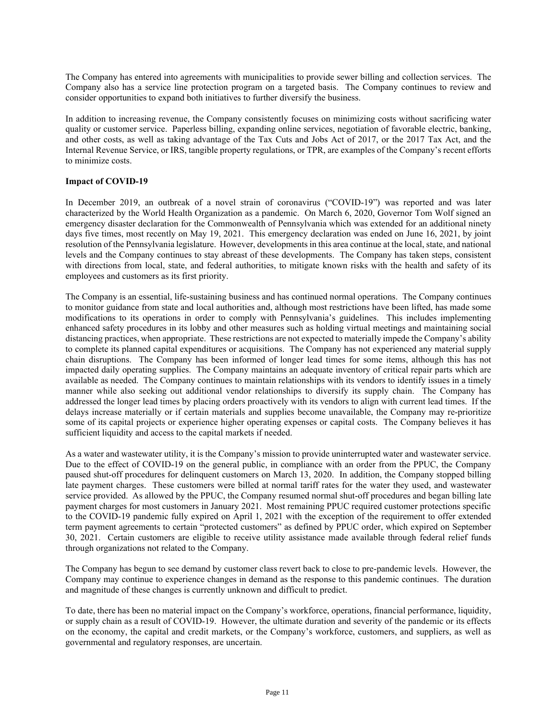The Company has entered into agreements with municipalities to provide sewer billing and collection services. The Company also has a service line protection program on a targeted basis. The Company continues to review and consider opportunities to expand both initiatives to further diversify the business.

In addition to increasing revenue, the Company consistently focuses on minimizing costs without sacrificing water quality or customer service. Paperless billing, expanding online services, negotiation of favorable electric, banking, and other costs, as well as taking advantage of the Tax Cuts and Jobs Act of 2017, or the 2017 Tax Act, and the Internal Revenue Service, or IRS, tangible property regulations, or TPR, are examples of the Company's recent efforts to minimize costs.

# **Impact of COVID-19**

In December 2019, an outbreak of a novel strain of coronavirus ("COVID-19") was reported and was later characterized by the World Health Organization as a pandemic. On March 6, 2020, Governor Tom Wolf signed an emergency disaster declaration for the Commonwealth of Pennsylvania which was extended for an additional ninety days five times, most recently on May 19, 2021. This emergency declaration was ended on June 16, 2021, by joint resolution of the Pennsylvania legislature. However, developments in this area continue at the local, state, and national levels and the Company continues to stay abreast of these developments. The Company has taken steps, consistent with directions from local, state, and federal authorities, to mitigate known risks with the health and safety of its employees and customers as its first priority.

The Company is an essential, life-sustaining business and has continued normal operations. The Company continues to monitor guidance from state and local authorities and, although most restrictions have been lifted, has made some modifications to its operations in order to comply with Pennsylvania's guidelines. This includes implementing enhanced safety procedures in its lobby and other measures such as holding virtual meetings and maintaining social distancing practices, when appropriate. These restrictions are not expected to materially impede the Company's ability to complete its planned capital expenditures or acquisitions. The Company has not experienced any material supply chain disruptions. The Company has been informed of longer lead times for some items, although this has not impacted daily operating supplies. The Company maintains an adequate inventory of critical repair parts which are available as needed. The Company continues to maintain relationships with its vendors to identify issues in a timely manner while also seeking out additional vendor relationships to diversify its supply chain. The Company has addressed the longer lead times by placing orders proactively with its vendors to align with current lead times. If the delays increase materially or if certain materials and supplies become unavailable, the Company may re-prioritize some of its capital projects or experience higher operating expenses or capital costs. The Company believes it has sufficient liquidity and access to the capital markets if needed.

As a water and wastewater utility, it is the Company's mission to provide uninterrupted water and wastewater service. Due to the effect of COVID-19 on the general public, in compliance with an order from the PPUC, the Company paused shut-off procedures for delinquent customers on March 13, 2020. In addition, the Company stopped billing late payment charges. These customers were billed at normal tariff rates for the water they used, and wastewater service provided. As allowed by the PPUC, the Company resumed normal shut-off procedures and began billing late payment charges for most customers in January 2021. Most remaining PPUC required customer protections specific to the COVID-19 pandemic fully expired on April 1, 2021 with the exception of the requirement to offer extended term payment agreements to certain "protected customers" as defined by PPUC order, which expired on September 30, 2021. Certain customers are eligible to receive utility assistance made available through federal relief funds through organizations not related to the Company.

The Company has begun to see demand by customer class revert back to close to pre-pandemic levels. However, the Company may continue to experience changes in demand as the response to this pandemic continues. The duration and magnitude of these changes is currently unknown and difficult to predict.

To date, there has been no material impact on the Company's workforce, operations, financial performance, liquidity, or supply chain as a result of COVID-19. However, the ultimate duration and severity of the pandemic or its effects on the economy, the capital and credit markets, or the Company's workforce, customers, and suppliers, as well as governmental and regulatory responses, are uncertain.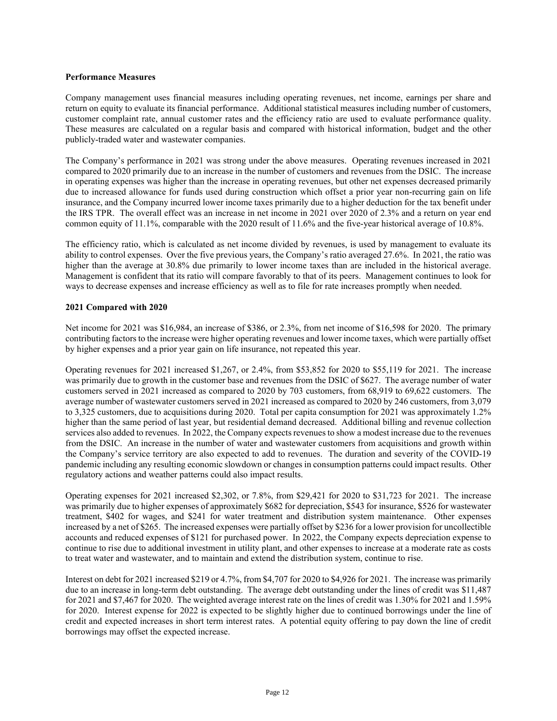# **Performance Measures**

Company management uses financial measures including operating revenues, net income, earnings per share and return on equity to evaluate its financial performance. Additional statistical measures including number of customers, customer complaint rate, annual customer rates and the efficiency ratio are used to evaluate performance quality. These measures are calculated on a regular basis and compared with historical information, budget and the other publicly-traded water and wastewater companies.

The Company's performance in 2021 was strong under the above measures. Operating revenues increased in 2021 compared to 2020 primarily due to an increase in the number of customers and revenues from the DSIC. The increase in operating expenses was higher than the increase in operating revenues, but other net expenses decreased primarily due to increased allowance for funds used during construction which offset a prior year non-recurring gain on life insurance, and the Company incurred lower income taxes primarily due to a higher deduction for the tax benefit under the IRS TPR. The overall effect was an increase in net income in 2021 over 2020 of 2.3% and a return on year end common equity of 11.1%, comparable with the 2020 result of 11.6% and the five-year historical average of 10.8%.

The efficiency ratio, which is calculated as net income divided by revenues, is used by management to evaluate its ability to control expenses. Over the five previous years, the Company's ratio averaged 27.6%. In 2021, the ratio was higher than the average at 30.8% due primarily to lower income taxes than are included in the historical average. Management is confident that its ratio will compare favorably to that of its peers. Management continues to look for ways to decrease expenses and increase efficiency as well as to file for rate increases promptly when needed.

# **2021 Compared with 2020**

Net income for 2021 was \$16,984, an increase of \$386, or 2.3%, from net income of \$16,598 for 2020. The primary contributing factors to the increase were higher operating revenues and lower income taxes, which were partially offset by higher expenses and a prior year gain on life insurance, not repeated this year.

Operating revenues for 2021 increased \$1,267, or 2.4%, from \$53,852 for 2020 to \$55,119 for 2021. The increase was primarily due to growth in the customer base and revenues from the DSIC of \$627. The average number of water customers served in 2021 increased as compared to 2020 by 703 customers, from 68,919 to 69,622 customers. The average number of wastewater customers served in 2021 increased as compared to 2020 by 246 customers, from 3,079 to 3,325 customers, due to acquisitions during 2020. Total per capita consumption for 2021 was approximately 1.2% higher than the same period of last year, but residential demand decreased. Additional billing and revenue collection services also added to revenues. In 2022, the Company expects revenues to show a modest increase due to the revenues from the DSIC. An increase in the number of water and wastewater customers from acquisitions and growth within the Company's service territory are also expected to add to revenues. The duration and severity of the COVID-19 pandemic including any resulting economic slowdown or changes in consumption patterns could impact results. Other regulatory actions and weather patterns could also impact results.

Operating expenses for 2021 increased \$2,302, or 7.8%, from \$29,421 for 2020 to \$31,723 for 2021. The increase was primarily due to higher expenses of approximately \$682 for depreciation, \$543 for insurance, \$526 for wastewater treatment, \$402 for wages, and \$241 for water treatment and distribution system maintenance. Other expenses increased by a net of \$265. The increased expenses were partially offset by \$236 for a lower provision for uncollectible accounts and reduced expenses of \$121 for purchased power. In 2022, the Company expects depreciation expense to continue to rise due to additional investment in utility plant, and other expenses to increase at a moderate rate as costs to treat water and wastewater, and to maintain and extend the distribution system, continue to rise.

Interest on debt for 2021 increased \$219 or 4.7%, from \$4,707 for 2020 to \$4,926 for 2021. The increase was primarily due to an increase in long-term debt outstanding. The average debt outstanding under the lines of credit was \$11,487 for 2021 and \$7,467 for 2020. The weighted average interest rate on the lines of credit was 1.30% for 2021 and 1.59% for 2020. Interest expense for 2022 is expected to be slightly higher due to continued borrowings under the line of credit and expected increases in short term interest rates. A potential equity offering to pay down the line of credit borrowings may offset the expected increase.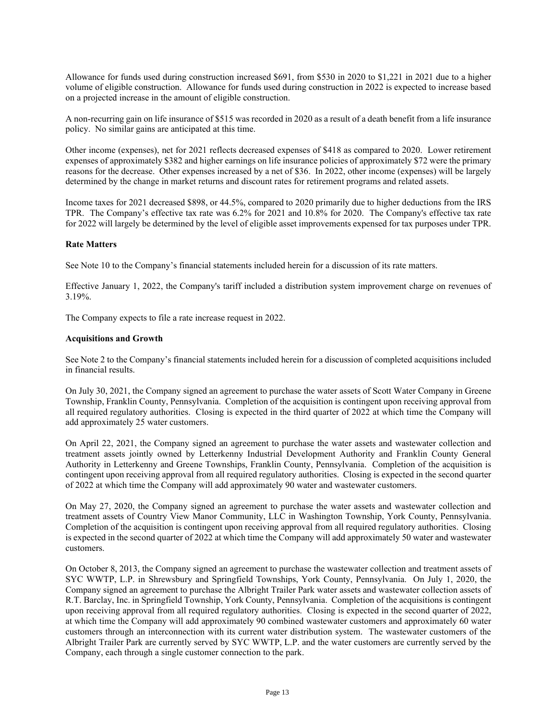Allowance for funds used during construction increased \$691, from \$530 in 2020 to \$1,221 in 2021 due to a higher volume of eligible construction. Allowance for funds used during construction in 2022 is expected to increase based on a projected increase in the amount of eligible construction.

A non-recurring gain on life insurance of \$515 was recorded in 2020 as a result of a death benefit from a life insurance policy. No similar gains are anticipated at this time.

Other income (expenses), net for 2021 reflects decreased expenses of \$418 as compared to 2020. Lower retirement expenses of approximately \$382 and higher earnings on life insurance policies of approximately \$72 were the primary reasons for the decrease. Other expenses increased by a net of \$36. In 2022, other income (expenses) will be largely determined by the change in market returns and discount rates for retirement programs and related assets.

Income taxes for 2021 decreased \$898, or 44.5%, compared to 2020 primarily due to higher deductions from the IRS TPR. The Company's effective tax rate was 6.2% for 2021 and 10.8% for 2020. The Company's effective tax rate for 2022 will largely be determined by the level of eligible asset improvements expensed for tax purposes under TPR.

# **Rate Matters**

See Note 10 to the Company's financial statements included herein for a discussion of its rate matters.

Effective January 1, 2022, the Company's tariff included a distribution system improvement charge on revenues of 3.19%.

The Company expects to file a rate increase request in 2022.

# **Acquisitions and Growth**

See Note 2 to the Company's financial statements included herein for a discussion of completed acquisitions included in financial results.

On July 30, 2021, the Company signed an agreement to purchase the water assets of Scott Water Company in Greene Township, Franklin County, Pennsylvania. Completion of the acquisition is contingent upon receiving approval from all required regulatory authorities. Closing is expected in the third quarter of 2022 at which time the Company will add approximately 25 water customers.

On April 22, 2021, the Company signed an agreement to purchase the water assets and wastewater collection and treatment assets jointly owned by Letterkenny Industrial Development Authority and Franklin County General Authority in Letterkenny and Greene Townships, Franklin County, Pennsylvania. Completion of the acquisition is contingent upon receiving approval from all required regulatory authorities. Closing is expected in the second quarter of 2022 at which time the Company will add approximately 90 water and wastewater customers.

On May 27, 2020, the Company signed an agreement to purchase the water assets and wastewater collection and treatment assets of Country View Manor Community, LLC in Washington Township, York County, Pennsylvania. Completion of the acquisition is contingent upon receiving approval from all required regulatory authorities. Closing is expected in the second quarter of 2022 at which time the Company will add approximately 50 water and wastewater customers.

On October 8, 2013, the Company signed an agreement to purchase the wastewater collection and treatment assets of SYC WWTP, L.P. in Shrewsbury and Springfield Townships, York County, Pennsylvania. On July 1, 2020, the Company signed an agreement to purchase the Albright Trailer Park water assets and wastewater collection assets of R.T. Barclay, Inc. in Springfield Township, York County, Pennsylvania. Completion of the acquisitions is contingent upon receiving approval from all required regulatory authorities. Closing is expected in the second quarter of 2022, at which time the Company will add approximately 90 combined wastewater customers and approximately 60 water customers through an interconnection with its current water distribution system. The wastewater customers of the Albright Trailer Park are currently served by SYC WWTP, L.P. and the water customers are currently served by the Company, each through a single customer connection to the park.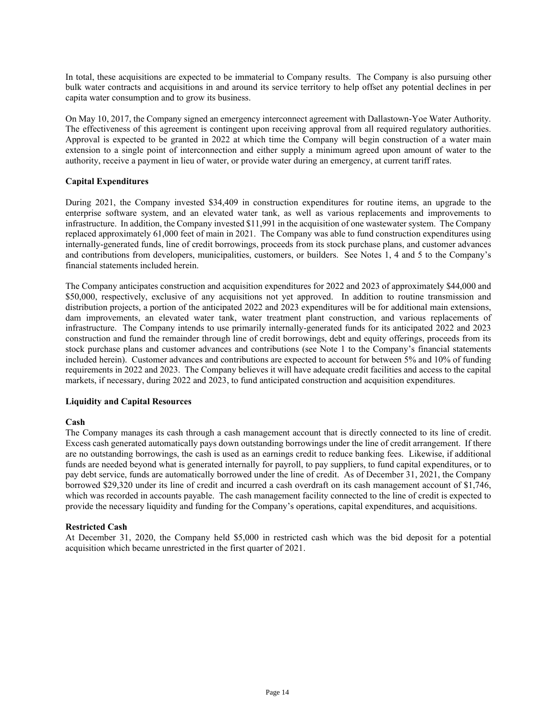In total, these acquisitions are expected to be immaterial to Company results. The Company is also pursuing other bulk water contracts and acquisitions in and around its service territory to help offset any potential declines in per capita water consumption and to grow its business.

On May 10, 2017, the Company signed an emergency interconnect agreement with Dallastown-Yoe Water Authority. The effectiveness of this agreement is contingent upon receiving approval from all required regulatory authorities. Approval is expected to be granted in 2022 at which time the Company will begin construction of a water main extension to a single point of interconnection and either supply a minimum agreed upon amount of water to the authority, receive a payment in lieu of water, or provide water during an emergency, at current tariff rates.

# **Capital Expenditures**

During 2021, the Company invested \$34,409 in construction expenditures for routine items, an upgrade to the enterprise software system, and an elevated water tank, as well as various replacements and improvements to infrastructure. In addition, the Company invested \$11,991 in the acquisition of one wastewater system. The Company replaced approximately 61,000 feet of main in 2021. The Company was able to fund construction expenditures using internally-generated funds, line of credit borrowings, proceeds from its stock purchase plans, and customer advances and contributions from developers, municipalities, customers, or builders. See Notes 1, 4 and 5 to the Company's financial statements included herein.

The Company anticipates construction and acquisition expenditures for 2022 and 2023 of approximately \$44,000 and \$50,000, respectively, exclusive of any acquisitions not yet approved. In addition to routine transmission and distribution projects, a portion of the anticipated 2022 and 2023 expenditures will be for additional main extensions, dam improvements, an elevated water tank, water treatment plant construction, and various replacements of infrastructure. The Company intends to use primarily internally-generated funds for its anticipated 2022 and 2023 construction and fund the remainder through line of credit borrowings, debt and equity offerings, proceeds from its stock purchase plans and customer advances and contributions (see Note 1 to the Company's financial statements included herein). Customer advances and contributions are expected to account for between 5% and 10% of funding requirements in 2022 and 2023. The Company believes it will have adequate credit facilities and access to the capital markets, if necessary, during 2022 and 2023, to fund anticipated construction and acquisition expenditures.

#### **Liquidity and Capital Resources**

# **Cash**

The Company manages its cash through a cash management account that is directly connected to its line of credit. Excess cash generated automatically pays down outstanding borrowings under the line of credit arrangement. If there are no outstanding borrowings, the cash is used as an earnings credit to reduce banking fees. Likewise, if additional funds are needed beyond what is generated internally for payroll, to pay suppliers, to fund capital expenditures, or to pay debt service, funds are automatically borrowed under the line of credit. As of December 31, 2021, the Company borrowed \$29,320 under its line of credit and incurred a cash overdraft on its cash management account of \$1,746, which was recorded in accounts payable. The cash management facility connected to the line of credit is expected to provide the necessary liquidity and funding for the Company's operations, capital expenditures, and acquisitions.

# **Restricted Cash**

At December 31, 2020, the Company held \$5,000 in restricted cash which was the bid deposit for a potential acquisition which became unrestricted in the first quarter of 2021.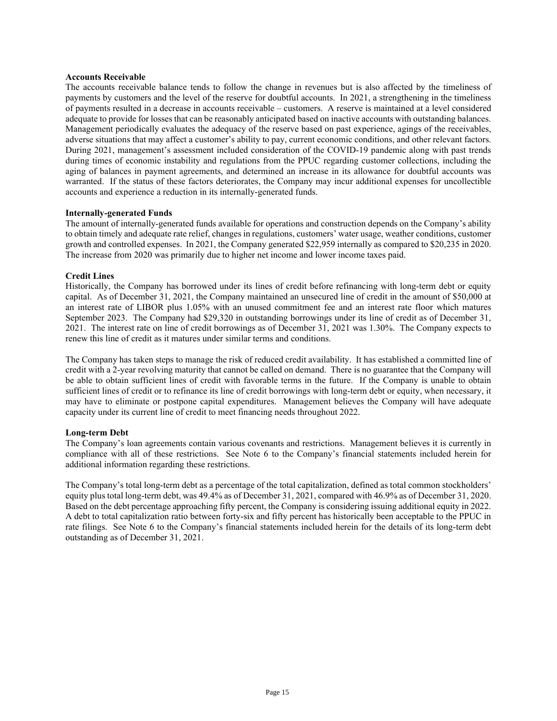#### **Accounts Receivable**

The accounts receivable balance tends to follow the change in revenues but is also affected by the timeliness of payments by customers and the level of the reserve for doubtful accounts. In 2021, a strengthening in the timeliness of payments resulted in a decrease in accounts receivable – customers. A reserve is maintained at a level considered adequate to provide for losses that can be reasonably anticipated based on inactive accounts with outstanding balances. Management periodically evaluates the adequacy of the reserve based on past experience, agings of the receivables, adverse situations that may affect a customer's ability to pay, current economic conditions, and other relevant factors. During 2021, management's assessment included consideration of the COVID-19 pandemic along with past trends during times of economic instability and regulations from the PPUC regarding customer collections, including the aging of balances in payment agreements, and determined an increase in its allowance for doubtful accounts was warranted. If the status of these factors deteriorates, the Company may incur additional expenses for uncollectible accounts and experience a reduction in its internally-generated funds.

#### **Internally-generated Funds**

The amount of internally-generated funds available for operations and construction depends on the Company's ability to obtain timely and adequate rate relief, changes in regulations, customers' water usage, weather conditions, customer growth and controlled expenses. In 2021, the Company generated \$22,959 internally as compared to \$20,235 in 2020. The increase from 2020 was primarily due to higher net income and lower income taxes paid.

# **Credit Lines**

Historically, the Company has borrowed under its lines of credit before refinancing with long-term debt or equity capital. As of December 31, 2021, the Company maintained an unsecured line of credit in the amount of \$50,000 at an interest rate of LIBOR plus 1.05% with an unused commitment fee and an interest rate floor which matures September 2023. The Company had \$29,320 in outstanding borrowings under its line of credit as of December 31, 2021. The interest rate on line of credit borrowings as of December 31, 2021 was 1.30%. The Company expects to renew this line of credit as it matures under similar terms and conditions.

The Company has taken steps to manage the risk of reduced credit availability. It has established a committed line of credit with a 2-year revolving maturity that cannot be called on demand. There is no guarantee that the Company will be able to obtain sufficient lines of credit with favorable terms in the future. If the Company is unable to obtain sufficient lines of credit or to refinance its line of credit borrowings with long-term debt or equity, when necessary, it may have to eliminate or postpone capital expenditures. Management believes the Company will have adequate capacity under its current line of credit to meet financing needs throughout 2022.

#### **Long-term Debt**

The Company's loan agreements contain various covenants and restrictions. Management believes it is currently in compliance with all of these restrictions. See Note 6 to the Company's financial statements included herein for additional information regarding these restrictions.

The Company's total long-term debt as a percentage of the total capitalization, defined as total common stockholders' equity plus total long-term debt, was 49.4% as of December 31, 2021, compared with 46.9% as of December 31, 2020. Based on the debt percentage approaching fifty percent, the Company is considering issuing additional equity in 2022. A debt to total capitalization ratio between forty-six and fifty percent has historically been acceptable to the PPUC in rate filings. See Note 6 to the Company's financial statements included herein for the details of its long-term debt outstanding as of December 31, 2021.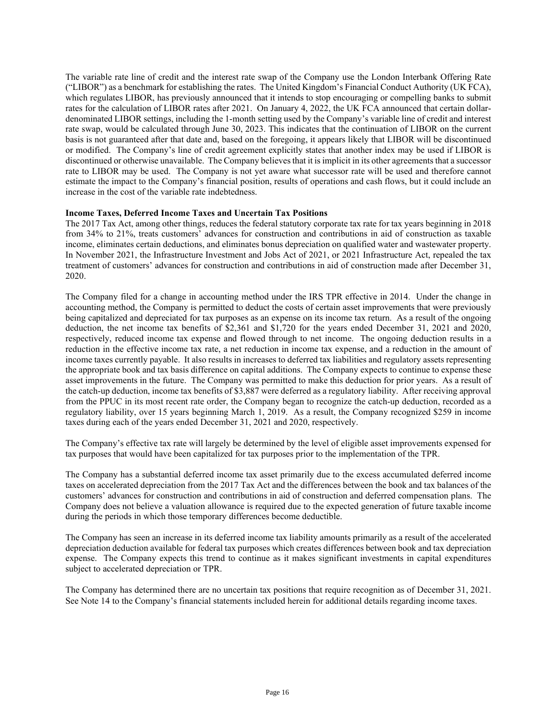The variable rate line of credit and the interest rate swap of the Company use the London Interbank Offering Rate ("LIBOR") as a benchmark for establishing the rates. The United Kingdom's Financial Conduct Authority (UK FCA), which regulates LIBOR, has previously announced that it intends to stop encouraging or compelling banks to submit rates for the calculation of LIBOR rates after 2021. On January 4, 2022, the UK FCA announced that certain dollardenominated LIBOR settings, including the 1-month setting used by the Company's variable line of credit and interest rate swap, would be calculated through June 30, 2023. This indicates that the continuation of LIBOR on the current basis is not guaranteed after that date and, based on the foregoing, it appears likely that LIBOR will be discontinued or modified. The Company's line of credit agreement explicitly states that another index may be used if LIBOR is discontinued or otherwise unavailable. The Company believes that it is implicit in its other agreements that a successor rate to LIBOR may be used. The Company is not yet aware what successor rate will be used and therefore cannot estimate the impact to the Company's financial position, results of operations and cash flows, but it could include an increase in the cost of the variable rate indebtedness.

# **Income Taxes, Deferred Income Taxes and Uncertain Tax Positions**

The 2017 Tax Act, among other things, reduces the federal statutory corporate tax rate for tax years beginning in 2018 from 34% to 21%, treats customers' advances for construction and contributions in aid of construction as taxable income, eliminates certain deductions, and eliminates bonus depreciation on qualified water and wastewater property. In November 2021, the Infrastructure Investment and Jobs Act of 2021, or 2021 Infrastructure Act, repealed the tax treatment of customers' advances for construction and contributions in aid of construction made after December 31, 2020.

The Company filed for a change in accounting method under the IRS TPR effective in 2014. Under the change in accounting method, the Company is permitted to deduct the costs of certain asset improvements that were previously being capitalized and depreciated for tax purposes as an expense on its income tax return. As a result of the ongoing deduction, the net income tax benefits of \$2,361 and \$1,720 for the years ended December 31, 2021 and 2020, respectively, reduced income tax expense and flowed through to net income. The ongoing deduction results in a reduction in the effective income tax rate, a net reduction in income tax expense, and a reduction in the amount of income taxes currently payable. It also results in increases to deferred tax liabilities and regulatory assets representing the appropriate book and tax basis difference on capital additions. The Company expects to continue to expense these asset improvements in the future. The Company was permitted to make this deduction for prior years. As a result of the catch-up deduction, income tax benefits of \$3,887 were deferred as a regulatory liability. After receiving approval from the PPUC in its most recent rate order, the Company began to recognize the catch-up deduction, recorded as a regulatory liability, over 15 years beginning March 1, 2019. As a result, the Company recognized \$259 in income taxes during each of the years ended December 31, 2021 and 2020, respectively.

The Company's effective tax rate will largely be determined by the level of eligible asset improvements expensed for tax purposes that would have been capitalized for tax purposes prior to the implementation of the TPR.

The Company has a substantial deferred income tax asset primarily due to the excess accumulated deferred income taxes on accelerated depreciation from the 2017 Tax Act and the differences between the book and tax balances of the customers' advances for construction and contributions in aid of construction and deferred compensation plans. The Company does not believe a valuation allowance is required due to the expected generation of future taxable income during the periods in which those temporary differences become deductible.

The Company has seen an increase in its deferred income tax liability amounts primarily as a result of the accelerated depreciation deduction available for federal tax purposes which creates differences between book and tax depreciation expense. The Company expects this trend to continue as it makes significant investments in capital expenditures subject to accelerated depreciation or TPR.

The Company has determined there are no uncertain tax positions that require recognition as of December 31, 2021. See Note 14 to the Company's financial statements included herein for additional details regarding income taxes.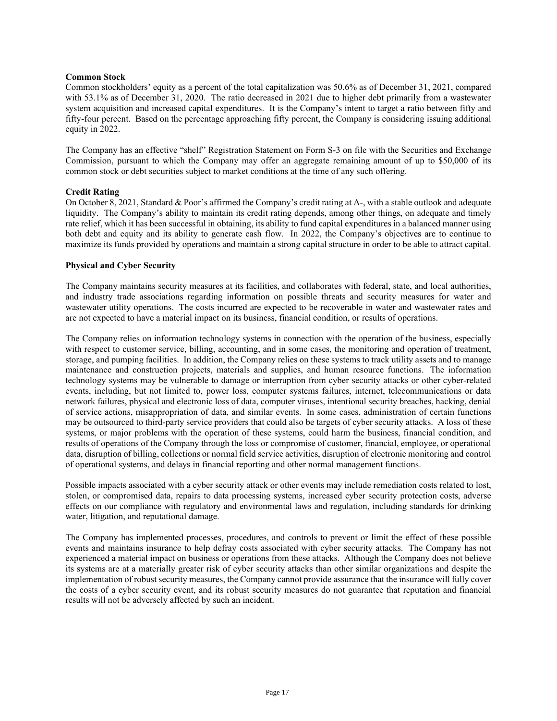### **Common Stock**

Common stockholders' equity as a percent of the total capitalization was 50.6% as of December 31, 2021, compared with 53.1% as of December 31, 2020. The ratio decreased in 2021 due to higher debt primarily from a wastewater system acquisition and increased capital expenditures. It is the Company's intent to target a ratio between fifty and fifty-four percent. Based on the percentage approaching fifty percent, the Company is considering issuing additional equity in 2022.

The Company has an effective "shelf" Registration Statement on Form S-3 on file with the Securities and Exchange Commission, pursuant to which the Company may offer an aggregate remaining amount of up to \$50,000 of its common stock or debt securities subject to market conditions at the time of any such offering.

# **Credit Rating**

On October 8, 2021, Standard & Poor's affirmed the Company's credit rating at A-, with a stable outlook and adequate liquidity. The Company's ability to maintain its credit rating depends, among other things, on adequate and timely rate relief, which it has been successful in obtaining, its ability to fund capital expenditures in a balanced manner using both debt and equity and its ability to generate cash flow. In 2022, the Company's objectives are to continue to maximize its funds provided by operations and maintain a strong capital structure in order to be able to attract capital.

# **Physical and Cyber Security**

The Company maintains security measures at its facilities, and collaborates with federal, state, and local authorities, and industry trade associations regarding information on possible threats and security measures for water and wastewater utility operations. The costs incurred are expected to be recoverable in water and wastewater rates and are not expected to have a material impact on its business, financial condition, or results of operations.

The Company relies on information technology systems in connection with the operation of the business, especially with respect to customer service, billing, accounting, and in some cases, the monitoring and operation of treatment, storage, and pumping facilities. In addition, the Company relies on these systems to track utility assets and to manage maintenance and construction projects, materials and supplies, and human resource functions. The information technology systems may be vulnerable to damage or interruption from cyber security attacks or other cyber-related events, including, but not limited to, power loss, computer systems failures, internet, telecommunications or data network failures, physical and electronic loss of data, computer viruses, intentional security breaches, hacking, denial of service actions, misappropriation of data, and similar events. In some cases, administration of certain functions may be outsourced to third-party service providers that could also be targets of cyber security attacks. A loss of these systems, or major problems with the operation of these systems, could harm the business, financial condition, and results of operations of the Company through the loss or compromise of customer, financial, employee, or operational data, disruption of billing, collections or normal field service activities, disruption of electronic monitoring and control of operational systems, and delays in financial reporting and other normal management functions.

Possible impacts associated with a cyber security attack or other events may include remediation costs related to lost, stolen, or compromised data, repairs to data processing systems, increased cyber security protection costs, adverse effects on our compliance with regulatory and environmental laws and regulation, including standards for drinking water, litigation, and reputational damage.

The Company has implemented processes, procedures, and controls to prevent or limit the effect of these possible events and maintains insurance to help defray costs associated with cyber security attacks. The Company has not experienced a material impact on business or operations from these attacks. Although the Company does not believe its systems are at a materially greater risk of cyber security attacks than other similar organizations and despite the implementation of robust security measures, the Company cannot provide assurance that the insurance will fully cover the costs of a cyber security event, and its robust security measures do not guarantee that reputation and financial results will not be adversely affected by such an incident.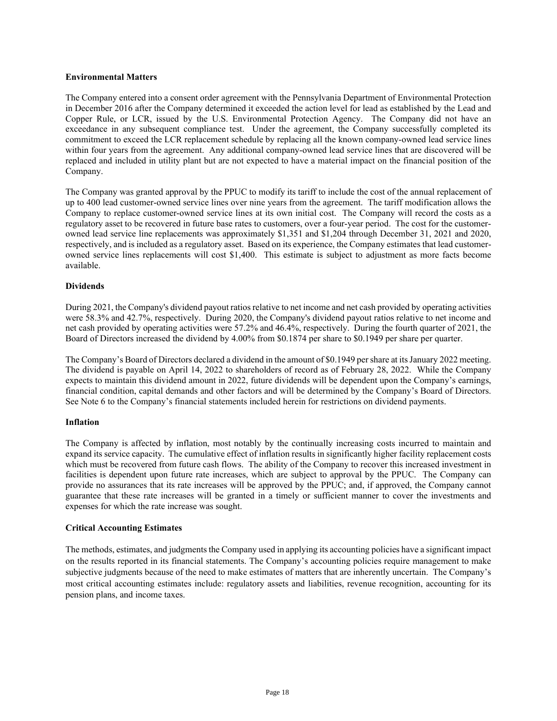# **Environmental Matters**

The Company entered into a consent order agreement with the Pennsylvania Department of Environmental Protection in December 2016 after the Company determined it exceeded the action level for lead as established by the Lead and Copper Rule, or LCR, issued by the U.S. Environmental Protection Agency. The Company did not have an exceedance in any subsequent compliance test. Under the agreement, the Company successfully completed its commitment to exceed the LCR replacement schedule by replacing all the known company-owned lead service lines within four years from the agreement. Any additional company-owned lead service lines that are discovered will be replaced and included in utility plant but are not expected to have a material impact on the financial position of the Company.

The Company was granted approval by the PPUC to modify its tariff to include the cost of the annual replacement of up to 400 lead customer-owned service lines over nine years from the agreement. The tariff modification allows the Company to replace customer-owned service lines at its own initial cost. The Company will record the costs as a regulatory asset to be recovered in future base rates to customers, over a four-year period. The cost for the customerowned lead service line replacements was approximately \$1,351 and \$1,204 through December 31, 2021 and 2020, respectively, and is included as a regulatory asset. Based on its experience, the Company estimates that lead customerowned service lines replacements will cost \$1,400. This estimate is subject to adjustment as more facts become available.

#### **Dividends**

During 2021, the Company's dividend payout ratios relative to net income and net cash provided by operating activities were 58.3% and 42.7%, respectively. During 2020, the Company's dividend payout ratios relative to net income and net cash provided by operating activities were 57.2% and 46.4%, respectively. During the fourth quarter of 2021, the Board of Directors increased the dividend by 4.00% from \$0.1874 per share to \$0.1949 per share per quarter.

The Company's Board of Directors declared a dividend in the amount of \$0.1949 per share at its January 2022 meeting. The dividend is payable on April 14, 2022 to shareholders of record as of February 28, 2022. While the Company expects to maintain this dividend amount in 2022, future dividends will be dependent upon the Company's earnings, financial condition, capital demands and other factors and will be determined by the Company's Board of Directors. See Note 6 to the Company's financial statements included herein for restrictions on dividend payments.

#### **Inflation**

The Company is affected by inflation, most notably by the continually increasing costs incurred to maintain and expand its service capacity. The cumulative effect of inflation results in significantly higher facility replacement costs which must be recovered from future cash flows. The ability of the Company to recover this increased investment in facilities is dependent upon future rate increases, which are subject to approval by the PPUC. The Company can provide no assurances that its rate increases will be approved by the PPUC; and, if approved, the Company cannot guarantee that these rate increases will be granted in a timely or sufficient manner to cover the investments and expenses for which the rate increase was sought.

#### **Critical Accounting Estimates**

The methods, estimates, and judgments the Company used in applying its accounting policies have a significant impact on the results reported in its financial statements. The Company's accounting policies require management to make subjective judgments because of the need to make estimates of matters that are inherently uncertain. The Company's most critical accounting estimates include: regulatory assets and liabilities, revenue recognition, accounting for its pension plans, and income taxes.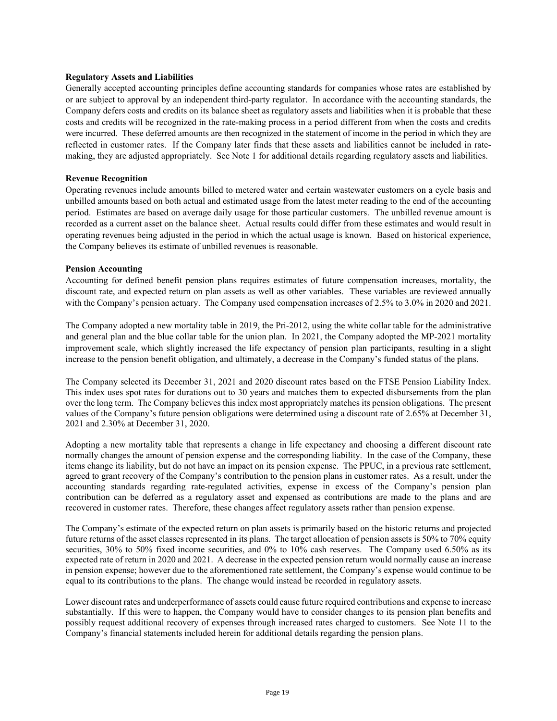# **Regulatory Assets and Liabilities**

Generally accepted accounting principles define accounting standards for companies whose rates are established by or are subject to approval by an independent third-party regulator. In accordance with the accounting standards, the Company defers costs and credits on its balance sheet as regulatory assets and liabilities when it is probable that these costs and credits will be recognized in the rate-making process in a period different from when the costs and credits were incurred. These deferred amounts are then recognized in the statement of income in the period in which they are reflected in customer rates. If the Company later finds that these assets and liabilities cannot be included in ratemaking, they are adjusted appropriately. See Note 1 for additional details regarding regulatory assets and liabilities.

# **Revenue Recognition**

Operating revenues include amounts billed to metered water and certain wastewater customers on a cycle basis and unbilled amounts based on both actual and estimated usage from the latest meter reading to the end of the accounting period. Estimates are based on average daily usage for those particular customers. The unbilled revenue amount is recorded as a current asset on the balance sheet. Actual results could differ from these estimates and would result in operating revenues being adjusted in the period in which the actual usage is known. Based on historical experience, the Company believes its estimate of unbilled revenues is reasonable.

# **Pension Accounting**

Accounting for defined benefit pension plans requires estimates of future compensation increases, mortality, the discount rate, and expected return on plan assets as well as other variables. These variables are reviewed annually with the Company's pension actuary. The Company used compensation increases of 2.5% to 3.0% in 2020 and 2021.

The Company adopted a new mortality table in 2019, the Pri-2012, using the white collar table for the administrative and general plan and the blue collar table for the union plan. In 2021, the Company adopted the MP-2021 mortality improvement scale, which slightly increased the life expectancy of pension plan participants, resulting in a slight increase to the pension benefit obligation, and ultimately, a decrease in the Company's funded status of the plans.

The Company selected its December 31, 2021 and 2020 discount rates based on the FTSE Pension Liability Index. This index uses spot rates for durations out to 30 years and matches them to expected disbursements from the plan over the long term. The Company believes this index most appropriately matches its pension obligations. The present values of the Company's future pension obligations were determined using a discount rate of 2.65% at December 31, 2021 and 2.30% at December 31, 2020.

Adopting a new mortality table that represents a change in life expectancy and choosing a different discount rate normally changes the amount of pension expense and the corresponding liability. In the case of the Company, these items change its liability, but do not have an impact on its pension expense. The PPUC, in a previous rate settlement, agreed to grant recovery of the Company's contribution to the pension plans in customer rates. As a result, under the accounting standards regarding rate-regulated activities, expense in excess of the Company's pension plan contribution can be deferred as a regulatory asset and expensed as contributions are made to the plans and are recovered in customer rates. Therefore, these changes affect regulatory assets rather than pension expense.

The Company's estimate of the expected return on plan assets is primarily based on the historic returns and projected future returns of the asset classes represented in its plans. The target allocation of pension assets is 50% to 70% equity securities, 30% to 50% fixed income securities, and 0% to 10% cash reserves. The Company used 6.50% as its expected rate of return in 2020 and 2021. A decrease in the expected pension return would normally cause an increase in pension expense; however due to the aforementioned rate settlement, the Company's expense would continue to be equal to its contributions to the plans. The change would instead be recorded in regulatory assets.

Lower discount rates and underperformance of assets could cause future required contributions and expense to increase substantially. If this were to happen, the Company would have to consider changes to its pension plan benefits and possibly request additional recovery of expenses through increased rates charged to customers. See Note 11 to the Company's financial statements included herein for additional details regarding the pension plans.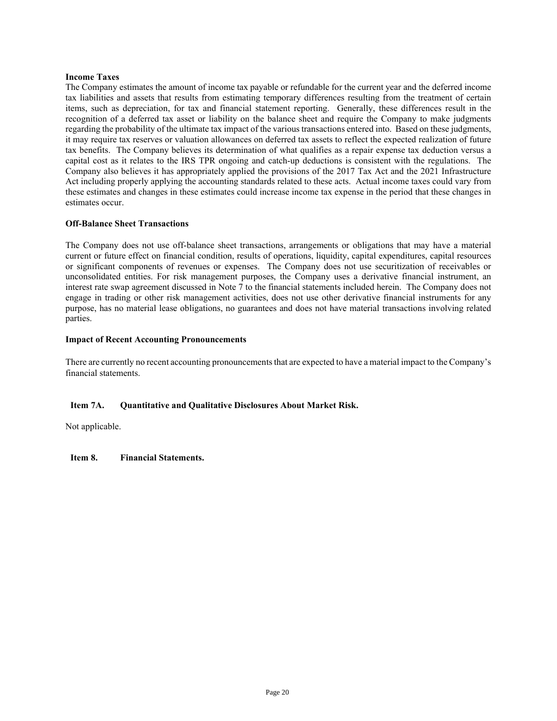# **Income Taxes**

The Company estimates the amount of income tax payable or refundable for the current year and the deferred income tax liabilities and assets that results from estimating temporary differences resulting from the treatment of certain items, such as depreciation, for tax and financial statement reporting. Generally, these differences result in the recognition of a deferred tax asset or liability on the balance sheet and require the Company to make judgments regarding the probability of the ultimate tax impact of the various transactions entered into. Based on these judgments, it may require tax reserves or valuation allowances on deferred tax assets to reflect the expected realization of future tax benefits. The Company believes its determination of what qualifies as a repair expense tax deduction versus a capital cost as it relates to the IRS TPR ongoing and catch-up deductions is consistent with the regulations. The Company also believes it has appropriately applied the provisions of the 2017 Tax Act and the 2021 Infrastructure Act including properly applying the accounting standards related to these acts. Actual income taxes could vary from these estimates and changes in these estimates could increase income tax expense in the period that these changes in estimates occur.

# **Off-Balance Sheet Transactions**

The Company does not use off-balance sheet transactions, arrangements or obligations that may have a material current or future effect on financial condition, results of operations, liquidity, capital expenditures, capital resources or significant components of revenues or expenses. The Company does not use securitization of receivables or unconsolidated entities. For risk management purposes, the Company uses a derivative financial instrument, an interest rate swap agreement discussed in Note 7 to the financial statements included herein. The Company does not engage in trading or other risk management activities, does not use other derivative financial instruments for any purpose, has no material lease obligations, no guarantees and does not have material transactions involving related parties.

# **Impact of Recent Accounting Pronouncements**

There are currently no recent accounting pronouncements that are expected to have a material impact to the Company's financial statements.

# **Item 7A. Quantitative and Qualitative Disclosures About Market Risk.**

Not applicable.

**Item 8. Financial Statements.**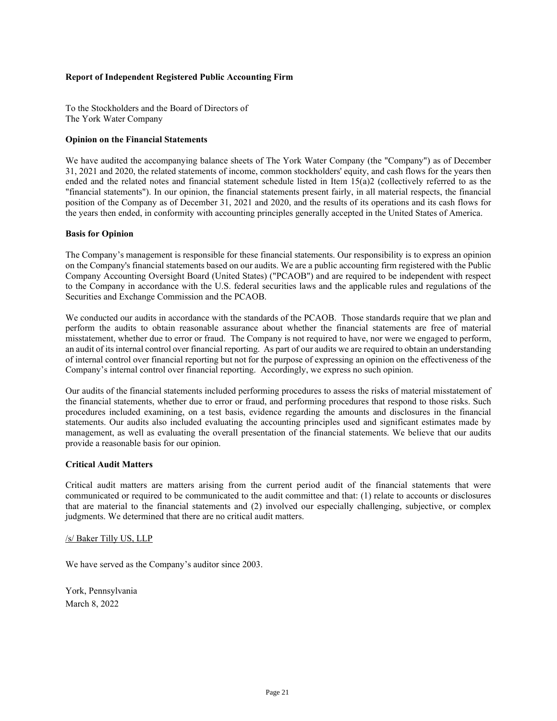# **Report of Independent Registered Public Accounting Firm**

To the Stockholders and the Board of Directors of The York Water Company

### **Opinion on the Financial Statements**

We have audited the accompanying balance sheets of The York Water Company (the "Company") as of December 31, 2021 and 2020, the related statements of income, common stockholders' equity, and cash flows for the years then ended and the related notes and financial statement schedule listed in Item 15(a)2 (collectively referred to as the "financial statements"). In our opinion, the financial statements present fairly, in all material respects, the financial position of the Company as of December 31, 2021 and 2020, and the results of its operations and its cash flows for the years then ended, in conformity with accounting principles generally accepted in the United States of America.

# **Basis for Opinion**

The Company's management is responsible for these financial statements. Our responsibility is to express an opinion on the Company's financial statements based on our audits. We are a public accounting firm registered with the Public Company Accounting Oversight Board (United States) ("PCAOB") and are required to be independent with respect to the Company in accordance with the U.S. federal securities laws and the applicable rules and regulations of the Securities and Exchange Commission and the PCAOB.

We conducted our audits in accordance with the standards of the PCAOB. Those standards require that we plan and perform the audits to obtain reasonable assurance about whether the financial statements are free of material misstatement, whether due to error or fraud. The Company is not required to have, nor were we engaged to perform, an audit of its internal control over financial reporting. As part of our audits we are required to obtain an understanding of internal control over financial reporting but not for the purpose of expressing an opinion on the effectiveness of the Company's internal control over financial reporting. Accordingly, we express no such opinion.

Our audits of the financial statements included performing procedures to assess the risks of material misstatement of the financial statements, whether due to error or fraud, and performing procedures that respond to those risks. Such procedures included examining, on a test basis, evidence regarding the amounts and disclosures in the financial statements. Our audits also included evaluating the accounting principles used and significant estimates made by management, as well as evaluating the overall presentation of the financial statements. We believe that our audits provide a reasonable basis for our opinion.

# **Critical Audit Matters**

Critical audit matters are matters arising from the current period audit of the financial statements that were communicated or required to be communicated to the audit committee and that: (1) relate to accounts or disclosures that are material to the financial statements and (2) involved our especially challenging, subjective, or complex judgments. We determined that there are no critical audit matters.

/s/ Baker Tilly US, LLP

We have served as the Company's auditor since 2003.

York, Pennsylvania March 8, 2022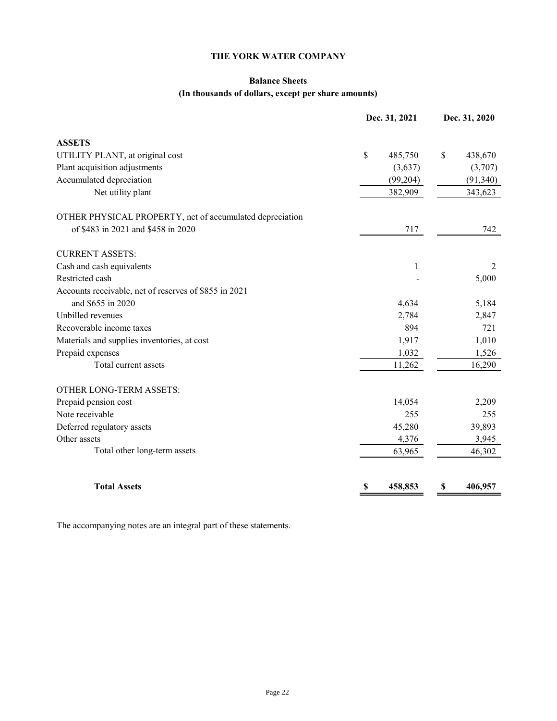# **Balance Sheets (In thousands of dollars, except per share amounts)**

|                                                          | Dec. 31, 2021 |              | Dec. 31, 2020 |                |
|----------------------------------------------------------|---------------|--------------|---------------|----------------|
| <b>ASSETS</b>                                            |               |              |               |                |
| UTILITY PLANT, at original cost                          | \$            | 485,750      | \$            | 438,670        |
| Plant acquisition adjustments                            |               | (3,637)      |               | (3,707)        |
| Accumulated depreciation                                 |               | (99,204)     |               | (91, 340)      |
| Net utility plant                                        |               | 382,909      |               | 343,623        |
| OTHER PHYSICAL PROPERTY, net of accumulated depreciation |               |              |               |                |
| of \$483 in 2021 and \$458 in 2020                       |               | 717          |               | 742            |
| <b>CURRENT ASSETS:</b>                                   |               |              |               |                |
| Cash and cash equivalents                                |               | $\mathbf{1}$ |               | $\overline{2}$ |
| Restricted cash                                          |               |              |               | 5,000          |
| Accounts receivable, net of reserves of \$855 in 2021    |               |              |               |                |
| and \$655 in 2020                                        |               | 4,634        |               | 5,184          |
| Unbilled revenues                                        |               | 2,784        |               | 2,847          |
| Recoverable income taxes                                 |               | 894          |               | 721            |
| Materials and supplies inventories, at cost              |               | 1,917        |               | 1,010          |
| Prepaid expenses                                         |               | 1,032        |               | 1,526          |
| Total current assets                                     |               | 11,262       |               | 16,290         |
| OTHER LONG-TERM ASSETS:                                  |               |              |               |                |
| Prepaid pension cost                                     |               | 14,054       |               | 2,209          |
| Note receivable                                          |               | 255          |               | 255            |
| Deferred regulatory assets                               |               | 45,280       |               | 39,893         |
| Other assets                                             |               | 4,376        |               | 3,945          |
| Total other long-term assets                             |               | 63,965       |               | 46,302         |
| <b>Total Assets</b>                                      | S             | 458,853      | \$            | 406,957        |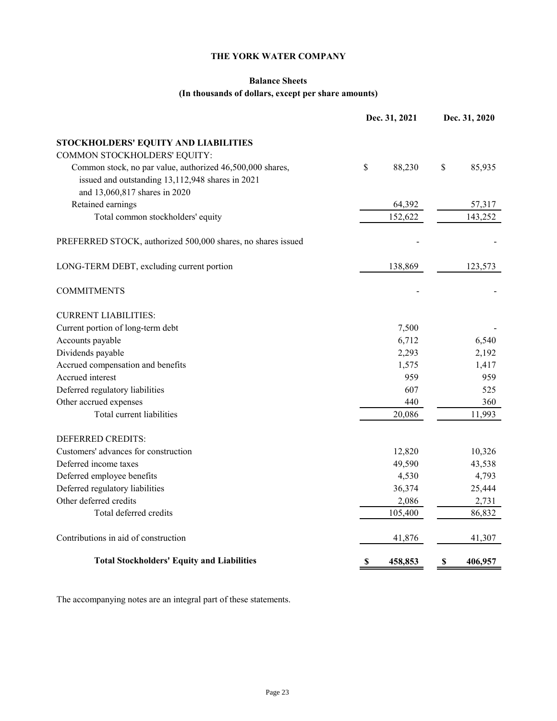# **Balance Sheets**

# **(In thousands of dollars, except per share amounts)**

|                                                              | Dec. 31, 2021 |         | Dec. 31, 2020 |         |
|--------------------------------------------------------------|---------------|---------|---------------|---------|
| STOCKHOLDERS' EQUITY AND LIABILITIES                         |               |         |               |         |
| COMMON STOCKHOLDERS' EQUITY:                                 |               |         |               |         |
| Common stock, no par value, authorized 46,500,000 shares,    | \$            | 88,230  | \$            | 85,935  |
| issued and outstanding 13,112,948 shares in 2021             |               |         |               |         |
| and 13,060,817 shares in 2020                                |               |         |               |         |
| Retained earnings                                            |               | 64,392  |               | 57,317  |
| Total common stockholders' equity                            |               | 152,622 |               | 143,252 |
| PREFERRED STOCK, authorized 500,000 shares, no shares issued |               |         |               |         |
| LONG-TERM DEBT, excluding current portion                    |               | 138,869 |               | 123,573 |
| <b>COMMITMENTS</b>                                           |               |         |               |         |
| <b>CURRENT LIABILITIES:</b>                                  |               |         |               |         |
| Current portion of long-term debt                            |               | 7,500   |               |         |
| Accounts payable                                             |               | 6,712   |               | 6,540   |
| Dividends payable                                            |               | 2,293   |               | 2,192   |
| Accrued compensation and benefits                            |               | 1,575   |               | 1,417   |
| Accrued interest                                             |               | 959     |               | 959     |
| Deferred regulatory liabilities                              |               | 607     |               | 525     |
| Other accrued expenses                                       |               | 440     |               | 360     |
| Total current liabilities                                    |               | 20,086  |               | 11,993  |
| DEFERRED CREDITS:                                            |               |         |               |         |
| Customers' advances for construction                         |               | 12,820  |               | 10,326  |
| Deferred income taxes                                        |               | 49,590  |               | 43,538  |
| Deferred employee benefits                                   |               | 4,530   |               | 4,793   |
| Deferred regulatory liabilities                              |               | 36,374  |               | 25,444  |
| Other deferred credits                                       |               | 2,086   |               | 2,731   |
| Total deferred credits                                       |               | 105,400 |               | 86,832  |
| Contributions in aid of construction                         |               | 41,876  |               | 41,307  |
| <b>Total Stockholders' Equity and Liabilities</b>            | \$            | 458,853 | \$            | 406,957 |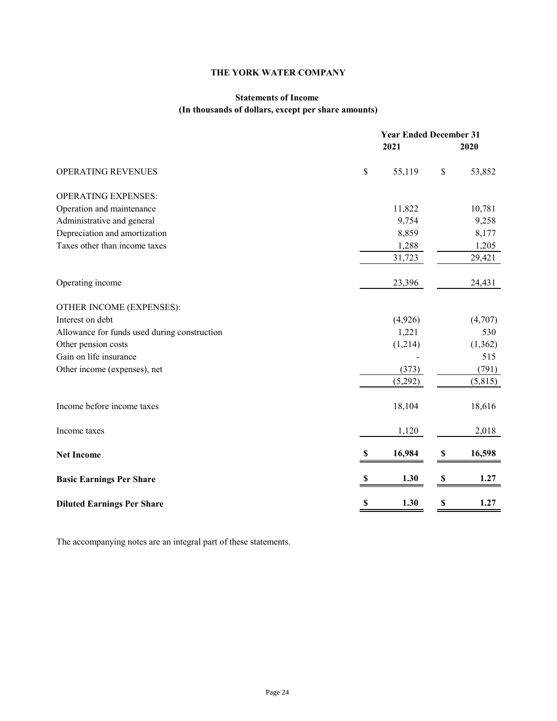# **Statements of Income (In thousands of dollars, except per share amounts)**

|                                              |                       | <b>Year Ended December 31</b> |          |  |
|----------------------------------------------|-----------------------|-------------------------------|----------|--|
|                                              | 2021                  |                               | 2020     |  |
| OPERATING REVENUES                           | \$<br>55,119          | \$                            | 53,852   |  |
| <b>OPERATING EXPENSES:</b>                   |                       |                               |          |  |
| Operation and maintenance                    | 11,822                |                               | 10,781   |  |
| Administrative and general                   | 9,754                 |                               | 9,258    |  |
| Depreciation and amortization                | 8,859                 |                               | 8,177    |  |
| Taxes other than income taxes                | 1,288                 |                               | 1,205    |  |
|                                              | 31,723                |                               | 29,421   |  |
| Operating income                             | 23,396                |                               | 24,431   |  |
| OTHER INCOME (EXPENSES):                     |                       |                               |          |  |
| Interest on debt                             | (4,926)               |                               | (4,707)  |  |
| Allowance for funds used during construction | 1,221                 |                               | 530      |  |
| Other pension costs                          | (1,214)               |                               | (1, 362) |  |
| Gain on life insurance                       |                       |                               | 515      |  |
| Other income (expenses), net                 | (373)                 |                               | (791)    |  |
|                                              | (5,292)               |                               | (5,815)  |  |
| Income before income taxes                   | 18,104                |                               | 18,616   |  |
| Income taxes                                 | 1,120                 |                               | 2,018    |  |
| <b>Net Income</b>                            | $\mathbb S$<br>16,984 | \$                            | 16,598   |  |
| <b>Basic Earnings Per Share</b>              | 1.30<br>\$            | \$                            | 1.27     |  |
| <b>Diluted Earnings Per Share</b>            | \$<br>1.30            | \$                            | 1.27     |  |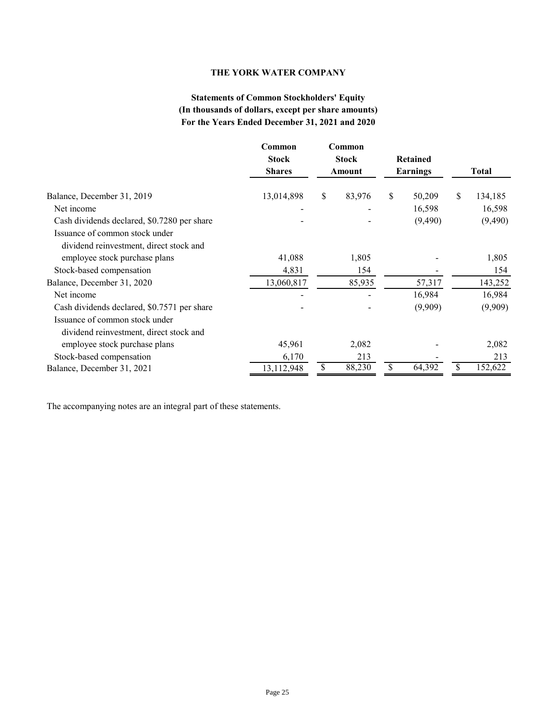# **Statements of Common Stockholders' Equity (In thousands of dollars, except per share amounts) For the Years Ended December 31, 2021 and 2020**

|                                             | Common<br><b>Stock</b><br><b>Shares</b> | Common<br><b>Stock</b><br>Amount | <b>Retained</b><br>Earnings |              | Total   |
|---------------------------------------------|-----------------------------------------|----------------------------------|-----------------------------|--------------|---------|
| Balance, December 31, 2019                  | 13,014,898                              | \$<br>83,976                     | \$<br>50,209                | $\mathbb{S}$ | 134,185 |
| Net income                                  |                                         |                                  | 16,598                      |              | 16,598  |
| Cash dividends declared, \$0.7280 per share |                                         |                                  | (9,490)                     |              | (9,490) |
| Issuance of common stock under              |                                         |                                  |                             |              |         |
| dividend reinvestment, direct stock and     |                                         |                                  |                             |              |         |
| employee stock purchase plans               | 41,088                                  | 1,805                            |                             |              | 1,805   |
| Stock-based compensation                    | 4,831                                   | 154                              |                             |              | 154     |
| Balance, December 31, 2020                  | 13,060,817                              | 85,935                           | 57,317                      |              | 143,252 |
| Net income                                  |                                         |                                  | 16,984                      |              | 16,984  |
| Cash dividends declared, \$0.7571 per share |                                         |                                  | (9,909)                     |              | (9,909) |
| Issuance of common stock under              |                                         |                                  |                             |              |         |
| dividend reinvestment, direct stock and     |                                         |                                  |                             |              |         |
| employee stock purchase plans               | 45,961                                  | 2,082                            |                             |              | 2,082   |
| Stock-based compensation                    | 6,170                                   | 213                              |                             |              | 213     |
| Balance, December 31, 2021                  | 13,112,948                              | \$<br>88,230                     | \$<br>64,392                | \$           | 152,622 |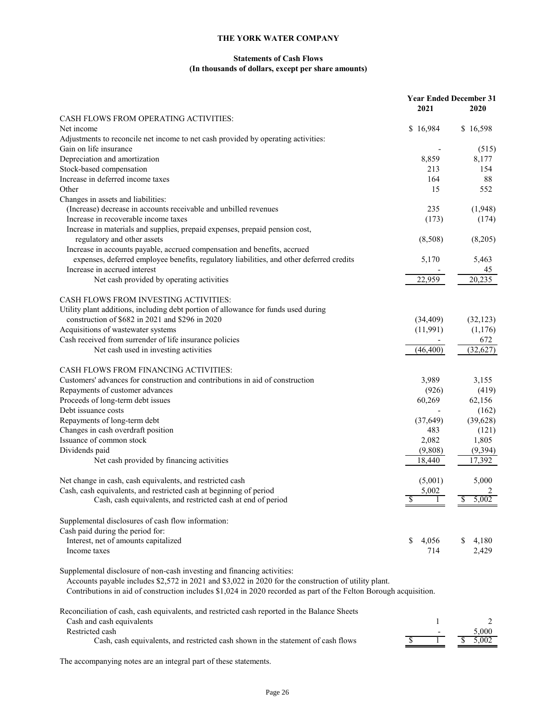### **Statements of Cash Flows (In thousands of dollars, except per share amounts)**

|                                                                                                                                                                                 | <b>Year Ended December 31</b><br>2021 | <b>2020</b> |
|---------------------------------------------------------------------------------------------------------------------------------------------------------------------------------|---------------------------------------|-------------|
| CASH FLOWS FROM OPERATING ACTIVITIES:                                                                                                                                           |                                       |             |
| Net income                                                                                                                                                                      | \$16,984                              | \$16,598    |
| Adjustments to reconcile net income to net cash provided by operating activities:                                                                                               |                                       |             |
| Gain on life insurance                                                                                                                                                          |                                       | (515)       |
| Depreciation and amortization                                                                                                                                                   | 8,859                                 | 8,177       |
| Stock-based compensation                                                                                                                                                        | 213                                   | 154         |
| Increase in deferred income taxes                                                                                                                                               | 164                                   | 88          |
| Other                                                                                                                                                                           | 15                                    | 552         |
| Changes in assets and liabilities:                                                                                                                                              |                                       |             |
| (Increase) decrease in accounts receivable and unbilled revenues                                                                                                                | 235                                   | (1,948)     |
| Increase in recoverable income taxes                                                                                                                                            | (173)                                 | (174)       |
| Increase in materials and supplies, prepaid expenses, prepaid pension cost,                                                                                                     |                                       |             |
| regulatory and other assets                                                                                                                                                     | (8,508)                               | (8,205)     |
| Increase in accounts payable, accrued compensation and benefits, accrued                                                                                                        |                                       |             |
| expenses, deferred employee benefits, regulatory liabilities, and other deferred credits                                                                                        | 5,170                                 | 5,463       |
| Increase in accrued interest                                                                                                                                                    |                                       | 45          |
| Net cash provided by operating activities                                                                                                                                       | 22,959                                | 20,235      |
|                                                                                                                                                                                 |                                       |             |
| CASH FLOWS FROM INVESTING ACTIVITIES:                                                                                                                                           |                                       |             |
| Utility plant additions, including debt portion of allowance for funds used during                                                                                              |                                       |             |
| construction of \$682 in 2021 and \$296 in 2020                                                                                                                                 | (34, 409)                             | (32, 123)   |
| Acquisitions of wastewater systems                                                                                                                                              | (11,991)                              | (1,176)     |
| Cash received from surrender of life insurance policies                                                                                                                         |                                       | 672         |
| Net cash used in investing activities                                                                                                                                           | (46, 400)                             | (32, 627)   |
|                                                                                                                                                                                 |                                       |             |
| CASH FLOWS FROM FINANCING ACTIVITIES:                                                                                                                                           |                                       |             |
| Customers' advances for construction and contributions in aid of construction                                                                                                   | 3,989                                 | 3,155       |
| Repayments of customer advances                                                                                                                                                 | (926)                                 | (419)       |
| Proceeds of long-term debt issues                                                                                                                                               | 60,269                                | 62,156      |
| Debt issuance costs                                                                                                                                                             |                                       | (162)       |
| Repayments of long-term debt                                                                                                                                                    | (37, 649)                             | (39,628)    |
| Changes in cash overdraft position                                                                                                                                              | 483                                   | (121)       |
| Issuance of common stock                                                                                                                                                        | 2,082                                 | 1,805       |
| Dividends paid                                                                                                                                                                  | (9,808)                               | (9, 394)    |
| Net cash provided by financing activities                                                                                                                                       | 18,440                                | 17,392      |
| Net change in cash, cash equivalents, and restricted cash                                                                                                                       | (5,001)                               | 5,000       |
| Cash, cash equivalents, and restricted cash at beginning of period                                                                                                              | 5,002                                 |             |
| Cash, cash equivalents, and restricted cash at end of period                                                                                                                    |                                       | 5,002<br>-S |
|                                                                                                                                                                                 |                                       |             |
| Supplemental disclosures of cash flow information:                                                                                                                              |                                       |             |
| Cash paid during the period for:                                                                                                                                                |                                       |             |
| Interest, net of amounts capitalized                                                                                                                                            | 4,056<br>\$                           | 4,180<br>S. |
| Income taxes                                                                                                                                                                    | 714                                   | 2,429       |
| Supplemental disclosure of non-cash investing and financing activities:<br>Accounts payable includes \$2,572 in 2021 and \$3,022 in 2020 for the construction of utility plant. |                                       |             |
| Contributions in aid of construction includes \$1,024 in 2020 recorded as part of the Felton Borough acquisition.                                                               |                                       |             |
|                                                                                                                                                                                 |                                       |             |
| Reconciliation of cash, cash equivalents, and restricted cash reported in the Balance Sheets                                                                                    |                                       |             |
| Cash and cash equivalents                                                                                                                                                       | 1                                     | 2           |
| Restricted cash                                                                                                                                                                 |                                       | 5,000<br>\$ |
| Cash, cash equivalents, and restricted cash shown in the statement of cash flows                                                                                                | \$<br>1                               | 5,002       |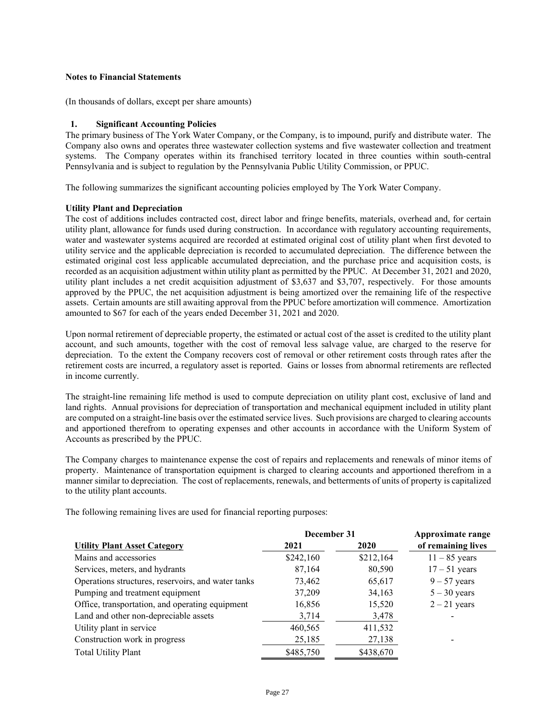# **Notes to Financial Statements**

(In thousands of dollars, except per share amounts)

# **1. Significant Accounting Policies**

The primary business of The York Water Company, or the Company, is to impound, purify and distribute water. The Company also owns and operates three wastewater collection systems and five wastewater collection and treatment systems. The Company operates within its franchised territory located in three counties within south-central Pennsylvania and is subject to regulation by the Pennsylvania Public Utility Commission, or PPUC.

The following summarizes the significant accounting policies employed by The York Water Company.

# **Utility Plant and Depreciation**

The cost of additions includes contracted cost, direct labor and fringe benefits, materials, overhead and, for certain utility plant, allowance for funds used during construction. In accordance with regulatory accounting requirements, water and wastewater systems acquired are recorded at estimated original cost of utility plant when first devoted to utility service and the applicable depreciation is recorded to accumulated depreciation. The difference between the estimated original cost less applicable accumulated depreciation, and the purchase price and acquisition costs, is recorded as an acquisition adjustment within utility plant as permitted by the PPUC. At December 31, 2021 and 2020, utility plant includes a net credit acquisition adjustment of \$3,637 and \$3,707, respectively. For those amounts approved by the PPUC, the net acquisition adjustment is being amortized over the remaining life of the respective assets. Certain amounts are still awaiting approval from the PPUC before amortization will commence. Amortization amounted to \$67 for each of the years ended December 31, 2021 and 2020.

Upon normal retirement of depreciable property, the estimated or actual cost of the asset is credited to the utility plant account, and such amounts, together with the cost of removal less salvage value, are charged to the reserve for depreciation. To the extent the Company recovers cost of removal or other retirement costs through rates after the retirement costs are incurred, a regulatory asset is reported. Gains or losses from abnormal retirements are reflected in income currently.

The straight-line remaining life method is used to compute depreciation on utility plant cost, exclusive of land and land rights. Annual provisions for depreciation of transportation and mechanical equipment included in utility plant are computed on a straight-line basis over the estimated service lives. Such provisions are charged to clearing accounts and apportioned therefrom to operating expenses and other accounts in accordance with the Uniform System of Accounts as prescribed by the PPUC.

The Company charges to maintenance expense the cost of repairs and replacements and renewals of minor items of property. Maintenance of transportation equipment is charged to clearing accounts and apportioned therefrom in a manner similar to depreciation. The cost of replacements, renewals, and betterments of units of property is capitalized to the utility plant accounts.

The following remaining lives are used for financial reporting purposes:

|                                                    | December 31 |             | Approximate range  |
|----------------------------------------------------|-------------|-------------|--------------------|
| <b>Utility Plant Asset Category</b>                | 2021        | <b>2020</b> | of remaining lives |
| Mains and accessories                              | \$242,160   | \$212,164   | $11 - 85$ years    |
| Services, meters, and hydrants                     | 87,164      | 80,590      | $17 - 51$ years    |
| Operations structures, reservoirs, and water tanks | 73,462      | 65,617      | $9 - 57$ years     |
| Pumping and treatment equipment                    | 37,209      | 34,163      | $5 - 30$ years     |
| Office, transportation, and operating equipment    | 16,856      | 15,520      | $2 - 21$ years     |
| Land and other non-depreciable assets              | 3,714       | 3,478       |                    |
| Utility plant in service                           | 460,565     | 411,532     |                    |
| Construction work in progress                      | 25,185      | 27,138      |                    |
| <b>Total Utility Plant</b>                         | \$485,750   | \$438,670   |                    |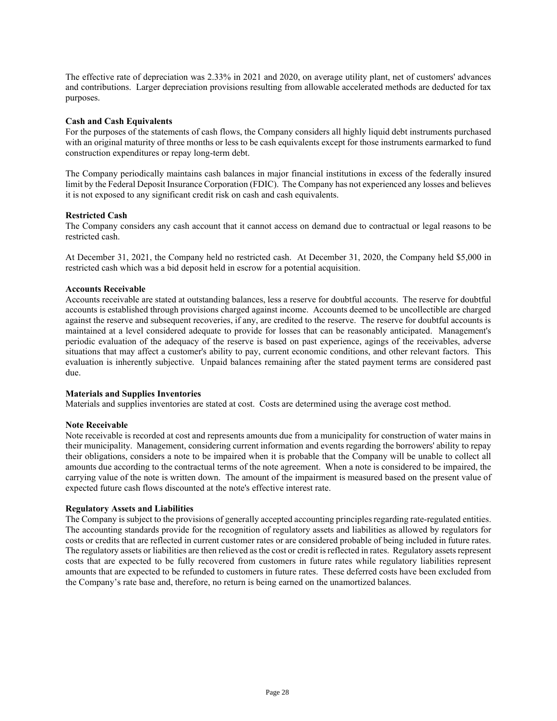The effective rate of depreciation was 2.33% in 2021 and 2020, on average utility plant, net of customers' advances and contributions. Larger depreciation provisions resulting from allowable accelerated methods are deducted for tax purposes.

### **Cash and Cash Equivalents**

For the purposes of the statements of cash flows, the Company considers all highly liquid debt instruments purchased with an original maturity of three months or less to be cash equivalents except for those instruments earmarked to fund construction expenditures or repay long-term debt.

The Company periodically maintains cash balances in major financial institutions in excess of the federally insured limit by the Federal Deposit Insurance Corporation (FDIC). The Company has not experienced any losses and believes it is not exposed to any significant credit risk on cash and cash equivalents.

# **Restricted Cash**

The Company considers any cash account that it cannot access on demand due to contractual or legal reasons to be restricted cash.

At December 31, 2021, the Company held no restricted cash. At December 31, 2020, the Company held \$5,000 in restricted cash which was a bid deposit held in escrow for a potential acquisition.

#### **Accounts Receivable**

Accounts receivable are stated at outstanding balances, less a reserve for doubtful accounts. The reserve for doubtful accounts is established through provisions charged against income. Accounts deemed to be uncollectible are charged against the reserve and subsequent recoveries, if any, are credited to the reserve. The reserve for doubtful accounts is maintained at a level considered adequate to provide for losses that can be reasonably anticipated. Management's periodic evaluation of the adequacy of the reserve is based on past experience, agings of the receivables, adverse situations that may affect a customer's ability to pay, current economic conditions, and other relevant factors. This evaluation is inherently subjective. Unpaid balances remaining after the stated payment terms are considered past due.

#### **Materials and Supplies Inventories**

Materials and supplies inventories are stated at cost. Costs are determined using the average cost method.

#### **Note Receivable**

Note receivable is recorded at cost and represents amounts due from a municipality for construction of water mains in their municipality. Management, considering current information and events regarding the borrowers' ability to repay their obligations, considers a note to be impaired when it is probable that the Company will be unable to collect all amounts due according to the contractual terms of the note agreement. When a note is considered to be impaired, the carrying value of the note is written down. The amount of the impairment is measured based on the present value of expected future cash flows discounted at the note's effective interest rate.

#### **Regulatory Assets and Liabilities**

The Company is subject to the provisions of generally accepted accounting principles regarding rate-regulated entities. The accounting standards provide for the recognition of regulatory assets and liabilities as allowed by regulators for costs or credits that are reflected in current customer rates or are considered probable of being included in future rates. The regulatory assets or liabilities are then relieved as the cost or credit is reflected in rates. Regulatory assets represent costs that are expected to be fully recovered from customers in future rates while regulatory liabilities represent amounts that are expected to be refunded to customers in future rates. These deferred costs have been excluded from the Company's rate base and, therefore, no return is being earned on the unamortized balances.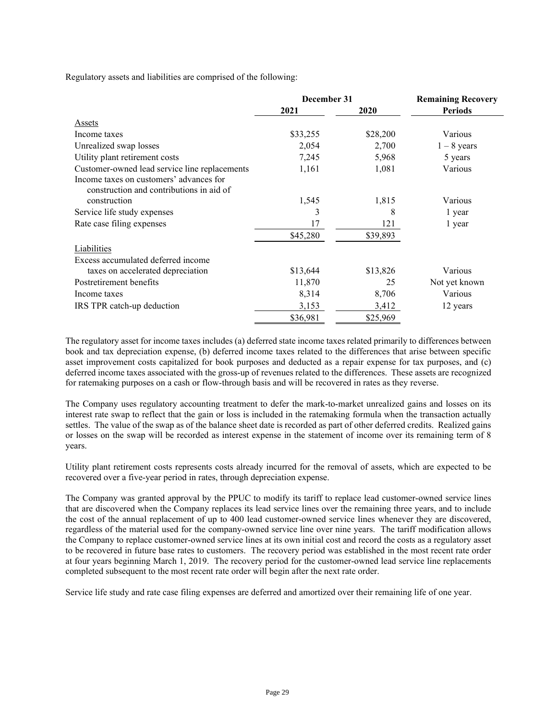Regulatory assets and liabilities are comprised of the following:

|                                                                                     | December 31 |          | <b>Remaining Recovery</b> |  |
|-------------------------------------------------------------------------------------|-------------|----------|---------------------------|--|
|                                                                                     | 2021        | 2020     | <b>Periods</b>            |  |
| Assets                                                                              |             |          |                           |  |
| Income taxes                                                                        | \$33,255    | \$28,200 | Various                   |  |
| Unrealized swap losses                                                              | 2,054       | 2,700    | $1 - 8$ years             |  |
| Utility plant retirement costs                                                      | 7,245       | 5,968    | 5 years                   |  |
| Customer-owned lead service line replacements                                       | 1,161       | 1,081    | Various                   |  |
| Income taxes on customers' advances for<br>construction and contributions in aid of |             |          |                           |  |
| construction                                                                        | 1,545       | 1,815    | Various                   |  |
| Service life study expenses                                                         | 3           | 8        | 1 year                    |  |
| Rate case filing expenses                                                           | 17          | 121      | 1 year                    |  |
|                                                                                     | \$45,280    | \$39,893 |                           |  |
| Liabilities                                                                         |             |          |                           |  |
| Excess accumulated deferred income                                                  |             |          |                           |  |
| taxes on accelerated depreciation                                                   | \$13,644    | \$13,826 | Various                   |  |
| Postretirement benefits                                                             | 11,870      | 25       | Not yet known             |  |
| Income taxes                                                                        | 8,314       | 8,706    | Various                   |  |
| IRS TPR catch-up deduction                                                          | 3,153       | 3,412    | 12 years                  |  |
|                                                                                     | \$36,981    | \$25,969 |                           |  |

The regulatory asset for income taxes includes (a) deferred state income taxes related primarily to differences between book and tax depreciation expense, (b) deferred income taxes related to the differences that arise between specific asset improvement costs capitalized for book purposes and deducted as a repair expense for tax purposes, and (c) deferred income taxes associated with the gross-up of revenues related to the differences. These assets are recognized for ratemaking purposes on a cash or flow-through basis and will be recovered in rates as they reverse.

The Company uses regulatory accounting treatment to defer the mark-to-market unrealized gains and losses on its interest rate swap to reflect that the gain or loss is included in the ratemaking formula when the transaction actually settles. The value of the swap as of the balance sheet date is recorded as part of other deferred credits. Realized gains or losses on the swap will be recorded as interest expense in the statement of income over its remaining term of 8 years.

Utility plant retirement costs represents costs already incurred for the removal of assets, which are expected to be recovered over a five-year period in rates, through depreciation expense.

The Company was granted approval by the PPUC to modify its tariff to replace lead customer-owned service lines that are discovered when the Company replaces its lead service lines over the remaining three years, and to include the cost of the annual replacement of up to 400 lead customer-owned service lines whenever they are discovered, regardless of the material used for the company-owned service line over nine years. The tariff modification allows the Company to replace customer-owned service lines at its own initial cost and record the costs as a regulatory asset to be recovered in future base rates to customers. The recovery period was established in the most recent rate order at four years beginning March 1, 2019. The recovery period for the customer-owned lead service line replacements completed subsequent to the most recent rate order will begin after the next rate order.

Service life study and rate case filing expenses are deferred and amortized over their remaining life of one year.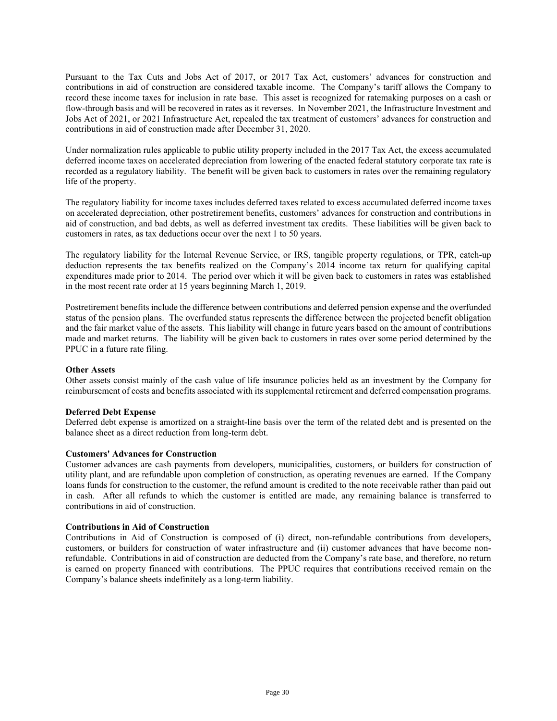Pursuant to the Tax Cuts and Jobs Act of 2017, or 2017 Tax Act, customers' advances for construction and contributions in aid of construction are considered taxable income. The Company's tariff allows the Company to record these income taxes for inclusion in rate base. This asset is recognized for ratemaking purposes on a cash or flow-through basis and will be recovered in rates as it reverses. In November 2021, the Infrastructure Investment and Jobs Act of 2021, or 2021 Infrastructure Act, repealed the tax treatment of customers' advances for construction and contributions in aid of construction made after December 31, 2020.

Under normalization rules applicable to public utility property included in the 2017 Tax Act, the excess accumulated deferred income taxes on accelerated depreciation from lowering of the enacted federal statutory corporate tax rate is recorded as a regulatory liability. The benefit will be given back to customers in rates over the remaining regulatory life of the property.

The regulatory liability for income taxes includes deferred taxes related to excess accumulated deferred income taxes on accelerated depreciation, other postretirement benefits, customers' advances for construction and contributions in aid of construction, and bad debts, as well as deferred investment tax credits. These liabilities will be given back to customers in rates, as tax deductions occur over the next 1 to 50 years.

The regulatory liability for the Internal Revenue Service, or IRS, tangible property regulations, or TPR, catch-up deduction represents the tax benefits realized on the Company's 2014 income tax return for qualifying capital expenditures made prior to 2014. The period over which it will be given back to customers in rates was established in the most recent rate order at 15 years beginning March 1, 2019.

Postretirement benefits include the difference between contributions and deferred pension expense and the overfunded status of the pension plans. The overfunded status represents the difference between the projected benefit obligation and the fair market value of the assets. This liability will change in future years based on the amount of contributions made and market returns. The liability will be given back to customers in rates over some period determined by the PPUC in a future rate filing.

# **Other Assets**

Other assets consist mainly of the cash value of life insurance policies held as an investment by the Company for reimbursement of costs and benefits associated with its supplemental retirement and deferred compensation programs.

#### **Deferred Debt Expense**

Deferred debt expense is amortized on a straight-line basis over the term of the related debt and is presented on the balance sheet as a direct reduction from long-term debt.

#### **Customers' Advances for Construction**

Customer advances are cash payments from developers, municipalities, customers, or builders for construction of utility plant, and are refundable upon completion of construction, as operating revenues are earned. If the Company loans funds for construction to the customer, the refund amount is credited to the note receivable rather than paid out in cash. After all refunds to which the customer is entitled are made, any remaining balance is transferred to contributions in aid of construction.

# **Contributions in Aid of Construction**

Contributions in Aid of Construction is composed of (i) direct, non-refundable contributions from developers, customers, or builders for construction of water infrastructure and (ii) customer advances that have become nonrefundable. Contributions in aid of construction are deducted from the Company's rate base, and therefore, no return is earned on property financed with contributions. The PPUC requires that contributions received remain on the Company's balance sheets indefinitely as a long-term liability.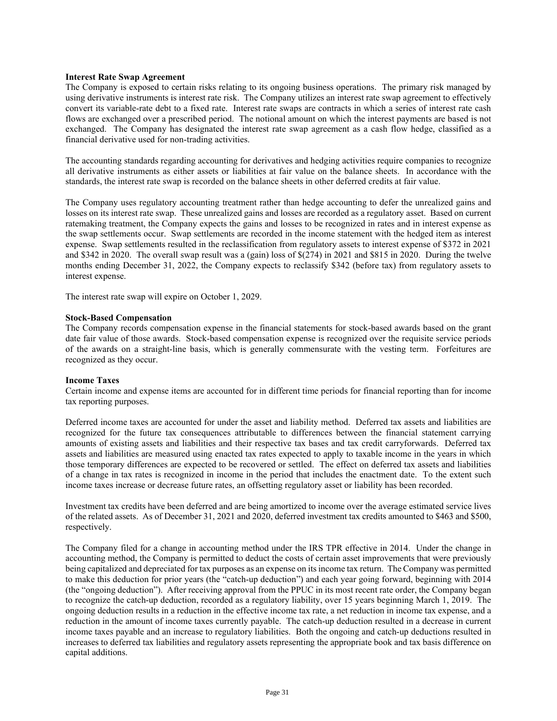#### **Interest Rate Swap Agreement**

The Company is exposed to certain risks relating to its ongoing business operations. The primary risk managed by using derivative instruments is interest rate risk. The Company utilizes an interest rate swap agreement to effectively convert its variable-rate debt to a fixed rate. Interest rate swaps are contracts in which a series of interest rate cash flows are exchanged over a prescribed period. The notional amount on which the interest payments are based is not exchanged. The Company has designated the interest rate swap agreement as a cash flow hedge, classified as a financial derivative used for non-trading activities.

The accounting standards regarding accounting for derivatives and hedging activities require companies to recognize all derivative instruments as either assets or liabilities at fair value on the balance sheets. In accordance with the standards, the interest rate swap is recorded on the balance sheets in other deferred credits at fair value.

The Company uses regulatory accounting treatment rather than hedge accounting to defer the unrealized gains and losses on its interest rate swap. These unrealized gains and losses are recorded as a regulatory asset. Based on current ratemaking treatment, the Company expects the gains and losses to be recognized in rates and in interest expense as the swap settlements occur. Swap settlements are recorded in the income statement with the hedged item as interest expense. Swap settlements resulted in the reclassification from regulatory assets to interest expense of \$372 in 2021 and \$342 in 2020. The overall swap result was a (gain) loss of \$(274) in 2021 and \$815 in 2020. During the twelve months ending December 31, 2022, the Company expects to reclassify \$342 (before tax) from regulatory assets to interest expense.

The interest rate swap will expire on October 1, 2029.

# **Stock-Based Compensation**

The Company records compensation expense in the financial statements for stock-based awards based on the grant date fair value of those awards. Stock-based compensation expense is recognized over the requisite service periods of the awards on a straight-line basis, which is generally commensurate with the vesting term. Forfeitures are recognized as they occur.

#### **Income Taxes**

Certain income and expense items are accounted for in different time periods for financial reporting than for income tax reporting purposes.

Deferred income taxes are accounted for under the asset and liability method. Deferred tax assets and liabilities are recognized for the future tax consequences attributable to differences between the financial statement carrying amounts of existing assets and liabilities and their respective tax bases and tax credit carryforwards. Deferred tax assets and liabilities are measured using enacted tax rates expected to apply to taxable income in the years in which those temporary differences are expected to be recovered or settled. The effect on deferred tax assets and liabilities of a change in tax rates is recognized in income in the period that includes the enactment date. To the extent such income taxes increase or decrease future rates, an offsetting regulatory asset or liability has been recorded.

Investment tax credits have been deferred and are being amortized to income over the average estimated service lives of the related assets. As of December 31, 2021 and 2020, deferred investment tax credits amounted to \$463 and \$500, respectively.

The Company filed for a change in accounting method under the IRS TPR effective in 2014. Under the change in accounting method, the Company is permitted to deduct the costs of certain asset improvements that were previously being capitalized and depreciated for tax purposes as an expense on its income tax return. The Company was permitted to make this deduction for prior years (the "catch-up deduction") and each year going forward, beginning with 2014 (the "ongoing deduction"). After receiving approval from the PPUC in its most recent rate order, the Company began to recognize the catch-up deduction, recorded as a regulatory liability, over 15 years beginning March 1, 2019. The ongoing deduction results in a reduction in the effective income tax rate, a net reduction in income tax expense, and a reduction in the amount of income taxes currently payable. The catch-up deduction resulted in a decrease in current income taxes payable and an increase to regulatory liabilities. Both the ongoing and catch-up deductions resulted in increases to deferred tax liabilities and regulatory assets representing the appropriate book and tax basis difference on capital additions.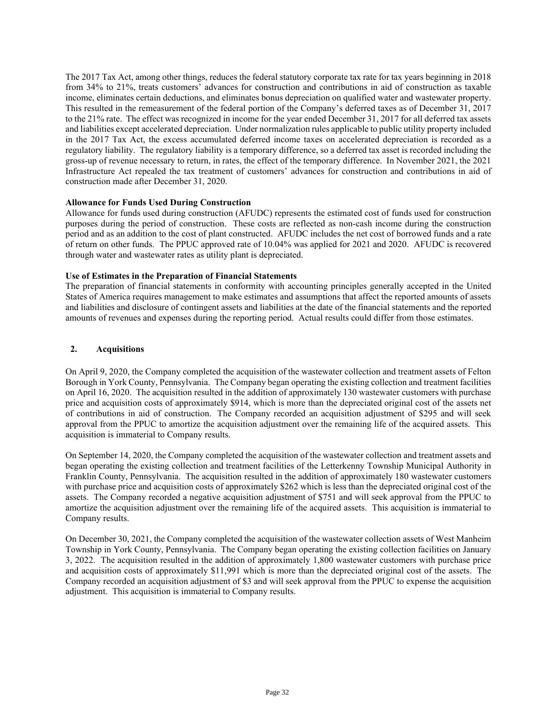The 2017 Tax Act, among other things, reduces the federal statutory corporate tax rate for tax years beginning in 2018 from 34% to 21%, treats customers' advances for construction and contributions in aid of construction as taxable income, eliminates certain deductions, and eliminates bonus depreciation on qualified water and wastewater property. This resulted in the remeasurement of the federal portion of the Company's deferred taxes as of December 31, 2017 to the 21% rate. The effect was recognized in income for the year ended December 31, 2017 for all deferred tax assets and liabilities except accelerated depreciation. Under normalization rules applicable to public utility property included in the 2017 Tax Act, the excess accumulated deferred income taxes on accelerated depreciation is recorded as a regulatory liability. The regulatory liability is a temporary difference, so a deferred tax asset is recorded including the gross-up of revenue necessary to return, in rates, the effect of the temporary difference. In November 2021, the 2021 Infrastructure Act repealed the tax treatment of customers' advances for construction and contributions in aid of construction made after December 31, 2020.

# **Allowance for Funds Used During Construction**

Allowance for funds used during construction (AFUDC) represents the estimated cost of funds used for construction purposes during the period of construction. These costs are reflected as non-cash income during the construction period and as an addition to the cost of plant constructed. AFUDC includes the net cost of borrowed funds and a rate of return on other funds. The PPUC approved rate of 10.04% was applied for 2021 and 2020. AFUDC is recovered through water and wastewater rates as utility plant is depreciated.

# **Use of Estimates in the Preparation of Financial Statements**

The preparation of financial statements in conformity with accounting principles generally accepted in the United States of America requires management to make estimates and assumptions that affect the reported amounts of assets and liabilities and disclosure of contingent assets and liabilities at the date of the financial statements and the reported amounts of revenues and expenses during the reporting period. Actual results could differ from those estimates.

# **2. Acquisitions**

On April 9, 2020, the Company completed the acquisition of the wastewater collection and treatment assets of Felton Borough in York County, Pennsylvania. The Company began operating the existing collection and treatment facilities on April 16, 2020. The acquisition resulted in the addition of approximately 130 wastewater customers with purchase price and acquisition costs of approximately \$914, which is more than the depreciated original cost of the assets net of contributions in aid of construction. The Company recorded an acquisition adjustment of \$295 and will seek approval from the PPUC to amortize the acquisition adjustment over the remaining life of the acquired assets. This acquisition is immaterial to Company results.

On September 14, 2020, the Company completed the acquisition of the wastewater collection and treatment assets and began operating the existing collection and treatment facilities of the Letterkenny Township Municipal Authority in Franklin County, Pennsylvania. The acquisition resulted in the addition of approximately 180 wastewater customers with purchase price and acquisition costs of approximately \$262 which is less than the depreciated original cost of the assets. The Company recorded a negative acquisition adjustment of \$751 and will seek approval from the PPUC to amortize the acquisition adjustment over the remaining life of the acquired assets. This acquisition is immaterial to Company results.

On December 30, 2021, the Company completed the acquisition of the wastewater collection assets of West Manheim Township in York County, Pennsylvania. The Company began operating the existing collection facilities on January 3, 2022. The acquisition resulted in the addition of approximately 1,800 wastewater customers with purchase price and acquisition costs of approximately \$11,991 which is more than the depreciated original cost of the assets. The Company recorded an acquisition adjustment of \$3 and will seek approval from the PPUC to expense the acquisition adjustment. This acquisition is immaterial to Company results.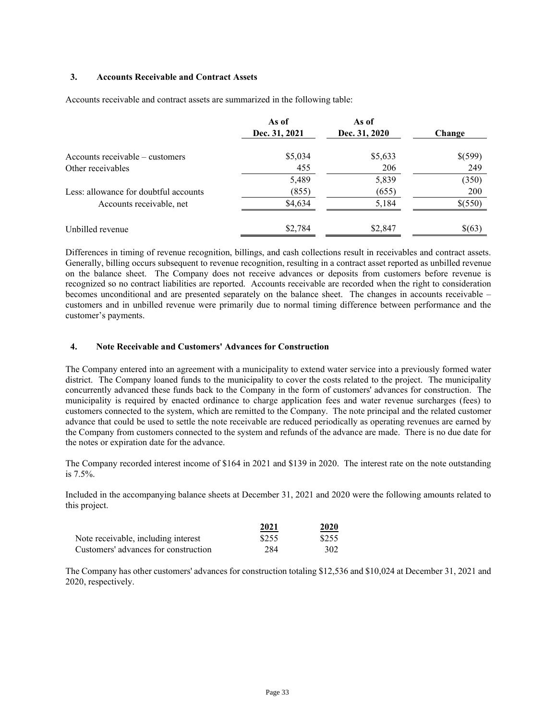# **3. Accounts Receivable and Contract Assets**

Accounts receivable and contract assets are summarized in the following table:

|                                       | As of<br>Dec. 31, 2021 | As of<br>Dec. 31, 2020 | Change  |
|---------------------------------------|------------------------|------------------------|---------|
| Accounts receivable – customers       | \$5,034                | \$5,633                | \$(599) |
| Other receivables                     | 455                    | 206                    | 249     |
|                                       | 5,489                  | 5,839                  | (350)   |
| Less: allowance for doubtful accounts | (855)                  | (655)                  | 200     |
| Accounts receivable, net              | \$4,634                | 5,184                  | \$(550) |
| Unbilled revenue                      | \$2,784                | \$2,847                | \$(63)  |

Differences in timing of revenue recognition, billings, and cash collections result in receivables and contract assets. Generally, billing occurs subsequent to revenue recognition, resulting in a contract asset reported as unbilled revenue on the balance sheet. The Company does not receive advances or deposits from customers before revenue is recognized so no contract liabilities are reported. Accounts receivable are recorded when the right to consideration becomes unconditional and are presented separately on the balance sheet. The changes in accounts receivable – customers and in unbilled revenue were primarily due to normal timing difference between performance and the customer's payments.

# **4. Note Receivable and Customers' Advances for Construction**

The Company entered into an agreement with a municipality to extend water service into a previously formed water district. The Company loaned funds to the municipality to cover the costs related to the project. The municipality concurrently advanced these funds back to the Company in the form of customers' advances for construction. The municipality is required by enacted ordinance to charge application fees and water revenue surcharges (fees) to customers connected to the system, which are remitted to the Company. The note principal and the related customer advance that could be used to settle the note receivable are reduced periodically as operating revenues are earned by the Company from customers connected to the system and refunds of the advance are made. There is no due date for the notes or expiration date for the advance.

The Company recorded interest income of \$164 in 2021 and \$139 in 2020. The interest rate on the note outstanding is 7.5%.

Included in the accompanying balance sheets at December 31, 2021 and 2020 were the following amounts related to this project.

|                                      | 2021  | 2020  |
|--------------------------------------|-------|-------|
| Note receivable, including interest  | \$255 | \$255 |
| Customers' advances for construction | 284   | 302   |

The Company has other customers' advances for construction totaling \$12,536 and \$10,024 at December 31, 2021 and 2020, respectively.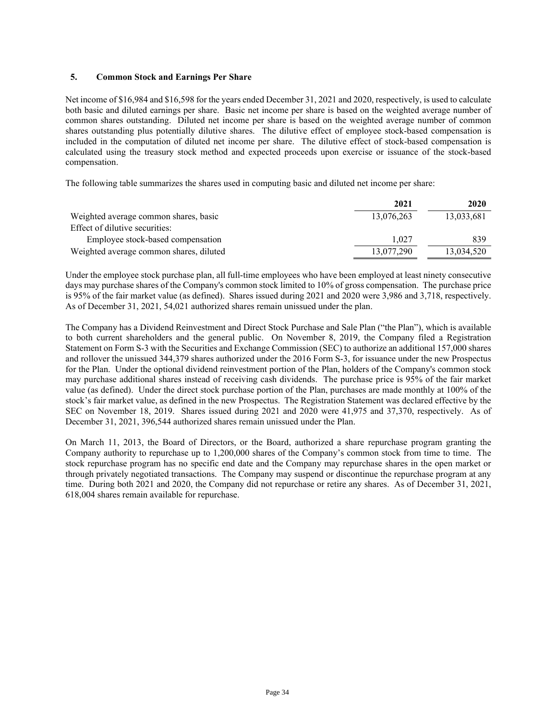# **5. Common Stock and Earnings Per Share**

Net income of \$16,984 and \$16,598 for the years ended December 31, 2021 and 2020, respectively, is used to calculate both basic and diluted earnings per share. Basic net income per share is based on the weighted average number of common shares outstanding. Diluted net income per share is based on the weighted average number of common shares outstanding plus potentially dilutive shares. The dilutive effect of employee stock-based compensation is included in the computation of diluted net income per share. The dilutive effect of stock-based compensation is calculated using the treasury stock method and expected proceeds upon exercise or issuance of the stock-based compensation.

The following table summarizes the shares used in computing basic and diluted net income per share:

|                                         | 2021       | 2020       |
|-----------------------------------------|------------|------------|
| Weighted average common shares, basic   | 13,076,263 | 13,033,681 |
| Effect of dilutive securities:          |            |            |
| Employee stock-based compensation       | 1.027      | 839        |
| Weighted average common shares, diluted | 13,077,290 | 13.034.520 |

Under the employee stock purchase plan, all full-time employees who have been employed at least ninety consecutive days may purchase shares of the Company's common stock limited to 10% of gross compensation. The purchase price is 95% of the fair market value (as defined). Shares issued during 2021 and 2020 were 3,986 and 3,718, respectively. As of December 31, 2021, 54,021 authorized shares remain unissued under the plan.

The Company has a Dividend Reinvestment and Direct Stock Purchase and Sale Plan ("the Plan"), which is available to both current shareholders and the general public. On November 8, 2019, the Company filed a Registration Statement on Form S-3 with the Securities and Exchange Commission (SEC) to authorize an additional 157,000 shares and rollover the unissued 344,379 shares authorized under the 2016 Form S-3, for issuance under the new Prospectus for the Plan. Under the optional dividend reinvestment portion of the Plan, holders of the Company's common stock may purchase additional shares instead of receiving cash dividends. The purchase price is 95% of the fair market value (as defined). Under the direct stock purchase portion of the Plan, purchases are made monthly at 100% of the stock's fair market value, as defined in the new Prospectus. The Registration Statement was declared effective by the SEC on November 18, 2019. Shares issued during 2021 and 2020 were 41,975 and 37,370, respectively. As of December 31, 2021, 396,544 authorized shares remain unissued under the Plan.

On March 11, 2013, the Board of Directors, or the Board, authorized a share repurchase program granting the Company authority to repurchase up to 1,200,000 shares of the Company's common stock from time to time. The stock repurchase program has no specific end date and the Company may repurchase shares in the open market or through privately negotiated transactions. The Company may suspend or discontinue the repurchase program at any time. During both 2021 and 2020, the Company did not repurchase or retire any shares. As of December 31, 2021, 618,004 shares remain available for repurchase.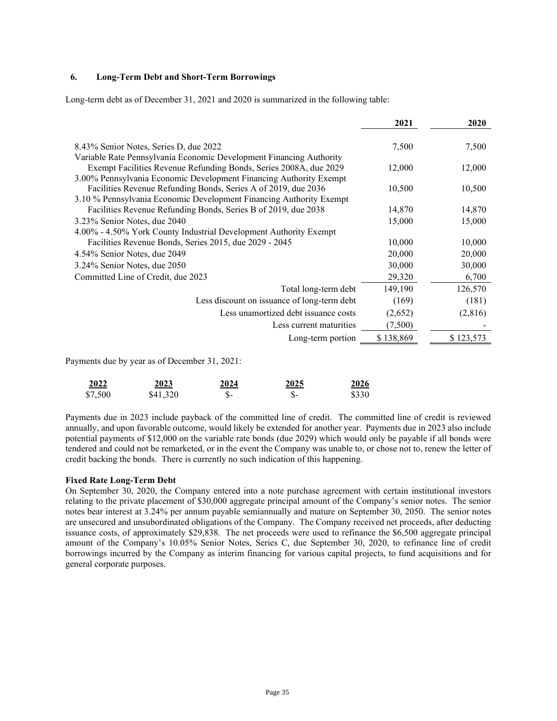# **6. Long-Term Debt and Short-Term Borrowings**

Long-term debt as of December 31, 2021 and 2020 is summarized in the following table:

|                                                                                                                                         | 2021      | 2020      |
|-----------------------------------------------------------------------------------------------------------------------------------------|-----------|-----------|
| 8.43% Senior Notes, Series D, due 2022<br>Variable Rate Pennsylvania Economic Development Financing Authority                           | 7,500     | 7,500     |
| Exempt Facilities Revenue Refunding Bonds, Series 2008A, due 2029<br>3.00% Pennsylvania Economic Development Financing Authority Exempt | 12,000    | 12,000    |
| Facilities Revenue Refunding Bonds, Series A of 2019, due 2036<br>3.10 % Pennsylvania Economic Development Financing Authority Exempt   | 10,500    | 10,500    |
| Facilities Revenue Refunding Bonds, Series B of 2019, due 2038                                                                          | 14,870    | 14,870    |
| 3.23% Senior Notes, due 2040                                                                                                            | 15,000    | 15,000    |
| 4.00% - 4.50% York County Industrial Development Authority Exempt                                                                       |           |           |
| Facilities Revenue Bonds, Series 2015, due 2029 - 2045                                                                                  | 10,000    | 10,000    |
| 4.54% Senior Notes, due 2049                                                                                                            | 20,000    | 20,000    |
| 3.24% Senior Notes, due 2050                                                                                                            | 30,000    | 30,000    |
| Committed Line of Credit, due 2023                                                                                                      | 29,320    | 6,700     |
| Total long-term debt                                                                                                                    | 149,190   | 126,570   |
| Less discount on issuance of long-term debt                                                                                             | (169)     | (181)     |
| Less unamortized debt issuance costs                                                                                                    | (2,652)   | (2,816)   |
| Less current maturities                                                                                                                 | (7,500)   |           |
| Long-term portion                                                                                                                       | \$138,869 | \$123,573 |

Payments due by year as of December 31, 2021:

| 2022    | 2023     | 2024 | 2025 | 2026  |
|---------|----------|------|------|-------|
| \$7,500 | \$41,320 | \$-  | \$-  | \$330 |

Payments due in 2023 include payback of the committed line of credit. The committed line of credit is reviewed annually, and upon favorable outcome, would likely be extended for another year. Payments due in 2023 also include potential payments of \$12,000 on the variable rate bonds (due 2029) which would only be payable if all bonds were tendered and could not be remarketed, or in the event the Company was unable to, or chose not to, renew the letter of credit backing the bonds. There is currently no such indication of this happening.

#### **Fixed Rate Long-Term Debt**

On September 30, 2020, the Company entered into a note purchase agreement with certain institutional investors relating to the private placement of \$30,000 aggregate principal amount of the Company's senior notes. The senior notes bear interest at 3.24% per annum payable semiannually and mature on September 30, 2050. The senior notes are unsecured and unsubordinated obligations of the Company. The Company received net proceeds, after deducting issuance costs, of approximately \$29,838. The net proceeds were used to refinance the \$6,500 aggregate principal amount of the Company's 10.05% Senior Notes, Series C, due September 30, 2020, to refinance line of credit borrowings incurred by the Company as interim financing for various capital projects, to fund acquisitions and for general corporate purposes.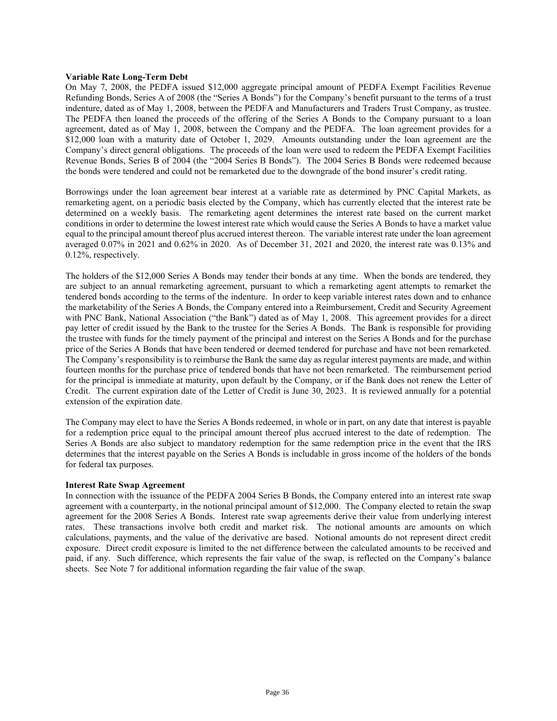#### **Variable Rate Long-Term Debt**

On May 7, 2008, the PEDFA issued \$12,000 aggregate principal amount of PEDFA Exempt Facilities Revenue Refunding Bonds, Series A of 2008 (the "Series A Bonds") for the Company's benefit pursuant to the terms of a trust indenture, dated as of May 1, 2008, between the PEDFA and Manufacturers and Traders Trust Company, as trustee. The PEDFA then loaned the proceeds of the offering of the Series A Bonds to the Company pursuant to a loan agreement, dated as of May 1, 2008, between the Company and the PEDFA. The loan agreement provides for a \$12,000 loan with a maturity date of October 1, 2029. Amounts outstanding under the loan agreement are the Company's direct general obligations. The proceeds of the loan were used to redeem the PEDFA Exempt Facilities Revenue Bonds, Series B of 2004 (the "2004 Series B Bonds"). The 2004 Series B Bonds were redeemed because the bonds were tendered and could not be remarketed due to the downgrade of the bond insurer's credit rating.

Borrowings under the loan agreement bear interest at a variable rate as determined by PNC Capital Markets, as remarketing agent, on a periodic basis elected by the Company, which has currently elected that the interest rate be determined on a weekly basis. The remarketing agent determines the interest rate based on the current market conditions in order to determine the lowest interest rate which would cause the Series A Bonds to have a market value equal to the principal amount thereof plus accrued interest thereon. The variable interest rate under the loan agreement averaged 0.07% in 2021 and 0.62% in 2020. As of December 31, 2021 and 2020, the interest rate was 0.13% and 0.12%, respectively.

The holders of the \$12,000 Series A Bonds may tender their bonds at any time. When the bonds are tendered, they are subject to an annual remarketing agreement, pursuant to which a remarketing agent attempts to remarket the tendered bonds according to the terms of the indenture. In order to keep variable interest rates down and to enhance the marketability of the Series A Bonds, the Company entered into a Reimbursement, Credit and Security Agreement with PNC Bank, National Association ("the Bank") dated as of May 1, 2008. This agreement provides for a direct pay letter of credit issued by the Bank to the trustee for the Series A Bonds. The Bank is responsible for providing the trustee with funds for the timely payment of the principal and interest on the Series A Bonds and for the purchase price of the Series A Bonds that have been tendered or deemed tendered for purchase and have not been remarketed. The Company's responsibility is to reimburse the Bank the same day as regular interest payments are made, and within fourteen months for the purchase price of tendered bonds that have not been remarketed. The reimbursement period for the principal is immediate at maturity, upon default by the Company, or if the Bank does not renew the Letter of Credit. The current expiration date of the Letter of Credit is June 30, 2023. It is reviewed annually for a potential extension of the expiration date.

The Company may elect to have the Series A Bonds redeemed, in whole or in part, on any date that interest is payable for a redemption price equal to the principal amount thereof plus accrued interest to the date of redemption. The Series A Bonds are also subject to mandatory redemption for the same redemption price in the event that the IRS determines that the interest payable on the Series A Bonds is includable in gross income of the holders of the bonds for federal tax purposes.

#### **Interest Rate Swap Agreement**

In connection with the issuance of the PEDFA 2004 Series B Bonds, the Company entered into an interest rate swap agreement with a counterparty, in the notional principal amount of \$12,000. The Company elected to retain the swap agreement for the 2008 Series A Bonds. Interest rate swap agreements derive their value from underlying interest rates. These transactions involve both credit and market risk. The notional amounts are amounts on which calculations, payments, and the value of the derivative are based. Notional amounts do not represent direct credit exposure. Direct credit exposure is limited to the net difference between the calculated amounts to be received and paid, if any. Such difference, which represents the fair value of the swap, is reflected on the Company's balance sheets. See Note 7 for additional information regarding the fair value of the swap.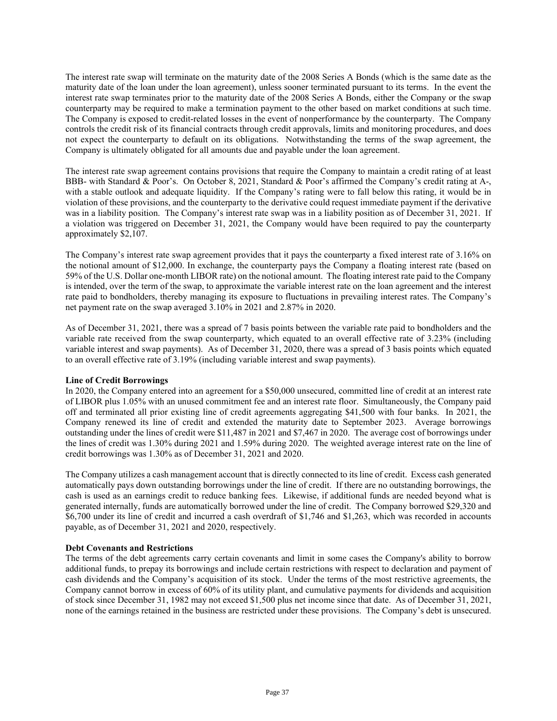The interest rate swap will terminate on the maturity date of the 2008 Series A Bonds (which is the same date as the maturity date of the loan under the loan agreement), unless sooner terminated pursuant to its terms. In the event the interest rate swap terminates prior to the maturity date of the 2008 Series A Bonds, either the Company or the swap counterparty may be required to make a termination payment to the other based on market conditions at such time. The Company is exposed to credit-related losses in the event of nonperformance by the counterparty. The Company controls the credit risk of its financial contracts through credit approvals, limits and monitoring procedures, and does not expect the counterparty to default on its obligations. Notwithstanding the terms of the swap agreement, the Company is ultimately obligated for all amounts due and payable under the loan agreement.

The interest rate swap agreement contains provisions that require the Company to maintain a credit rating of at least BBB- with Standard & Poor's. On October 8, 2021, Standard & Poor's affirmed the Company's credit rating at A-, with a stable outlook and adequate liquidity. If the Company's rating were to fall below this rating, it would be in violation of these provisions, and the counterparty to the derivative could request immediate payment if the derivative was in a liability position. The Company's interest rate swap was in a liability position as of December 31, 2021. If a violation was triggered on December 31, 2021, the Company would have been required to pay the counterparty approximately \$2,107.

The Company's interest rate swap agreement provides that it pays the counterparty a fixed interest rate of 3.16% on the notional amount of \$12,000. In exchange, the counterparty pays the Company a floating interest rate (based on 59% of the U.S. Dollar one-month LIBOR rate) on the notional amount. The floating interest rate paid to the Company is intended, over the term of the swap, to approximate the variable interest rate on the loan agreement and the interest rate paid to bondholders, thereby managing its exposure to fluctuations in prevailing interest rates. The Company's net payment rate on the swap averaged 3.10% in 2021 and 2.87% in 2020.

As of December 31, 2021, there was a spread of 7 basis points between the variable rate paid to bondholders and the variable rate received from the swap counterparty, which equated to an overall effective rate of 3.23% (including variable interest and swap payments). As of December 31, 2020, there was a spread of 3 basis points which equated to an overall effective rate of 3.19% (including variable interest and swap payments).

# **Line of Credit Borrowings**

In 2020, the Company entered into an agreement for a \$50,000 unsecured, committed line of credit at an interest rate of LIBOR plus 1.05% with an unused commitment fee and an interest rate floor. Simultaneously, the Company paid off and terminated all prior existing line of credit agreements aggregating \$41,500 with four banks. In 2021, the Company renewed its line of credit and extended the maturity date to September 2023. Average borrowings outstanding under the lines of credit were \$11,487 in 2021 and \$7,467 in 2020. The average cost of borrowings under the lines of credit was 1.30% during 2021 and 1.59% during 2020. The weighted average interest rate on the line of credit borrowings was 1.30% as of December 31, 2021 and 2020.

The Company utilizes a cash management account that is directly connected to its line of credit. Excess cash generated automatically pays down outstanding borrowings under the line of credit. If there are no outstanding borrowings, the cash is used as an earnings credit to reduce banking fees. Likewise, if additional funds are needed beyond what is generated internally, funds are automatically borrowed under the line of credit. The Company borrowed \$29,320 and \$6,700 under its line of credit and incurred a cash overdraft of \$1,746 and \$1,263, which was recorded in accounts payable, as of December 31, 2021 and 2020, respectively.

# **Debt Covenants and Restrictions**

The terms of the debt agreements carry certain covenants and limit in some cases the Company's ability to borrow additional funds, to prepay its borrowings and include certain restrictions with respect to declaration and payment of cash dividends and the Company's acquisition of its stock. Under the terms of the most restrictive agreements, the Company cannot borrow in excess of 60% of its utility plant, and cumulative payments for dividends and acquisition of stock since December 31, 1982 may not exceed \$1,500 plus net income since that date. As of December 31, 2021, none of the earnings retained in the business are restricted under these provisions. The Company's debt is unsecured.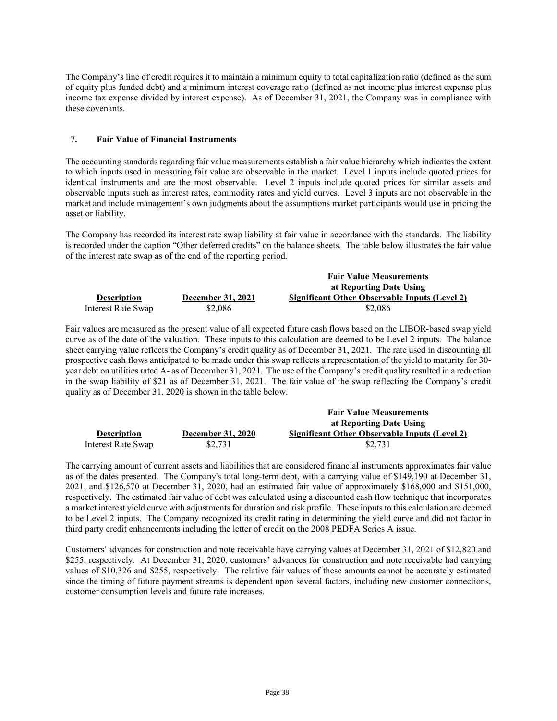The Company's line of credit requires it to maintain a minimum equity to total capitalization ratio (defined as the sum of equity plus funded debt) and a minimum interest coverage ratio (defined as net income plus interest expense plus income tax expense divided by interest expense). As of December 31, 2021, the Company was in compliance with these covenants.

# **7. Fair Value of Financial Instruments**

The accounting standards regarding fair value measurements establish a fair value hierarchy which indicates the extent to which inputs used in measuring fair value are observable in the market. Level 1 inputs include quoted prices for identical instruments and are the most observable. Level 2 inputs include quoted prices for similar assets and observable inputs such as interest rates, commodity rates and yield curves. Level 3 inputs are not observable in the market and include management's own judgments about the assumptions market participants would use in pricing the asset or liability.

The Company has recorded its interest rate swap liability at fair value in accordance with the standards. The liability is recorded under the caption "Other deferred credits" on the balance sheets. The table below illustrates the fair value of the interest rate swap as of the end of the reporting period.

|                    |                          | <b>Fair Value Measurements</b>                |
|--------------------|--------------------------|-----------------------------------------------|
|                    |                          | at Reporting Date Using                       |
| <b>Description</b> | <b>December 31, 2021</b> | Significant Other Observable Inputs (Level 2) |
| Interest Rate Swap | \$2,086                  | \$2,086                                       |

Fair values are measured as the present value of all expected future cash flows based on the LIBOR-based swap yield curve as of the date of the valuation. These inputs to this calculation are deemed to be Level 2 inputs. The balance sheet carrying value reflects the Company's credit quality as of December 31, 2021. The rate used in discounting all prospective cash flows anticipated to be made under this swap reflects a representation of the yield to maturity for 30 year debt on utilities rated A- as of December 31, 2021. The use of the Company's credit quality resulted in a reduction in the swap liability of \$21 as of December 31, 2021. The fair value of the swap reflecting the Company's credit quality as of December 31, 2020 is shown in the table below.

|                    |                          | <b>Fair Value Measurements</b>                |  |
|--------------------|--------------------------|-----------------------------------------------|--|
|                    |                          | at Reporting Date Using                       |  |
| <b>Description</b> | <b>December 31, 2020</b> | Significant Other Observable Inputs (Level 2) |  |
| Interest Rate Swap | \$2,731                  | \$2,731                                       |  |

 $F(x, y) = \frac{1}{2}x^2$ 

The carrying amount of current assets and liabilities that are considered financial instruments approximates fair value as of the dates presented. The Company's total long-term debt, with a carrying value of \$149,190 at December 31, 2021, and \$126,570 at December 31, 2020, had an estimated fair value of approximately \$168,000 and \$151,000, respectively. The estimated fair value of debt was calculated using a discounted cash flow technique that incorporates a market interest yield curve with adjustments for duration and risk profile. These inputs to this calculation are deemed to be Level 2 inputs. The Company recognized its credit rating in determining the yield curve and did not factor in third party credit enhancements including the letter of credit on the 2008 PEDFA Series A issue.

Customers' advances for construction and note receivable have carrying values at December 31, 2021 of \$12,820 and \$255, respectively. At December 31, 2020, customers' advances for construction and note receivable had carrying values of \$10,326 and \$255, respectively. The relative fair values of these amounts cannot be accurately estimated since the timing of future payment streams is dependent upon several factors, including new customer connections, customer consumption levels and future rate increases.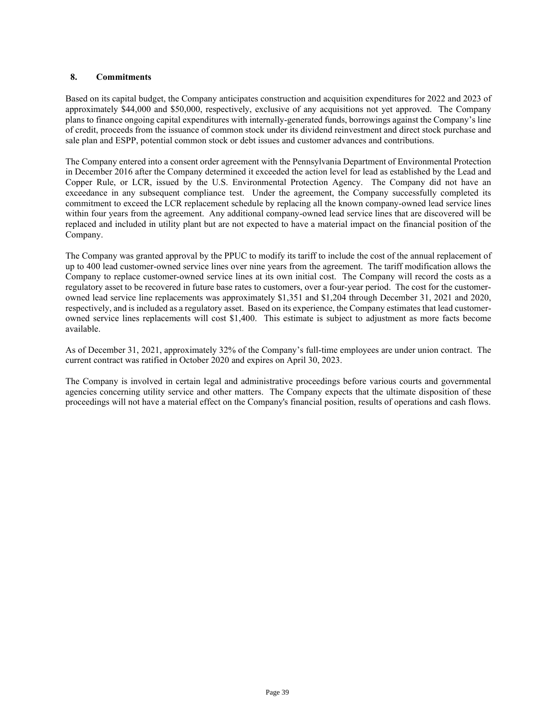# **8. Commitments**

Based on its capital budget, the Company anticipates construction and acquisition expenditures for 2022 and 2023 of approximately \$44,000 and \$50,000, respectively, exclusive of any acquisitions not yet approved. The Company plans to finance ongoing capital expenditures with internally-generated funds, borrowings against the Company's line of credit, proceeds from the issuance of common stock under its dividend reinvestment and direct stock purchase and sale plan and ESPP, potential common stock or debt issues and customer advances and contributions.

The Company entered into a consent order agreement with the Pennsylvania Department of Environmental Protection in December 2016 after the Company determined it exceeded the action level for lead as established by the Lead and Copper Rule, or LCR, issued by the U.S. Environmental Protection Agency. The Company did not have an exceedance in any subsequent compliance test. Under the agreement, the Company successfully completed its commitment to exceed the LCR replacement schedule by replacing all the known company-owned lead service lines within four years from the agreement. Any additional company-owned lead service lines that are discovered will be replaced and included in utility plant but are not expected to have a material impact on the financial position of the Company.

The Company was granted approval by the PPUC to modify its tariff to include the cost of the annual replacement of up to 400 lead customer-owned service lines over nine years from the agreement. The tariff modification allows the Company to replace customer-owned service lines at its own initial cost. The Company will record the costs as a regulatory asset to be recovered in future base rates to customers, over a four-year period. The cost for the customerowned lead service line replacements was approximately \$1,351 and \$1,204 through December 31, 2021 and 2020, respectively, and is included as a regulatory asset. Based on its experience, the Company estimates that lead customerowned service lines replacements will cost \$1,400. This estimate is subject to adjustment as more facts become available.

As of December 31, 2021, approximately 32% of the Company's full-time employees are under union contract. The current contract was ratified in October 2020 and expires on April 30, 2023.

The Company is involved in certain legal and administrative proceedings before various courts and governmental agencies concerning utility service and other matters. The Company expects that the ultimate disposition of these proceedings will not have a material effect on the Company's financial position, results of operations and cash flows.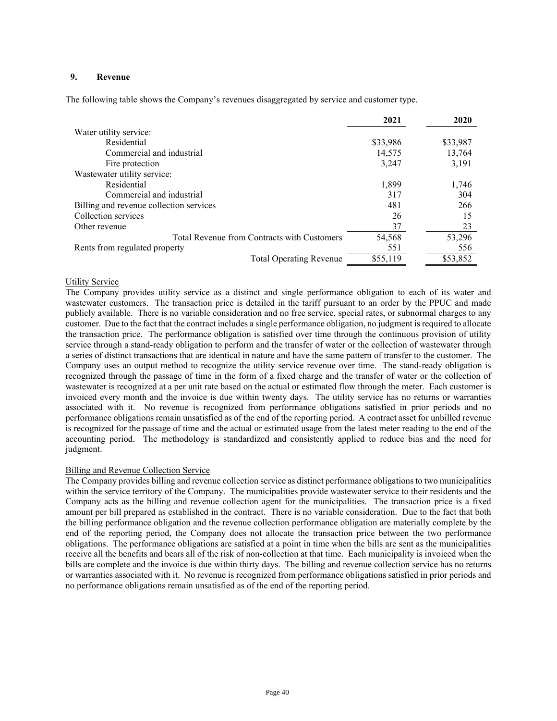### **9. Revenue**

The following table shows the Company's revenues disaggregated by service and customer type.

|                                             | 2021     | 2020     |
|---------------------------------------------|----------|----------|
| Water utility service:                      |          |          |
| Residential                                 | \$33,986 | \$33,987 |
| Commercial and industrial                   | 14,575   | 13,764   |
| Fire protection                             | 3,247    | 3,191    |
| Wastewater utility service:                 |          |          |
| Residential                                 | 1,899    | 1,746    |
| Commercial and industrial                   | 317      | 304      |
| Billing and revenue collection services     | 481      | 266      |
| Collection services                         | 26       | 15       |
| Other revenue                               | 37       | 23       |
| Total Revenue from Contracts with Customers | 54,568   | 53,296   |
| Rents from regulated property               | 551      | 556      |
| <b>Total Operating Revenue</b>              | \$55,119 | \$53,852 |

#### Utility Service

The Company provides utility service as a distinct and single performance obligation to each of its water and wastewater customers. The transaction price is detailed in the tariff pursuant to an order by the PPUC and made publicly available. There is no variable consideration and no free service, special rates, or subnormal charges to any customer. Due to the fact that the contract includes a single performance obligation, no judgment is required to allocate the transaction price. The performance obligation is satisfied over time through the continuous provision of utility service through a stand-ready obligation to perform and the transfer of water or the collection of wastewater through a series of distinct transactions that are identical in nature and have the same pattern of transfer to the customer. The Company uses an output method to recognize the utility service revenue over time. The stand-ready obligation is recognized through the passage of time in the form of a fixed charge and the transfer of water or the collection of wastewater is recognized at a per unit rate based on the actual or estimated flow through the meter. Each customer is invoiced every month and the invoice is due within twenty days. The utility service has no returns or warranties associated with it. No revenue is recognized from performance obligations satisfied in prior periods and no performance obligations remain unsatisfied as of the end of the reporting period. A contract asset for unbilled revenue is recognized for the passage of time and the actual or estimated usage from the latest meter reading to the end of the accounting period. The methodology is standardized and consistently applied to reduce bias and the need for judgment.

#### Billing and Revenue Collection Service

The Company provides billing and revenue collection service as distinct performance obligations to two municipalities within the service territory of the Company. The municipalities provide wastewater service to their residents and the Company acts as the billing and revenue collection agent for the municipalities. The transaction price is a fixed amount per bill prepared as established in the contract. There is no variable consideration. Due to the fact that both the billing performance obligation and the revenue collection performance obligation are materially complete by the end of the reporting period, the Company does not allocate the transaction price between the two performance obligations. The performance obligations are satisfied at a point in time when the bills are sent as the municipalities receive all the benefits and bears all of the risk of non-collection at that time. Each municipality is invoiced when the bills are complete and the invoice is due within thirty days. The billing and revenue collection service has no returns or warranties associated with it. No revenue is recognized from performance obligations satisfied in prior periods and no performance obligations remain unsatisfied as of the end of the reporting period.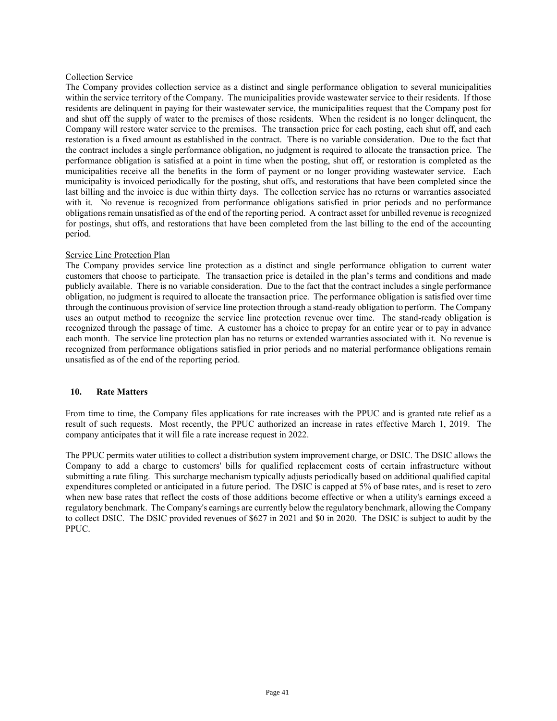# Collection Service

The Company provides collection service as a distinct and single performance obligation to several municipalities within the service territory of the Company. The municipalities provide wastewater service to their residents. If those residents are delinquent in paying for their wastewater service, the municipalities request that the Company post for and shut off the supply of water to the premises of those residents. When the resident is no longer delinquent, the Company will restore water service to the premises. The transaction price for each posting, each shut off, and each restoration is a fixed amount as established in the contract. There is no variable consideration. Due to the fact that the contract includes a single performance obligation, no judgment is required to allocate the transaction price. The performance obligation is satisfied at a point in time when the posting, shut off, or restoration is completed as the municipalities receive all the benefits in the form of payment or no longer providing wastewater service. Each municipality is invoiced periodically for the posting, shut offs, and restorations that have been completed since the last billing and the invoice is due within thirty days. The collection service has no returns or warranties associated with it. No revenue is recognized from performance obligations satisfied in prior periods and no performance obligations remain unsatisfied as of the end of the reporting period. A contract asset for unbilled revenue is recognized for postings, shut offs, and restorations that have been completed from the last billing to the end of the accounting period.

# Service Line Protection Plan

The Company provides service line protection as a distinct and single performance obligation to current water customers that choose to participate. The transaction price is detailed in the plan's terms and conditions and made publicly available. There is no variable consideration. Due to the fact that the contract includes a single performance obligation, no judgment is required to allocate the transaction price. The performance obligation is satisfied over time through the continuous provision of service line protection through a stand-ready obligation to perform. The Company uses an output method to recognize the service line protection revenue over time. The stand-ready obligation is recognized through the passage of time. A customer has a choice to prepay for an entire year or to pay in advance each month. The service line protection plan has no returns or extended warranties associated with it. No revenue is recognized from performance obligations satisfied in prior periods and no material performance obligations remain unsatisfied as of the end of the reporting period.

# **10. Rate Matters**

From time to time, the Company files applications for rate increases with the PPUC and is granted rate relief as a result of such requests. Most recently, the PPUC authorized an increase in rates effective March 1, 2019. The company anticipates that it will file a rate increase request in 2022.

The PPUC permits water utilities to collect a distribution system improvement charge, or DSIC. The DSIC allows the Company to add a charge to customers' bills for qualified replacement costs of certain infrastructure without submitting a rate filing. This surcharge mechanism typically adjusts periodically based on additional qualified capital expenditures completed or anticipated in a future period. The DSIC is capped at 5% of base rates, and is reset to zero when new base rates that reflect the costs of those additions become effective or when a utility's earnings exceed a regulatory benchmark. The Company's earnings are currently below the regulatory benchmark, allowing the Company to collect DSIC. The DSIC provided revenues of \$627 in 2021 and \$0 in 2020. The DSIC is subject to audit by the PPUC.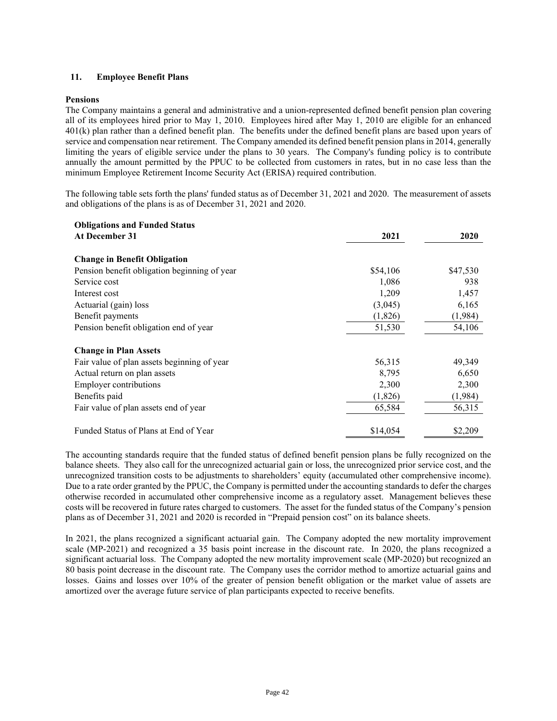# **11. Employee Benefit Plans**

### **Pensions**

The Company maintains a general and administrative and a union-represented defined benefit pension plan covering all of its employees hired prior to May 1, 2010. Employees hired after May 1, 2010 are eligible for an enhanced 401(k) plan rather than a defined benefit plan. The benefits under the defined benefit plans are based upon years of service and compensation near retirement. The Company amended its defined benefit pension plans in 2014, generally limiting the years of eligible service under the plans to 30 years. The Company's funding policy is to contribute annually the amount permitted by the PPUC to be collected from customers in rates, but in no case less than the minimum Employee Retirement Income Security Act (ERISA) required contribution.

The following table sets forth the plans' funded status as of December 31, 2021 and 2020. The measurement of assets and obligations of the plans is as of December 31, 2021 and 2020.

| <b>Obligations and Funded Status</b>         |          |          |
|----------------------------------------------|----------|----------|
| <b>At December 31</b>                        | 2021     | 2020     |
| <b>Change in Benefit Obligation</b>          |          |          |
| Pension benefit obligation beginning of year | \$54,106 | \$47,530 |
| Service cost                                 | 1,086    | 938      |
| Interest cost                                | 1,209    | 1,457    |
| Actuarial (gain) loss                        | (3,045)  | 6,165    |
| Benefit payments                             | (1,826)  | (1,984)  |
| Pension benefit obligation end of year       | 51,530   | 54,106   |
| <b>Change in Plan Assets</b>                 |          |          |
| Fair value of plan assets beginning of year  | 56,315   | 49,349   |
| Actual return on plan assets                 | 8,795    | 6,650    |
| <b>Employer contributions</b>                | 2,300    | 2,300    |
| Benefits paid                                | (1,826)  | (1,984)  |
| Fair value of plan assets end of year        | 65,584   | 56,315   |
| Funded Status of Plans at End of Year        | \$14,054 | \$2,209  |

The accounting standards require that the funded status of defined benefit pension plans be fully recognized on the balance sheets. They also call for the unrecognized actuarial gain or loss, the unrecognized prior service cost, and the unrecognized transition costs to be adjustments to shareholders' equity (accumulated other comprehensive income). Due to a rate order granted by the PPUC, the Company is permitted under the accounting standards to defer the charges otherwise recorded in accumulated other comprehensive income as a regulatory asset. Management believes these costs will be recovered in future rates charged to customers. The asset for the funded status of the Company's pension plans as of December 31, 2021 and 2020 is recorded in "Prepaid pension cost" on its balance sheets.

In 2021, the plans recognized a significant actuarial gain. The Company adopted the new mortality improvement scale (MP-2021) and recognized a 35 basis point increase in the discount rate. In 2020, the plans recognized a significant actuarial loss. The Company adopted the new mortality improvement scale (MP-2020) but recognized an 80 basis point decrease in the discount rate. The Company uses the corridor method to amortize actuarial gains and losses. Gains and losses over 10% of the greater of pension benefit obligation or the market value of assets are amortized over the average future service of plan participants expected to receive benefits.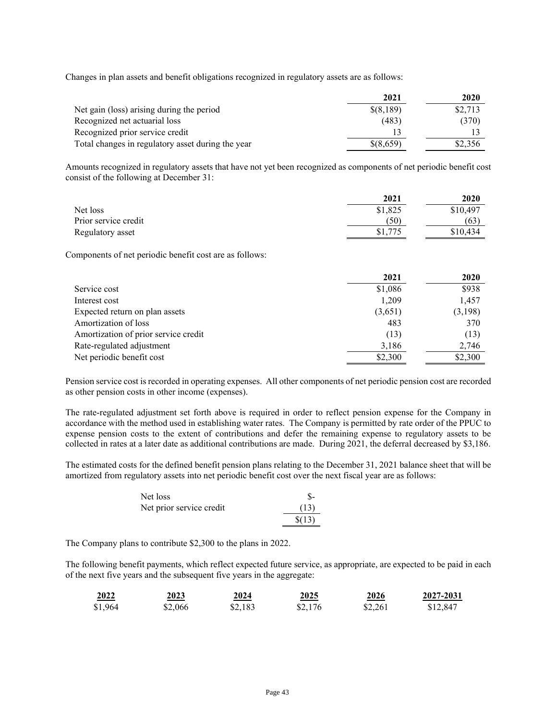Changes in plan assets and benefit obligations recognized in regulatory assets are as follows:

|                                                   | 2021       | 2020    |
|---------------------------------------------------|------------|---------|
| Net gain (loss) arising during the period         | \$(8,189)  | \$2,713 |
| Recognized net actuarial loss                     | (483)      | (370)   |
| Recognized prior service credit                   |            |         |
| Total changes in regulatory asset during the year | \$ (8,659) | \$2,356 |

Amounts recognized in regulatory assets that have not yet been recognized as components of net periodic benefit cost consist of the following at December 31:

|                      | 2021    | 2020     |
|----------------------|---------|----------|
| Net loss             | \$1,825 | \$10,497 |
| Prior service credit | (50)    | (63      |
| Regulatory asset     | \$1.775 | \$10,434 |

Components of net periodic benefit cost are as follows:

|                                      | 2021    | 2020    |
|--------------------------------------|---------|---------|
| Service cost                         | \$1,086 | \$938   |
| Interest cost                        | 1,209   | 1,457   |
| Expected return on plan assets       | (3,651) | (3,198) |
| Amortization of loss                 | 483     | 370     |
| Amortization of prior service credit | (13)    | (13)    |
| Rate-regulated adjustment            | 3,186   | 2,746   |
| Net periodic benefit cost            | \$2,300 | \$2,300 |

Pension service cost is recorded in operating expenses. All other components of net periodic pension cost are recorded as other pension costs in other income (expenses).

The rate-regulated adjustment set forth above is required in order to reflect pension expense for the Company in accordance with the method used in establishing water rates. The Company is permitted by rate order of the PPUC to expense pension costs to the extent of contributions and defer the remaining expense to regulatory assets to be collected in rates at a later date as additional contributions are made. During 2021, the deferral decreased by \$3,186.

The estimated costs for the defined benefit pension plans relating to the December 31, 2021 balance sheet that will be amortized from regulatory assets into net periodic benefit cost over the next fiscal year are as follows:

| Net loss                 |        |
|--------------------------|--------|
| Net prior service credit | (13)   |
|                          | \$(13) |

The Company plans to contribute \$2,300 to the plans in 2022.

The following benefit payments, which reflect expected future service, as appropriate, are expected to be paid in each of the next five years and the subsequent five years in the aggregate:

| 2022    | 2023    | 2024                                                                                                                                                                                                                                 | 2025                              | 2026    | 2027-2031 |
|---------|---------|--------------------------------------------------------------------------------------------------------------------------------------------------------------------------------------------------------------------------------------|-----------------------------------|---------|-----------|
|         |         | <u> The Communication of the Communication of the Communication of the Communication of the Communication of the Communication of the Communication of the Communication of the Communication of the Communication of the Commun</u> | and the control of the control of |         |           |
| \$1,964 | \$2,066 | \$2,183                                                                                                                                                                                                                              | \$2,176                           | \$2,261 | \$12,847  |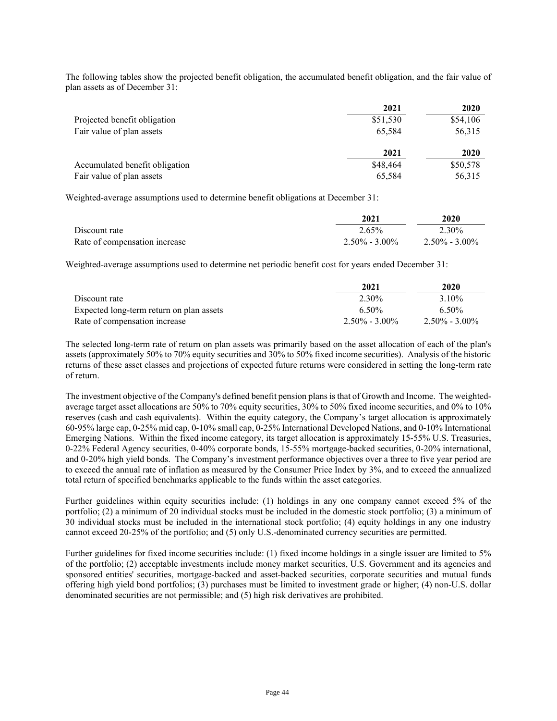The following tables show the projected benefit obligation, the accumulated benefit obligation, and the fair value of plan assets as of December 31:

|                                | 2021     | 2020     |
|--------------------------------|----------|----------|
| Projected benefit obligation   | \$51,530 | \$54,106 |
| Fair value of plan assets      | 65.584   | 56,315   |
|                                | 2021     | 2020     |
| Accumulated benefit obligation | \$48,464 | \$50,578 |
| Fair value of plan assets      | 65.584   | 56,315   |

Weighted-average assumptions used to determine benefit obligations at December 31:

|                               | 2021              | 2020             |
|-------------------------------|-------------------|------------------|
| Discount rate                 | 2.65%             | 2.30%            |
| Rate of compensation increase | $2.50\% - 3.00\%$ | $2.50\%$ - 3.00% |

Weighted-average assumptions used to determine net periodic benefit cost for years ended December 31:

|                                          | 2021              | 2020              |
|------------------------------------------|-------------------|-------------------|
| Discount rate                            | $2.30\%$          | $3.10\%$          |
| Expected long-term return on plan assets | $6.50\%$          | $6.50\%$          |
| Rate of compensation increase            | $2.50\% - 3.00\%$ | $2.50\% - 3.00\%$ |

The selected long-term rate of return on plan assets was primarily based on the asset allocation of each of the plan's assets (approximately 50% to 70% equity securities and 30% to 50% fixed income securities). Analysis of the historic returns of these asset classes and projections of expected future returns were considered in setting the long-term rate of return.

The investment objective of the Company's defined benefit pension plans is that of Growth and Income. The weightedaverage target asset allocations are 50% to 70% equity securities, 30% to 50% fixed income securities, and 0% to 10% reserves (cash and cash equivalents). Within the equity category, the Company's target allocation is approximately 60-95% large cap, 0-25% mid cap, 0-10% small cap, 0-25% International Developed Nations, and 0-10% International Emerging Nations. Within the fixed income category, its target allocation is approximately 15-55% U.S. Treasuries, 0-22% Federal Agency securities, 0-40% corporate bonds, 15-55% mortgage-backed securities, 0-20% international, and 0-20% high yield bonds. The Company's investment performance objectives over a three to five year period are to exceed the annual rate of inflation as measured by the Consumer Price Index by 3%, and to exceed the annualized total return of specified benchmarks applicable to the funds within the asset categories.

Further guidelines within equity securities include: (1) holdings in any one company cannot exceed 5% of the portfolio; (2) a minimum of 20 individual stocks must be included in the domestic stock portfolio; (3) a minimum of 30 individual stocks must be included in the international stock portfolio; (4) equity holdings in any one industry cannot exceed 20-25% of the portfolio; and (5) only U.S.-denominated currency securities are permitted.

Further guidelines for fixed income securities include: (1) fixed income holdings in a single issuer are limited to 5% of the portfolio; (2) acceptable investments include money market securities, U.S. Government and its agencies and sponsored entities' securities, mortgage-backed and asset-backed securities, corporate securities and mutual funds offering high yield bond portfolios; (3) purchases must be limited to investment grade or higher; (4) non-U.S. dollar denominated securities are not permissible; and (5) high risk derivatives are prohibited.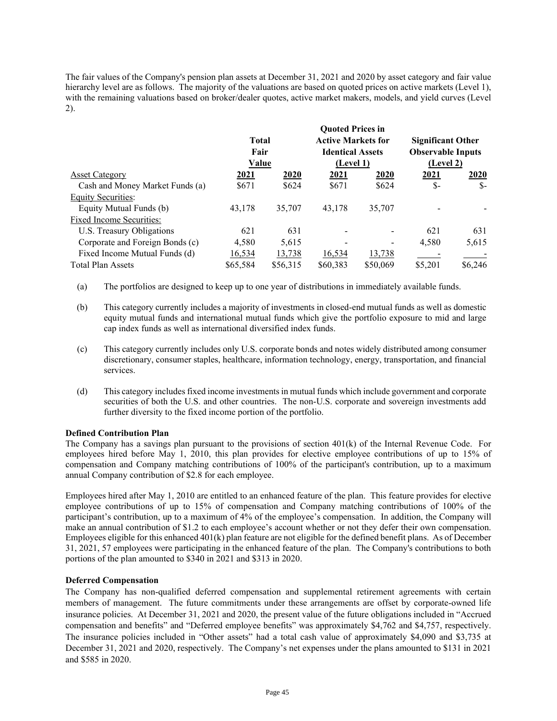The fair values of the Company's pension plan assets at December 31, 2021 and 2020 by asset category and fair value hierarchy level are as follows. The majority of the valuations are based on quoted prices on active markets (Level 1), with the remaining valuations based on broker/dealer quotes, active market makers, models, and yield curves (Level 2).

|                                 | <b>Total</b><br>Fair<br><b>Value</b> |             | <b>Quoted Prices in</b><br><b>Active Markets for</b><br><b>Identical Assets</b><br>(Level 1) |                          | <b>Significant Other</b><br><b>Observable Inputs</b><br>(Level 2) |             |
|---------------------------------|--------------------------------------|-------------|----------------------------------------------------------------------------------------------|--------------------------|-------------------------------------------------------------------|-------------|
| <b>Asset Category</b>           | <u>2021</u>                          | <b>2020</b> | <u>2021</u>                                                                                  | <b>2020</b>              | 2021                                                              | <u>2020</u> |
| Cash and Money Market Funds (a) | \$671                                | \$624       | \$671                                                                                        | \$624                    | $S-$                                                              | $S-$        |
| <b>Equity Securities:</b>       |                                      |             |                                                                                              |                          |                                                                   |             |
| Equity Mutual Funds (b)         | 43.178                               | 35,707      | 43.178                                                                                       | 35,707                   |                                                                   |             |
| <b>Fixed Income Securities:</b> |                                      |             |                                                                                              |                          |                                                                   |             |
| U.S. Treasury Obligations       | 621                                  | 631         |                                                                                              | $\overline{\phantom{0}}$ | 621                                                               | 631         |
| Corporate and Foreign Bonds (c) | 4.580                                | 5.615       |                                                                                              |                          | 4,580                                                             | 5,615       |
| Fixed Income Mutual Funds (d)   | 16.534                               | 13,738      | 16,534                                                                                       | 13,738                   |                                                                   |             |
| <b>Total Plan Assets</b>        | \$65,584                             | \$56,315    | \$60,383                                                                                     | \$50,069                 | \$5,201                                                           | \$6,246     |

(a) The portfolios are designed to keep up to one year of distributions in immediately available funds.

- (b) This category currently includes a majority of investments in closed-end mutual funds as well as domestic equity mutual funds and international mutual funds which give the portfolio exposure to mid and large cap index funds as well as international diversified index funds.
- (c) This category currently includes only U.S. corporate bonds and notes widely distributed among consumer discretionary, consumer staples, healthcare, information technology, energy, transportation, and financial services.
- (d) This category includes fixed income investments in mutual funds which include government and corporate securities of both the U.S. and other countries. The non-U.S. corporate and sovereign investments add further diversity to the fixed income portion of the portfolio.

# **Defined Contribution Plan**

The Company has a savings plan pursuant to the provisions of section 401(k) of the Internal Revenue Code. For employees hired before May 1, 2010, this plan provides for elective employee contributions of up to 15% of compensation and Company matching contributions of 100% of the participant's contribution, up to a maximum annual Company contribution of \$2.8 for each employee.

Employees hired after May 1, 2010 are entitled to an enhanced feature of the plan. This feature provides for elective employee contributions of up to 15% of compensation and Company matching contributions of 100% of the participant's contribution, up to a maximum of 4% of the employee's compensation. In addition, the Company will make an annual contribution of \$1.2 to each employee's account whether or not they defer their own compensation. Employees eligible for this enhanced 401(k) plan feature are not eligible for the defined benefit plans. As of December 31, 2021, 57 employees were participating in the enhanced feature of the plan. The Company's contributions to both portions of the plan amounted to \$340 in 2021 and \$313 in 2020.

# **Deferred Compensation**

The Company has non-qualified deferred compensation and supplemental retirement agreements with certain members of management. The future commitments under these arrangements are offset by corporate-owned life insurance policies. At December 31, 2021 and 2020, the present value of the future obligations included in "Accrued compensation and benefits" and "Deferred employee benefits" was approximately \$4,762 and \$4,757, respectively. The insurance policies included in "Other assets" had a total cash value of approximately \$4,090 and \$3,735 at December 31, 2021 and 2020, respectively. The Company's net expenses under the plans amounted to \$131 in 2021 and \$585 in 2020.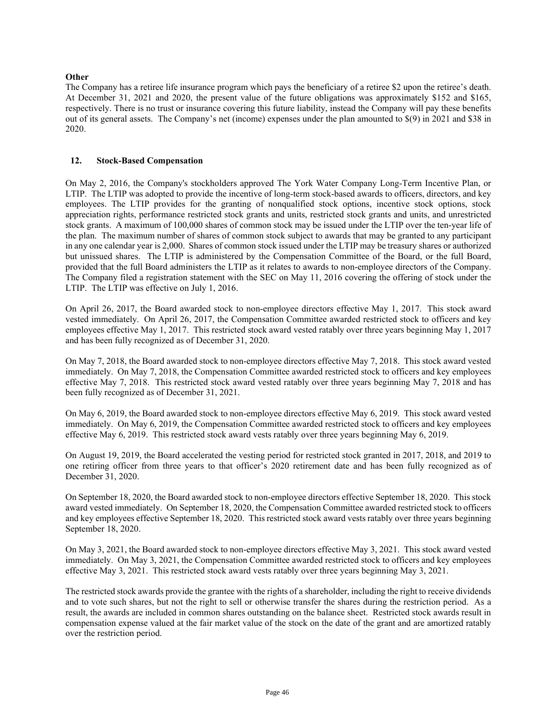# **Other**

The Company has a retiree life insurance program which pays the beneficiary of a retiree \$2 upon the retiree's death. At December 31, 2021 and 2020, the present value of the future obligations was approximately \$152 and \$165, respectively. There is no trust or insurance covering this future liability, instead the Company will pay these benefits out of its general assets. The Company's net (income) expenses under the plan amounted to \$(9) in 2021 and \$38 in 2020.

# **12. Stock-Based Compensation**

On May 2, 2016, the Company's stockholders approved The York Water Company Long-Term Incentive Plan, or LTIP. The LTIP was adopted to provide the incentive of long-term stock-based awards to officers, directors, and key employees. The LTIP provides for the granting of nonqualified stock options, incentive stock options, stock appreciation rights, performance restricted stock grants and units, restricted stock grants and units, and unrestricted stock grants. A maximum of 100,000 shares of common stock may be issued under the LTIP over the ten-year life of the plan. The maximum number of shares of common stock subject to awards that may be granted to any participant in any one calendar year is 2,000. Shares of common stock issued under the LTIP may be treasury shares or authorized but unissued shares. The LTIP is administered by the Compensation Committee of the Board, or the full Board, provided that the full Board administers the LTIP as it relates to awards to non-employee directors of the Company. The Company filed a registration statement with the SEC on May 11, 2016 covering the offering of stock under the LTIP. The LTIP was effective on July 1, 2016.

On April 26, 2017, the Board awarded stock to non-employee directors effective May 1, 2017. This stock award vested immediately. On April 26, 2017, the Compensation Committee awarded restricted stock to officers and key employees effective May 1, 2017. This restricted stock award vested ratably over three years beginning May 1, 2017 and has been fully recognized as of December 31, 2020.

On May 7, 2018, the Board awarded stock to non-employee directors effective May 7, 2018. This stock award vested immediately. On May 7, 2018, the Compensation Committee awarded restricted stock to officers and key employees effective May 7, 2018. This restricted stock award vested ratably over three years beginning May 7, 2018 and has been fully recognized as of December 31, 2021.

On May 6, 2019, the Board awarded stock to non-employee directors effective May 6, 2019. This stock award vested immediately. On May 6, 2019, the Compensation Committee awarded restricted stock to officers and key employees effective May 6, 2019. This restricted stock award vests ratably over three years beginning May 6, 2019.

On August 19, 2019, the Board accelerated the vesting period for restricted stock granted in 2017, 2018, and 2019 to one retiring officer from three years to that officer's 2020 retirement date and has been fully recognized as of December 31, 2020.

On September 18, 2020, the Board awarded stock to non-employee directors effective September 18, 2020. This stock award vested immediately. On September 18, 2020, the Compensation Committee awarded restricted stock to officers and key employees effective September 18, 2020. This restricted stock award vests ratably over three years beginning September 18, 2020.

On May 3, 2021, the Board awarded stock to non-employee directors effective May 3, 2021. This stock award vested immediately. On May 3, 2021, the Compensation Committee awarded restricted stock to officers and key employees effective May 3, 2021. This restricted stock award vests ratably over three years beginning May 3, 2021.

The restricted stock awards provide the grantee with the rights of a shareholder, including the right to receive dividends and to vote such shares, but not the right to sell or otherwise transfer the shares during the restriction period. As a result, the awards are included in common shares outstanding on the balance sheet. Restricted stock awards result in compensation expense valued at the fair market value of the stock on the date of the grant and are amortized ratably over the restriction period.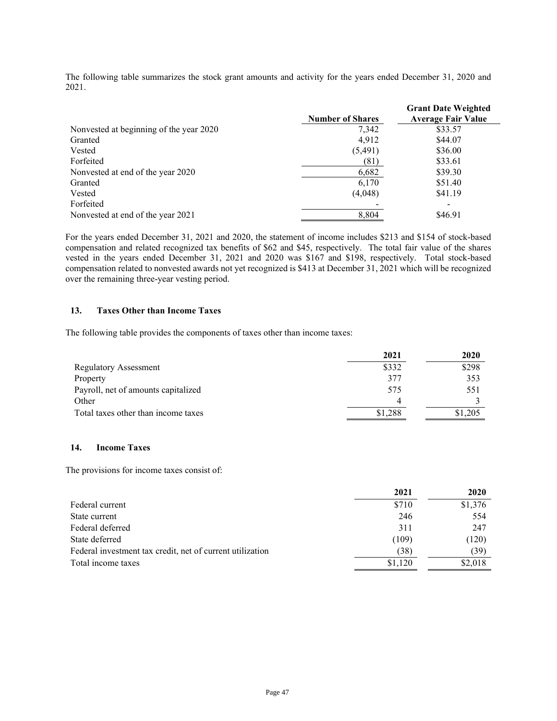The following table summarizes the stock grant amounts and activity for the years ended December 31, 2020 and 2021.

|                                         |                         | <b>Grant Date Weighted</b> |
|-----------------------------------------|-------------------------|----------------------------|
|                                         | <b>Number of Shares</b> | <b>Average Fair Value</b>  |
| Nonvested at beginning of the year 2020 | 7,342                   | \$33.57                    |
| Granted                                 | 4,912                   | \$44.07                    |
| Vested                                  | (5,491)                 | \$36.00                    |
| Forfeited                               | (81)                    | \$33.61                    |
| Nonvested at end of the year 2020       | 6,682                   | \$39.30                    |
| Granted                                 | 6.170                   | \$51.40                    |
| Vested                                  | (4,048)                 | \$41.19                    |
| Forfeited                               |                         |                            |
| Nonvested at end of the year 2021       | 8,804                   | \$46.91                    |

For the years ended December 31, 2021 and 2020, the statement of income includes \$213 and \$154 of stock-based compensation and related recognized tax benefits of \$62 and \$45, respectively. The total fair value of the shares vested in the years ended December 31, 2021 and 2020 was \$167 and \$198, respectively. Total stock-based compensation related to nonvested awards not yet recognized is \$413 at December 31, 2021 which will be recognized over the remaining three-year vesting period.

# **13. Taxes Other than Income Taxes**

The following table provides the components of taxes other than income taxes:

|                                     | 2021    | 2020    |
|-------------------------------------|---------|---------|
| <b>Regulatory Assessment</b>        | \$332   | \$298   |
| Property                            | 377     | 353     |
| Payroll, net of amounts capitalized | 575     | 551     |
| Other                               |         |         |
| Total taxes other than income taxes | \$1,288 | \$1,205 |

# **14. Income Taxes**

The provisions for income taxes consist of:

|                                                           | 2021    | 2020    |
|-----------------------------------------------------------|---------|---------|
| Federal current                                           | \$710   | \$1,376 |
| State current                                             | 246     | 554     |
| Federal deferred                                          | 311     | 247     |
| State deferred                                            | (109)   | (120)   |
| Federal investment tax credit, net of current utilization | (38)    | (39)    |
| Total income taxes                                        | \$1,120 | \$2,018 |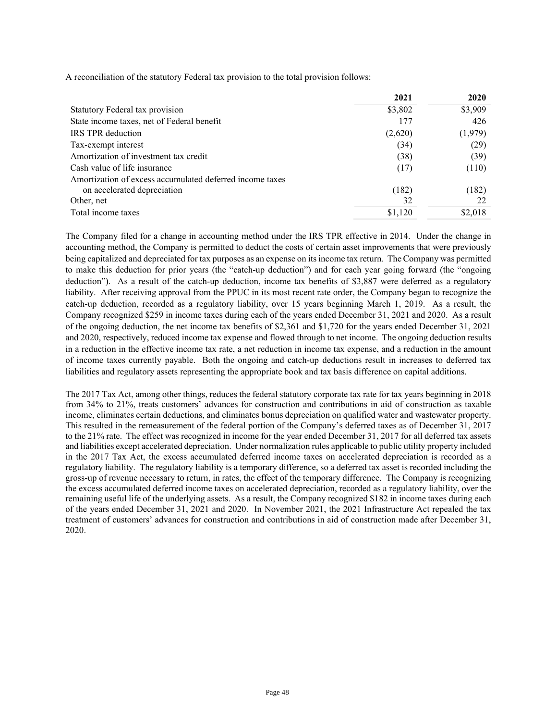A reconciliation of the statutory Federal tax provision to the total provision follows:

|                                                          | 2021    | 2020    |
|----------------------------------------------------------|---------|---------|
| Statutory Federal tax provision                          | \$3,802 | \$3,909 |
| State income taxes, net of Federal benefit               | 177     | 426     |
| IRS TPR deduction                                        | (2,620) | (1,979) |
| Tax-exempt interest                                      | (34)    | (29)    |
| Amortization of investment tax credit                    | (38)    | (39)    |
| Cash value of life insurance                             | (17)    | (110)   |
| Amortization of excess accumulated deferred income taxes |         |         |
| on accelerated depreciation                              | (182)   | (182)   |
| Other, net                                               | 32      | 22      |
| Total income taxes                                       | \$1.120 | \$2,018 |

The Company filed for a change in accounting method under the IRS TPR effective in 2014. Under the change in accounting method, the Company is permitted to deduct the costs of certain asset improvements that were previously being capitalized and depreciated for tax purposes as an expense on its income tax return. The Company was permitted to make this deduction for prior years (the "catch-up deduction") and for each year going forward (the "ongoing deduction"). As a result of the catch-up deduction, income tax benefits of \$3,887 were deferred as a regulatory liability. After receiving approval from the PPUC in its most recent rate order, the Company began to recognize the catch-up deduction, recorded as a regulatory liability, over 15 years beginning March 1, 2019. As a result, the Company recognized \$259 in income taxes during each of the years ended December 31, 2021 and 2020. As a result of the ongoing deduction, the net income tax benefits of \$2,361 and \$1,720 for the years ended December 31, 2021 and 2020, respectively, reduced income tax expense and flowed through to net income. The ongoing deduction results in a reduction in the effective income tax rate, a net reduction in income tax expense, and a reduction in the amount of income taxes currently payable. Both the ongoing and catch-up deductions result in increases to deferred tax liabilities and regulatory assets representing the appropriate book and tax basis difference on capital additions.

The 2017 Tax Act, among other things, reduces the federal statutory corporate tax rate for tax years beginning in 2018 from 34% to 21%, treats customers' advances for construction and contributions in aid of construction as taxable income, eliminates certain deductions, and eliminates bonus depreciation on qualified water and wastewater property. This resulted in the remeasurement of the federal portion of the Company's deferred taxes as of December 31, 2017 to the 21% rate. The effect was recognized in income for the year ended December 31, 2017 for all deferred tax assets and liabilities except accelerated depreciation. Under normalization rules applicable to public utility property included in the 2017 Tax Act, the excess accumulated deferred income taxes on accelerated depreciation is recorded as a regulatory liability. The regulatory liability is a temporary difference, so a deferred tax asset is recorded including the gross-up of revenue necessary to return, in rates, the effect of the temporary difference. The Company is recognizing the excess accumulated deferred income taxes on accelerated depreciation, recorded as a regulatory liability, over the remaining useful life of the underlying assets. As a result, the Company recognized \$182 in income taxes during each of the years ended December 31, 2021 and 2020. In November 2021, the 2021 Infrastructure Act repealed the tax treatment of customers' advances for construction and contributions in aid of construction made after December 31, 2020.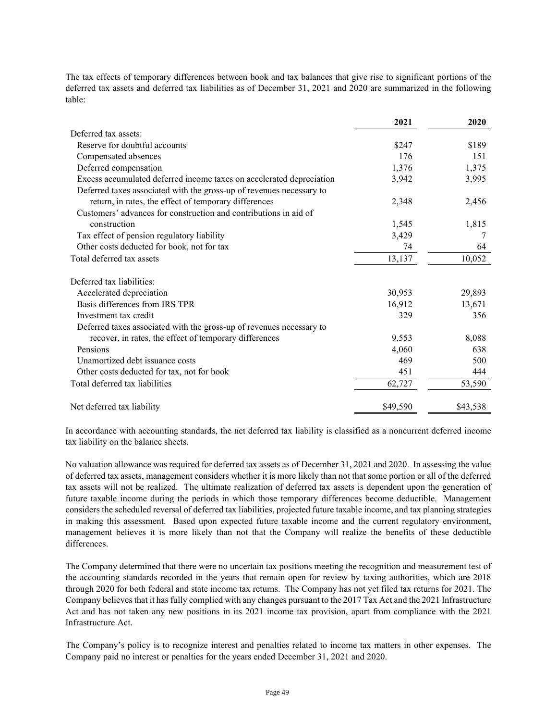The tax effects of temporary differences between book and tax balances that give rise to significant portions of the deferred tax assets and deferred tax liabilities as of December 31, 2021 and 2020 are summarized in the following table:

|                                                                      | 2021     | 2020     |
|----------------------------------------------------------------------|----------|----------|
| Deferred tax assets:                                                 |          |          |
| Reserve for doubtful accounts                                        | \$247    | \$189    |
| Compensated absences                                                 | 176      | 151      |
| Deferred compensation                                                | 1,376    | 1,375    |
| Excess accumulated deferred income taxes on accelerated depreciation | 3,942    | 3,995    |
| Deferred taxes associated with the gross-up of revenues necessary to |          |          |
| return, in rates, the effect of temporary differences                | 2,348    | 2,456    |
| Customers' advances for construction and contributions in aid of     |          |          |
| construction                                                         | 1,545    | 1,815    |
| Tax effect of pension regulatory liability                           | 3,429    |          |
| Other costs deducted for book, not for tax                           | 74       | 64       |
| Total deferred tax assets                                            | 13,137   | 10,052   |
| Deferred tax liabilities:                                            |          |          |
| Accelerated depreciation                                             | 30,953   | 29,893   |
| Basis differences from IRS TPR                                       | 16,912   | 13,671   |
| Investment tax credit                                                | 329      | 356      |
| Deferred taxes associated with the gross-up of revenues necessary to |          |          |
| recover, in rates, the effect of temporary differences               | 9,553    | 8,088    |
| Pensions                                                             | 4,060    | 638      |
| Unamortized debt issuance costs                                      | 469      | 500      |
| Other costs deducted for tax, not for book                           | 451      | 444      |
| Total deferred tax liabilities                                       | 62,727   | 53,590   |
| Net deferred tax liability                                           | \$49,590 | \$43,538 |

In accordance with accounting standards, the net deferred tax liability is classified as a noncurrent deferred income tax liability on the balance sheets.

No valuation allowance was required for deferred tax assets as of December 31, 2021 and 2020. In assessing the value of deferred tax assets, management considers whether it is more likely than not that some portion or all of the deferred tax assets will not be realized. The ultimate realization of deferred tax assets is dependent upon the generation of future taxable income during the periods in which those temporary differences become deductible. Management considers the scheduled reversal of deferred tax liabilities, projected future taxable income, and tax planning strategies in making this assessment. Based upon expected future taxable income and the current regulatory environment, management believes it is more likely than not that the Company will realize the benefits of these deductible differences.

The Company determined that there were no uncertain tax positions meeting the recognition and measurement test of the accounting standards recorded in the years that remain open for review by taxing authorities, which are 2018 through 2020 for both federal and state income tax returns. The Company has not yet filed tax returns for 2021. The Company believes that it has fully complied with any changes pursuant to the 2017 Tax Act and the 2021 Infrastructure Act and has not taken any new positions in its 2021 income tax provision, apart from compliance with the 2021 Infrastructure Act.

The Company's policy is to recognize interest and penalties related to income tax matters in other expenses. The Company paid no interest or penalties for the years ended December 31, 2021 and 2020.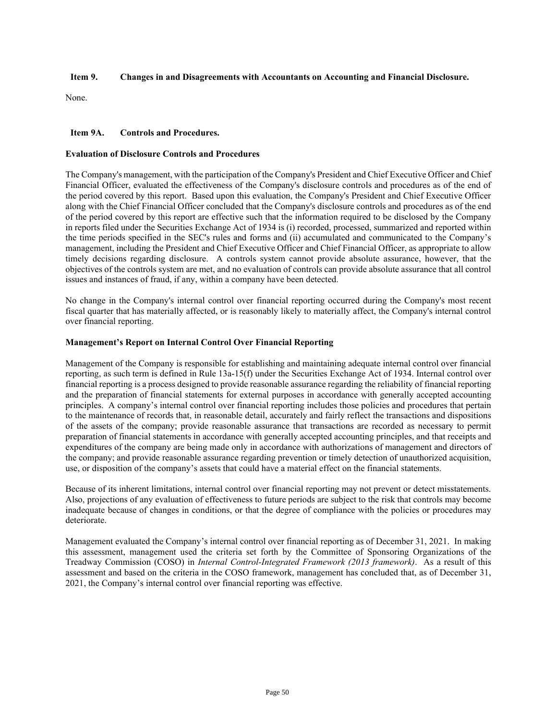# **Item 9. Changes in and Disagreements with Accountants on Accounting and Financial Disclosure.**

None.

### **Item 9A. Controls and Procedures.**

#### **Evaluation of Disclosure Controls and Procedures**

The Company's management, with the participation of the Company's President and Chief Executive Officer and Chief Financial Officer, evaluated the effectiveness of the Company's disclosure controls and procedures as of the end of the period covered by this report. Based upon this evaluation, the Company's President and Chief Executive Officer along with the Chief Financial Officer concluded that the Company's disclosure controls and procedures as of the end of the period covered by this report are effective such that the information required to be disclosed by the Company in reports filed under the Securities Exchange Act of 1934 is (i) recorded, processed, summarized and reported within the time periods specified in the SEC's rules and forms and (ii) accumulated and communicated to the Company's management, including the President and Chief Executive Officer and Chief Financial Officer, as appropriate to allow timely decisions regarding disclosure. A controls system cannot provide absolute assurance, however, that the objectives of the controls system are met, and no evaluation of controls can provide absolute assurance that all control issues and instances of fraud, if any, within a company have been detected.

No change in the Company's internal control over financial reporting occurred during the Company's most recent fiscal quarter that has materially affected, or is reasonably likely to materially affect, the Company's internal control over financial reporting.

#### **Management's Report on Internal Control Over Financial Reporting**

Management of the Company is responsible for establishing and maintaining adequate internal control over financial reporting, as such term is defined in Rule 13a-15(f) under the Securities Exchange Act of 1934. Internal control over financial reporting is a process designed to provide reasonable assurance regarding the reliability of financial reporting and the preparation of financial statements for external purposes in accordance with generally accepted accounting principles. A company's internal control over financial reporting includes those policies and procedures that pertain to the maintenance of records that, in reasonable detail, accurately and fairly reflect the transactions and dispositions of the assets of the company; provide reasonable assurance that transactions are recorded as necessary to permit preparation of financial statements in accordance with generally accepted accounting principles, and that receipts and expenditures of the company are being made only in accordance with authorizations of management and directors of the company; and provide reasonable assurance regarding prevention or timely detection of unauthorized acquisition, use, or disposition of the company's assets that could have a material effect on the financial statements.

Because of its inherent limitations, internal control over financial reporting may not prevent or detect misstatements. Also, projections of any evaluation of effectiveness to future periods are subject to the risk that controls may become inadequate because of changes in conditions, or that the degree of compliance with the policies or procedures may deteriorate.

Management evaluated the Company's internal control over financial reporting as of December 31, 2021. In making this assessment, management used the criteria set forth by the Committee of Sponsoring Organizations of the Treadway Commission (COSO) in *Internal Control-Integrated Framework (2013 framework)*. As a result of this assessment and based on the criteria in the COSO framework, management has concluded that, as of December 31, 2021, the Company's internal control over financial reporting was effective.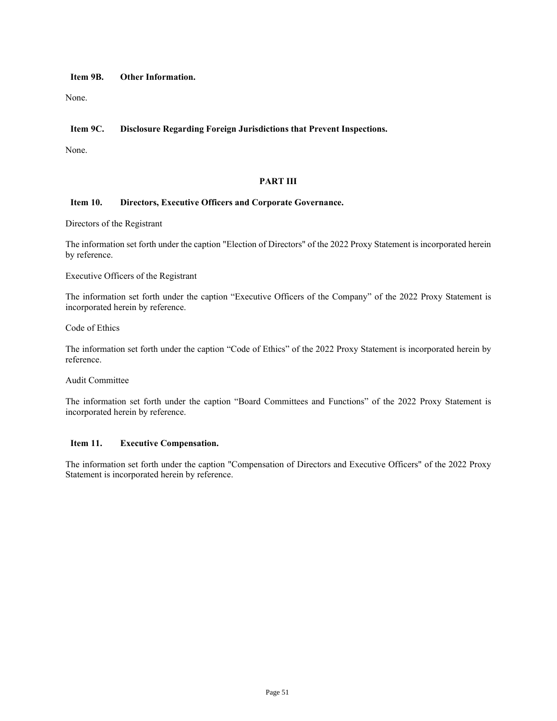# **Item 9B. Other Information.**

None.

# **Item 9C. Disclosure Regarding Foreign Jurisdictions that Prevent Inspections.**

None.

# **PART III**

#### **Item 10. Directors, Executive Officers and Corporate Governance.**

Directors of the Registrant

The information set forth under the caption "Election of Directors" of the 2022 Proxy Statement is incorporated herein by reference.

Executive Officers of the Registrant

The information set forth under the caption "Executive Officers of the Company" of the 2022 Proxy Statement is incorporated herein by reference.

Code of Ethics

The information set forth under the caption "Code of Ethics" of the 2022 Proxy Statement is incorporated herein by reference.

Audit Committee

The information set forth under the caption "Board Committees and Functions" of the 2022 Proxy Statement is incorporated herein by reference.

# **Item 11. Executive Compensation.**

The information set forth under the caption "Compensation of Directors and Executive Officers" of the 2022 Proxy Statement is incorporated herein by reference.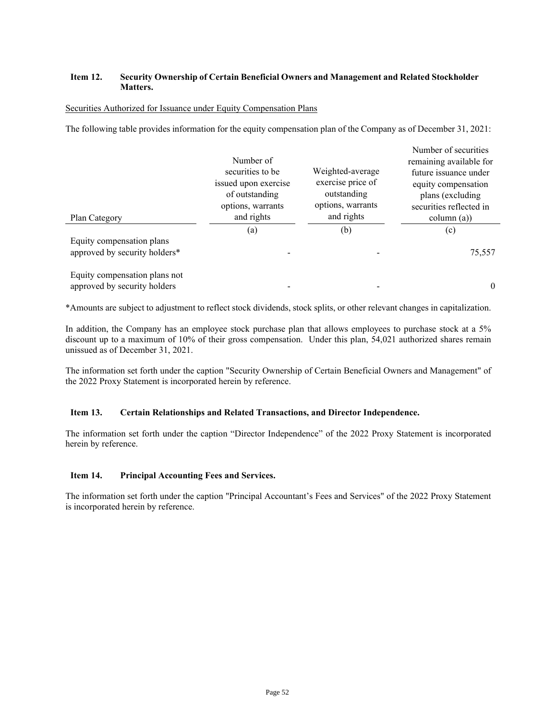# **Item 12. Security Ownership of Certain Beneficial Owners and Management and Related Stockholder Matters.**

# Securities Authorized for Issuance under Equity Compensation Plans

The following table provides information for the equity compensation plan of the Company as of December 31, 2021:

| Plan Category                                                 | Number of<br>securities to be<br>issued upon exercise<br>of outstanding<br>options, warrants<br>and rights | Weighted-average<br>exercise price of<br>outstanding<br>options, warrants<br>and rights | Number of securities<br>remaining available for<br>future issuance under<br>equity compensation<br>plans (excluding<br>securities reflected in<br>$\text{column (a))}$ |
|---------------------------------------------------------------|------------------------------------------------------------------------------------------------------------|-----------------------------------------------------------------------------------------|------------------------------------------------------------------------------------------------------------------------------------------------------------------------|
|                                                               | (a)                                                                                                        | (b)                                                                                     | (c)                                                                                                                                                                    |
| Equity compensation plans<br>approved by security holders*    |                                                                                                            |                                                                                         | 75,557                                                                                                                                                                 |
| Equity compensation plans not<br>approved by security holders |                                                                                                            |                                                                                         | $\theta$                                                                                                                                                               |

\*Amounts are subject to adjustment to reflect stock dividends, stock splits, or other relevant changes in capitalization.

In addition, the Company has an employee stock purchase plan that allows employees to purchase stock at a 5% discount up to a maximum of 10% of their gross compensation. Under this plan, 54,021 authorized shares remain unissued as of December 31, 2021.

The information set forth under the caption "Security Ownership of Certain Beneficial Owners and Management" of the 2022 Proxy Statement is incorporated herein by reference.

# **Item 13. Certain Relationships and Related Transactions, and Director Independence.**

The information set forth under the caption "Director Independence" of the 2022 Proxy Statement is incorporated herein by reference.

# **Item 14. Principal Accounting Fees and Services.**

The information set forth under the caption "Principal Accountant's Fees and Services" of the 2022 Proxy Statement is incorporated herein by reference.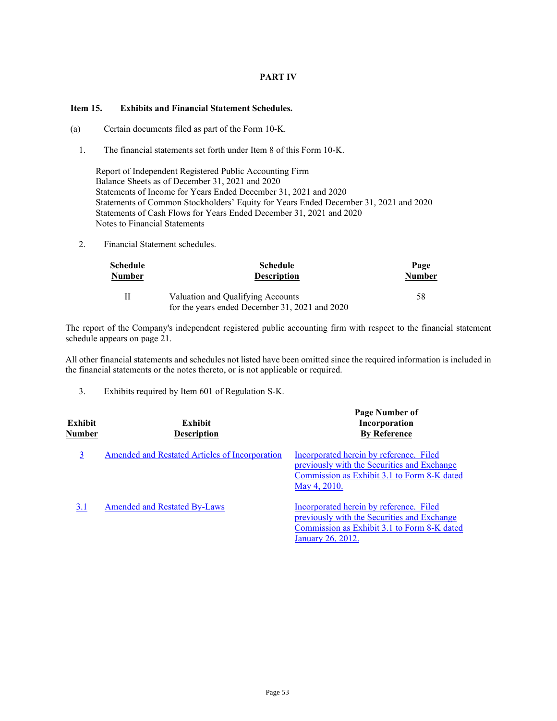# **PART IV**

# **Item 15. Exhibits and Financial Statement Schedules.**

(a) Certain documents filed as part of the Form 10-K.

1. The financial statements set forth under Item 8 of this Form 10-K.

Report of Independent Registered Public Accounting Firm Balance Sheets as of December 31, 2021 and 2020 Statements of Income for Years Ended December 31, 2021 and 2020 Statements of Common Stockholders' Equity for Years Ended December 31, 2021 and 2020 Statements of Cash Flows for Years Ended December 31, 2021 and 2020 Notes to Financial Statements

2. Financial Statement schedules.

| Schedule      | Schedule                                                                            | Page          |
|---------------|-------------------------------------------------------------------------------------|---------------|
| <b>Number</b> | <b>Description</b>                                                                  | <b>Number</b> |
|               | Valuation and Qualifying Accounts<br>for the years ended December 31, 2021 and 2020 | 58            |

The report of the Company's independent registered public accounting firm with respect to the financial statement schedule appears on page 21.

All other financial statements and schedules not listed have been omitted since the required information is included in the financial statements or the notes thereto, or is not applicable or required.

3. Exhibits required by Item 601 of Regulation S-K.

| Exhibit<br>Number | Exhibit<br><b>Description</b>                  | Page Number of<br>Incorporation<br><b>By Reference</b>                                                                                                       |
|-------------------|------------------------------------------------|--------------------------------------------------------------------------------------------------------------------------------------------------------------|
| 3                 | Amended and Restated Articles of Incorporation | Incorporated herein by reference. Filed<br>previously with the Securities and Exchange<br>Commission as Exhibit 3.1 to Form 8-K dated<br><u>May 4, 2010.</u> |
| 3.1               | <b>Amended and Restated By-Laws</b>            | Incorporated herein by reference. Filed<br>previously with the Securities and Exchange<br>Commission as Exhibit 3.1 to Form 8-K dated<br>January 26, 2012.   |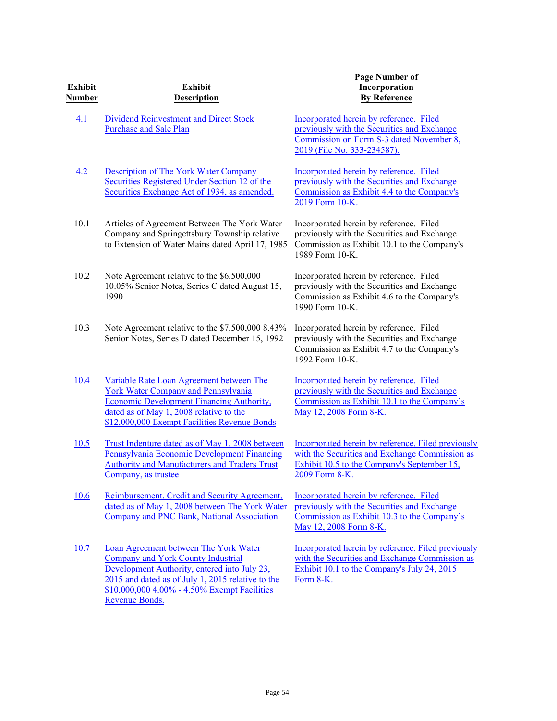| <b>Exhibit</b><br><b>Number</b> | <b>Exhibit</b><br><b>Description</b>                                                                                                                                                                                                                             | Page Number of<br>Incorporation<br><b>By Reference</b>                                                                                                                  |
|---------------------------------|------------------------------------------------------------------------------------------------------------------------------------------------------------------------------------------------------------------------------------------------------------------|-------------------------------------------------------------------------------------------------------------------------------------------------------------------------|
| 4.1                             | Dividend Reinvestment and Direct Stock<br><b>Purchase and Sale Plan</b>                                                                                                                                                                                          | Incorporated herein by reference. Filed<br>previously with the Securities and Exchange<br>Commission on Form S-3 dated November 8,<br>2019 (File No. 333-234587).       |
| 4.2                             | Description of The York Water Company<br>Securities Registered Under Section 12 of the<br>Securities Exchange Act of 1934, as amended.                                                                                                                           | Incorporated herein by reference. Filed<br>previously with the Securities and Exchange<br>Commission as Exhibit 4.4 to the Company's<br>2019 Form 10-K.                 |
| 10.1                            | Articles of Agreement Between The York Water<br>Company and Springettsbury Township relative<br>to Extension of Water Mains dated April 17, 1985                                                                                                                 | Incorporated herein by reference. Filed<br>previously with the Securities and Exchange<br>Commission as Exhibit 10.1 to the Company's<br>1989 Form 10-K.                |
| 10.2                            | Note Agreement relative to the \$6,500,000<br>10.05% Senior Notes, Series C dated August 15,<br>1990                                                                                                                                                             | Incorporated herein by reference. Filed<br>previously with the Securities and Exchange<br>Commission as Exhibit 4.6 to the Company's<br>1990 Form 10-K.                 |
| 10.3                            | Note Agreement relative to the \$7,500,000 8.43%<br>Senior Notes, Series D dated December 15, 1992                                                                                                                                                               | Incorporated herein by reference. Filed<br>previously with the Securities and Exchange<br>Commission as Exhibit 4.7 to the Company's<br>1992 Form 10-K.                 |
| 10.4                            | Variable Rate Loan Agreement between The<br><b>York Water Company and Pennsylvania</b><br><b>Economic Development Financing Authority,</b><br>dated as of May 1, 2008 relative to the<br>\$12,000,000 Exempt Facilities Revenue Bonds                            | Incorporated herein by reference. Filed<br>previously with the Securities and Exchange<br>Commission as Exhibit 10.1 to the Company's<br>May 12, 2008 Form 8-K.         |
| 10.5                            | Trust Indenture dated as of May 1, 2008 between<br>Pennsylvania Economic Development Financing<br><b>Authority and Manufacturers and Traders Trust</b><br>Company, as trustee                                                                                    | Incorporated herein by reference. Filed previously<br>with the Securities and Exchange Commission as<br>Exhibit 10.5 to the Company's September 15,<br>2009 Form 8-K.   |
| 10.6                            | Reimbursement, Credit and Security Agreement,<br>dated as of May 1, 2008 between The York Water<br>Company and PNC Bank, National Association                                                                                                                    | Incorporated herein by reference. Filed<br>previously with the Securities and Exchange<br>Commission as Exhibit 10.3 to the Company's<br>May 12, 2008 Form 8-K.         |
| 10.7                            | <b>Loan Agreement between The York Water</b><br><b>Company and York County Industrial</b><br>Development Authority, entered into July 23,<br>2015 and dated as of July 1, 2015 relative to the<br>\$10,000,000 4.00% - 4.50% Exempt Facilities<br>Revenue Bonds. | Incorporated herein by reference. Filed previously<br>with the Securities and Exchange Commission as<br>Exhibit 10.1 to the Company's July 24, 2015<br><b>Form 8-K.</b> |
|                                 |                                                                                                                                                                                                                                                                  |                                                                                                                                                                         |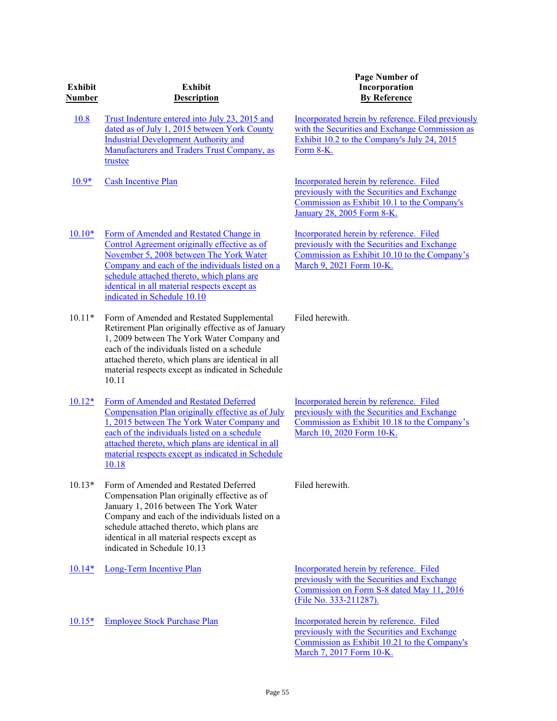| Exhibit<br>Number | <b>Exhibit</b><br><b>Description</b>                                                                                                                                                                                                                                                                              | Page Number of<br>Incorporation<br><b>By Reference</b>                                                                                                                  |
|-------------------|-------------------------------------------------------------------------------------------------------------------------------------------------------------------------------------------------------------------------------------------------------------------------------------------------------------------|-------------------------------------------------------------------------------------------------------------------------------------------------------------------------|
| 10.8              | Trust Indenture entered into July 23, 2015 and<br>dated as of July 1, 2015 between York County<br><b>Industrial Development Authority and</b><br>Manufacturers and Traders Trust Company, as<br>trustee                                                                                                           | Incorporated herein by reference. Filed previously<br>with the Securities and Exchange Commission as<br>Exhibit 10.2 to the Company's July 24, 2015<br><b>Form 8-K.</b> |
| $10.9*$           | <b>Cash Incentive Plan</b>                                                                                                                                                                                                                                                                                        | Incorporated herein by reference. Filed<br>previously with the Securities and Exchange<br>Commission as Exhibit 10.1 to the Company's<br>January 28, 2005 Form 8-K.     |
| $10.10*$          | Form of Amended and Restated Change in<br>Control Agreement originally effective as of<br>November 5, 2008 between The York Water<br>Company and each of the individuals listed on a<br>schedule attached thereto, which plans are<br>identical in all material respects except as<br>indicated in Schedule 10.10 | Incorporated herein by reference. Filed<br>previously with the Securities and Exchange<br>Commission as Exhibit 10.10 to the Company's<br>March 9, 2021 Form 10-K.      |
| $10.11*$          | Form of Amended and Restated Supplemental<br>Retirement Plan originally effective as of January<br>1, 2009 between The York Water Company and<br>each of the individuals listed on a schedule<br>attached thereto, which plans are identical in all<br>material respects except as indicated in Schedule<br>10.11 | Filed herewith.                                                                                                                                                         |
| $10.12*$          | Form of Amended and Restated Deferred<br>Compensation Plan originally effective as of July<br>1, 2015 between The York Water Company and<br>each of the individuals listed on a schedule<br>attached thereto, which plans are identical in all<br>material respects except as indicated in Schedule<br>10.18      | Incorporated herein by reference. Filed<br>previously with the Securities and Exchange<br>Commission as Exhibit 10.18 to the Company's<br>March 10, 2020 Form 10-K.     |
| $10.13*$          | Form of Amended and Restated Deferred<br>Compensation Plan originally effective as of<br>January 1, 2016 between The York Water<br>Company and each of the individuals listed on a<br>schedule attached thereto, which plans are<br>identical in all material respects except as<br>indicated in Schedule 10.13   | Filed herewith.                                                                                                                                                         |
| $10.14*$          | <b>Long-Term Incentive Plan</b>                                                                                                                                                                                                                                                                                   | Incorporated herein by reference. Filed<br>previously with the Securities and Exchange<br>Commission on Form S-8 dated May 11, 2016<br>(File No. 333-211287).           |

10.15<sup>\*</sup> Employee Stock Purchase Plan Incorporated herein by reference. Filed previously with the Securities and Exchange Commission as Exhibit 10.21 to the Company's March 7, 2017 Form 10-K.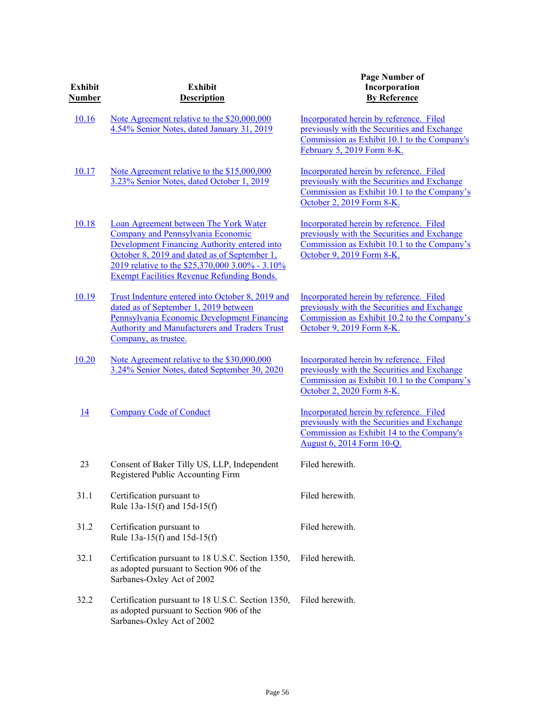| <b>Exhibit</b><br><b>Number</b> | <b>Exhibit</b><br><b>Description</b>                                                                                                                                                                                                                                               | Page Number of<br>Incorporation<br><b>By Reference</b>                                                                                                              |
|---------------------------------|------------------------------------------------------------------------------------------------------------------------------------------------------------------------------------------------------------------------------------------------------------------------------------|---------------------------------------------------------------------------------------------------------------------------------------------------------------------|
| 10.16                           | Note Agreement relative to the \$20,000,000<br>4.54% Senior Notes, dated January 31, 2019                                                                                                                                                                                          | Incorporated herein by reference. Filed<br>previously with the Securities and Exchange<br>Commission as Exhibit 10.1 to the Company's<br>February 5, 2019 Form 8-K. |
| 10.17                           | Note Agreement relative to the \$15,000,000<br>3.23% Senior Notes, dated October 1, 2019                                                                                                                                                                                           | Incorporated herein by reference. Filed<br>previously with the Securities and Exchange<br>Commission as Exhibit 10.1 to the Company's<br>October 2, 2019 Form 8-K.  |
| 10.18                           | Loan Agreement between The York Water<br>Company and Pennsylvania Economic<br>Development Financing Authority entered into<br>October 8, 2019 and dated as of September 1,<br>2019 relative to the \$25,370,000 3.00% - 3.10%<br><b>Exempt Facilities Revenue Refunding Bonds.</b> | Incorporated herein by reference. Filed<br>previously with the Securities and Exchange<br>Commission as Exhibit 10.1 to the Company's<br>October 9, 2019 Form 8-K.  |
| 10.19                           | Trust Indenture entered into October 8, 2019 and<br>dated as of September 1, 2019 between<br>Pennsylvania Economic Development Financing<br><b>Authority and Manufacturers and Traders Trust</b><br>Company, as trustee.                                                           | Incorporated herein by reference. Filed<br>previously with the Securities and Exchange<br>Commission as Exhibit 10.2 to the Company's<br>October 9, 2019 Form 8-K.  |
| 10.20                           | Note Agreement relative to the \$30,000,000<br>3.24% Senior Notes, dated September 30, 2020                                                                                                                                                                                        | Incorporated herein by reference. Filed<br>previously with the Securities and Exchange<br>Commission as Exhibit 10.1 to the Company's<br>October 2, 2020 Form 8-K.  |
| <u>14</u>                       | <b>Company Code of Conduct</b>                                                                                                                                                                                                                                                     | Incorporated herein by reference. Filed<br>previously with the Securities and Exchange<br>Commission as Exhibit 14 to the Company's<br>August 6, 2014 Form 10-Q.    |
| 23                              | Consent of Baker Tilly US, LLP, Independent<br>Registered Public Accounting Firm                                                                                                                                                                                                   | Filed herewith.                                                                                                                                                     |
| 31.1                            | Certification pursuant to<br>Rule 13a-15(f) and 15d-15(f)                                                                                                                                                                                                                          | Filed herewith.                                                                                                                                                     |
| 31.2                            | Certification pursuant to<br>Rule 13a-15(f) and 15d-15(f)                                                                                                                                                                                                                          | Filed herewith.                                                                                                                                                     |
| 32.1                            | Certification pursuant to 18 U.S.C. Section 1350,<br>as adopted pursuant to Section 906 of the<br>Sarbanes-Oxley Act of 2002                                                                                                                                                       | Filed herewith.                                                                                                                                                     |
| 32.2                            | Certification pursuant to 18 U.S.C. Section 1350,<br>as adopted pursuant to Section 906 of the<br>Sarbanes-Oxley Act of 2002                                                                                                                                                       | Filed herewith.                                                                                                                                                     |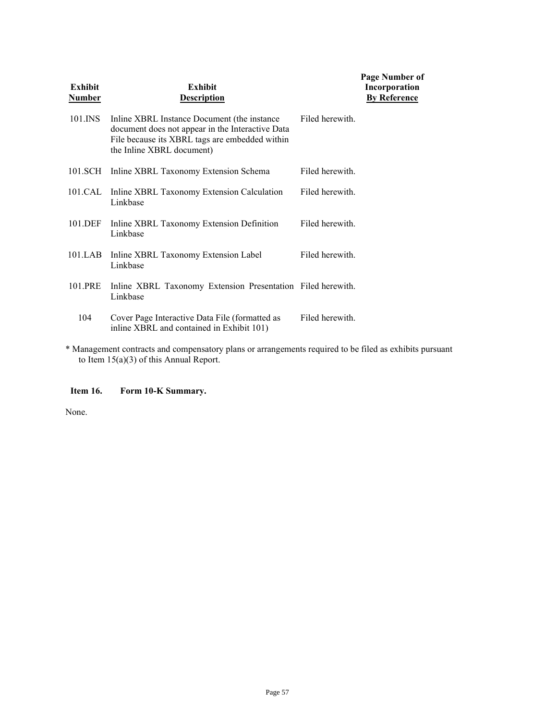| Exhibit<br><b>Number</b> | Exhibit<br><b>Description</b>                                                                                                                                                  |                 | Page Number of<br>Incorporation<br><b>By Reference</b> |
|--------------------------|--------------------------------------------------------------------------------------------------------------------------------------------------------------------------------|-----------------|--------------------------------------------------------|
| $101$ . INS              | Inline XBRL Instance Document (the instance<br>document does not appear in the Interactive Data<br>File because its XBRL tags are embedded within<br>the Inline XBRL document) | Filed herewith. |                                                        |
|                          | 101.SCH Inline XBRL Taxonomy Extension Schema                                                                                                                                  | Filed herewith. |                                                        |
|                          | 101.CAL Inline XBRL Taxonomy Extension Calculation<br>Linkbase                                                                                                                 | Filed herewith. |                                                        |
| 101.DEF                  | Inline XBRL Taxonomy Extension Definition<br>Linkbase                                                                                                                          | Filed herewith. |                                                        |
| 101.LAB                  | Inline XBRL Taxonomy Extension Label<br>Linkbase                                                                                                                               | Filed herewith. |                                                        |
| 101.PRE                  | Inline XBRL Taxonomy Extension Presentation Filed herewith.<br>Linkbase                                                                                                        |                 |                                                        |
| 104                      | Cover Page Interactive Data File (formatted as<br>inline XBRL and contained in Exhibit 101)                                                                                    | Filed herewith. |                                                        |
|                          | $*$ Monogoment contracts and companisory plans or error coments required to be filed as exhibits r                                                                             |                 |                                                        |

\* Management contracts and compensatory plans or arrangements required to be filed as exhibits pursuant to Item 15(a)(3) of this Annual Report.

**Item 16. Form 10-K Summary.**

None.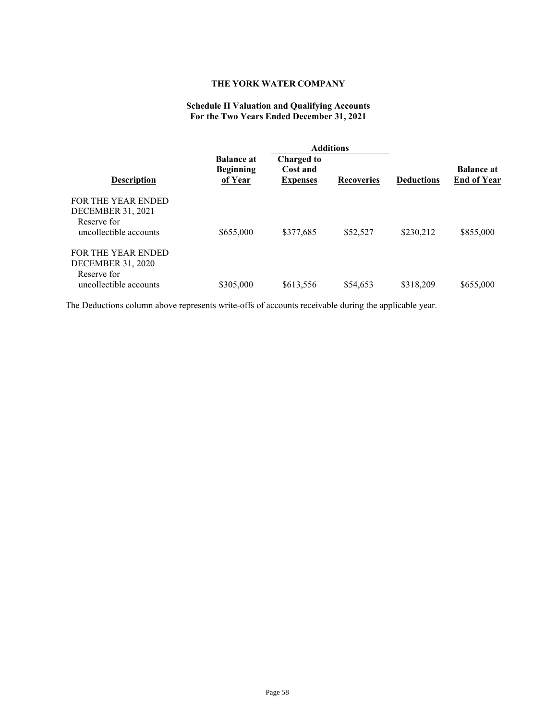# **Schedule II Valuation and Qualifying Accounts For the Two Years Ended December 31, 2021**

|                                                                                         | <b>Additions</b>                                 |                                                  |                   |                   |                                         |
|-----------------------------------------------------------------------------------------|--------------------------------------------------|--------------------------------------------------|-------------------|-------------------|-----------------------------------------|
| <b>Description</b>                                                                      | <b>Balance at</b><br><b>Beginning</b><br>of Year | <b>Charged to</b><br>Cost and<br><b>Expenses</b> | <b>Recoveries</b> | <b>Deductions</b> | <b>Balance at</b><br><b>End of Year</b> |
| FOR THE YEAR ENDED<br><b>DECEMBER 31, 2021</b><br>Reserve for<br>uncollectible accounts | \$655,000                                        | \$377,685                                        | \$52,527          | \$230,212         | \$855,000                               |
| FOR THE YEAR ENDED<br><b>DECEMBER 31, 2020</b><br>Reserve for<br>uncollectible accounts | \$305,000                                        | \$613,556                                        | \$54,653          | \$318,209         | \$655,000                               |

The Deductions column above represents write-offs of accounts receivable during the applicable year.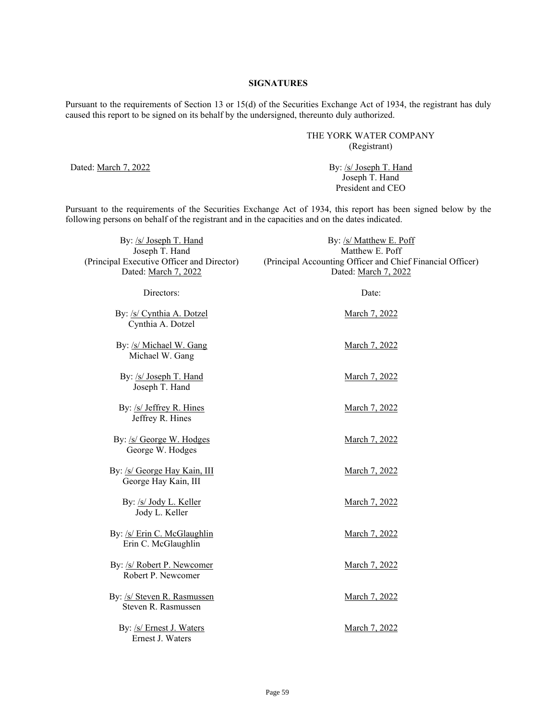# **SIGNATURES**

Pursuant to the requirements of Section 13 or 15(d) of the Securities Exchange Act of 1934, the registrant has duly caused this report to be signed on its behalf by the undersigned, thereunto duly authorized.

# THE YORK WATER COMPANY (Registrant)

Dated: <u>March 7, 2022</u> By: /s/ Joseph T. Hand Joseph T. Hand President and CEO

Pursuant to the requirements of the Securities Exchange Act of 1934, this report has been signed below by the following persons on behalf of the registrant and in the capacities and on the dates indicated.

| By: /s/ Joseph T. Hand                                       | By: /s/ Matthew E. Poff                                                       |
|--------------------------------------------------------------|-------------------------------------------------------------------------------|
| Joseph T. Hand<br>(Principal Executive Officer and Director) | Matthew E. Poff<br>(Principal Accounting Officer and Chief Financial Officer) |
| Dated: March 7, 2022                                         | Dated: March 7, 2022                                                          |
| Directors:                                                   | Date:                                                                         |
| By: /s/ Cynthia A. Dotzel<br>Cynthia A. Dotzel               | March 7, 2022                                                                 |
| By: /s/ Michael W. Gang<br>Michael W. Gang                   | March 7, 2022                                                                 |
| By: /s/ Joseph T. Hand<br>Joseph T. Hand                     | March 7, 2022                                                                 |
| By: /s/ Jeffrey R. Hines<br>Jeffrey R. Hines                 | March 7, 2022                                                                 |
| By: /s/ George W. Hodges<br>George W. Hodges                 | <u>March 7, 2022</u>                                                          |
| By: /s/ George Hay Kain, III<br>George Hay Kain, III         | March 7, 2022                                                                 |
| By: /s/ Jody L. Keller<br>Jody L. Keller                     | March 7, 2022                                                                 |
| By: /s/ Erin C. McGlaughlin<br>Erin C. McGlaughlin           | March 7, 2022                                                                 |
| By: /s/ Robert P. Newcomer<br>Robert P. Newcomer             | March 7, 2022                                                                 |
| By: /s/ Steven R. Rasmussen<br>Steven R. Rasmussen           | March 7, 2022                                                                 |
| By: /s/ Ernest J. Waters<br>Ernest J. Waters                 | March 7, 2022                                                                 |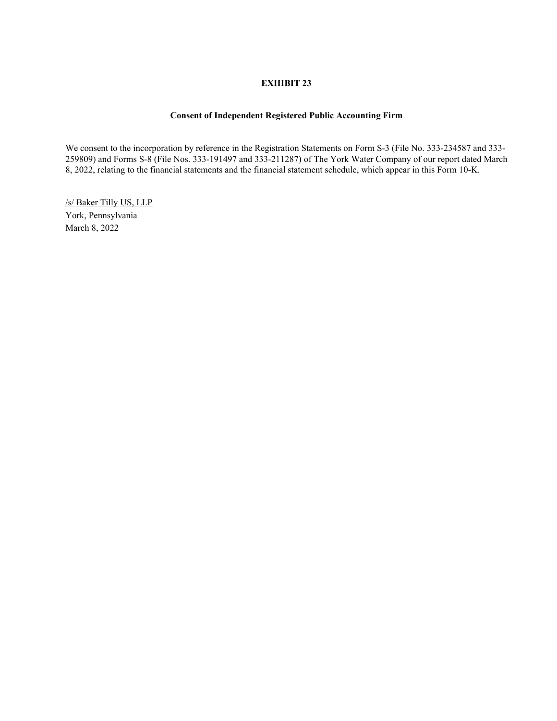# **EXHIBIT 23**

# **Consent of Independent Registered Public Accounting Firm**

We consent to the incorporation by reference in the Registration Statements on Form S-3 (File No. 333-234587 and 333- 259809) and Forms S-8 (File Nos. 333-191497 and 333-211287) of The York Water Company of our report dated March 8, 2022, relating to the financial statements and the financial statement schedule, which appear in this Form 10-K.

/s/ Baker Tilly US, LLP York, Pennsylvania March 8, 2022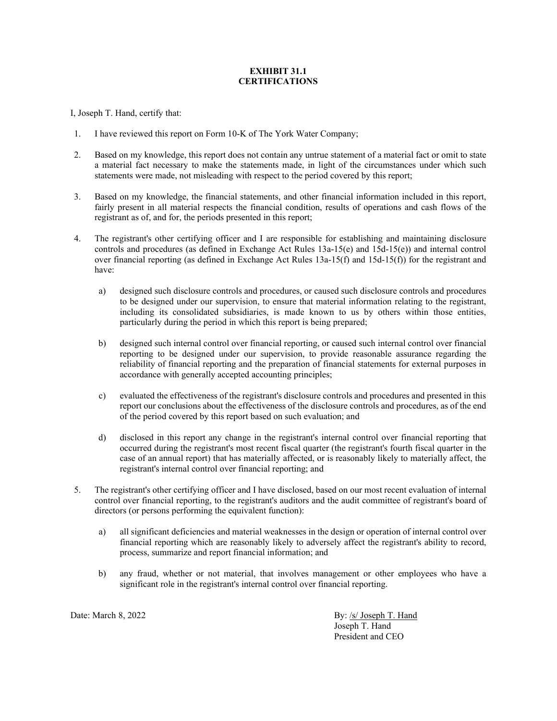# **EXHIBIT 31.1 CERTIFICATIONS**

I, Joseph T. Hand, certify that:

- 1. I have reviewed this report on Form 10-K of The York Water Company;
- 2. Based on my knowledge, this report does not contain any untrue statement of a material fact or omit to state a material fact necessary to make the statements made, in light of the circumstances under which such statements were made, not misleading with respect to the period covered by this report;
- 3. Based on my knowledge, the financial statements, and other financial information included in this report, fairly present in all material respects the financial condition, results of operations and cash flows of the registrant as of, and for, the periods presented in this report;
- 4. The registrant's other certifying officer and I are responsible for establishing and maintaining disclosure controls and procedures (as defined in Exchange Act Rules 13a-15(e) and 15d-15(e)) and internal control over financial reporting (as defined in Exchange Act Rules 13a-15(f) and 15d-15(f)) for the registrant and have:
	- a) designed such disclosure controls and procedures, or caused such disclosure controls and procedures to be designed under our supervision, to ensure that material information relating to the registrant, including its consolidated subsidiaries, is made known to us by others within those entities, particularly during the period in which this report is being prepared;
	- b) designed such internal control over financial reporting, or caused such internal control over financial reporting to be designed under our supervision, to provide reasonable assurance regarding the reliability of financial reporting and the preparation of financial statements for external purposes in accordance with generally accepted accounting principles;
	- c) evaluated the effectiveness of the registrant's disclosure controls and procedures and presented in this report our conclusions about the effectiveness of the disclosure controls and procedures, as of the end of the period covered by this report based on such evaluation; and
	- d) disclosed in this report any change in the registrant's internal control over financial reporting that occurred during the registrant's most recent fiscal quarter (the registrant's fourth fiscal quarter in the case of an annual report) that has materially affected, or is reasonably likely to materially affect, the registrant's internal control over financial reporting; and
- 5. The registrant's other certifying officer and I have disclosed, based on our most recent evaluation of internal control over financial reporting, to the registrant's auditors and the audit committee of registrant's board of directors (or persons performing the equivalent function):
	- a) all significant deficiencies and material weaknesses in the design or operation of internal control over financial reporting which are reasonably likely to adversely affect the registrant's ability to record, process, summarize and report financial information; and
	- b) any fraud, whether or not material, that involves management or other employees who have a significant role in the registrant's internal control over financial reporting.

Date: March 8, 2022 By: /s/ Joseph T. Hand Joseph T. Hand President and CEO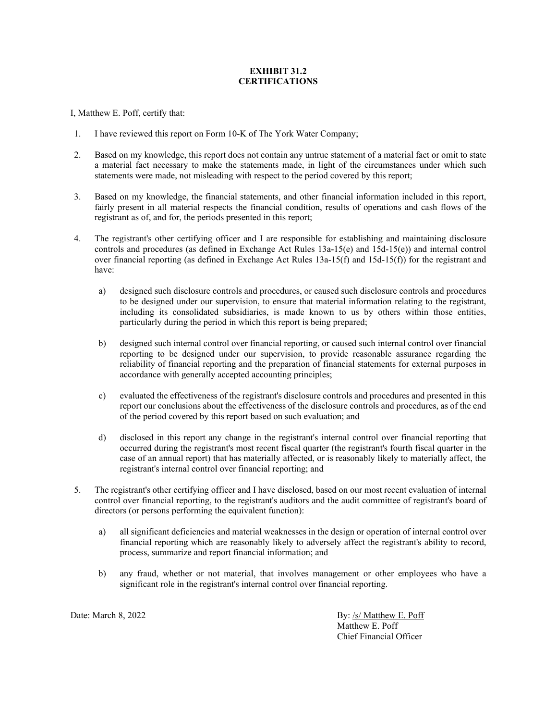# **EXHIBIT 31.2 CERTIFICATIONS**

I, Matthew E. Poff, certify that:

- 1. I have reviewed this report on Form 10-K of The York Water Company;
- 2. Based on my knowledge, this report does not contain any untrue statement of a material fact or omit to state a material fact necessary to make the statements made, in light of the circumstances under which such statements were made, not misleading with respect to the period covered by this report;
- 3. Based on my knowledge, the financial statements, and other financial information included in this report, fairly present in all material respects the financial condition, results of operations and cash flows of the registrant as of, and for, the periods presented in this report;
- 4. The registrant's other certifying officer and I are responsible for establishing and maintaining disclosure controls and procedures (as defined in Exchange Act Rules 13a-15(e) and 15d-15(e)) and internal control over financial reporting (as defined in Exchange Act Rules 13a-15(f) and 15d-15(f)) for the registrant and have:
	- a) designed such disclosure controls and procedures, or caused such disclosure controls and procedures to be designed under our supervision, to ensure that material information relating to the registrant, including its consolidated subsidiaries, is made known to us by others within those entities, particularly during the period in which this report is being prepared;
	- b) designed such internal control over financial reporting, or caused such internal control over financial reporting to be designed under our supervision, to provide reasonable assurance regarding the reliability of financial reporting and the preparation of financial statements for external purposes in accordance with generally accepted accounting principles;
	- c) evaluated the effectiveness of the registrant's disclosure controls and procedures and presented in this report our conclusions about the effectiveness of the disclosure controls and procedures, as of the end of the period covered by this report based on such evaluation; and
	- d) disclosed in this report any change in the registrant's internal control over financial reporting that occurred during the registrant's most recent fiscal quarter (the registrant's fourth fiscal quarter in the case of an annual report) that has materially affected, or is reasonably likely to materially affect, the registrant's internal control over financial reporting; and
- 5. The registrant's other certifying officer and I have disclosed, based on our most recent evaluation of internal control over financial reporting, to the registrant's auditors and the audit committee of registrant's board of directors (or persons performing the equivalent function):
	- a) all significant deficiencies and material weaknesses in the design or operation of internal control over financial reporting which are reasonably likely to adversely affect the registrant's ability to record, process, summarize and report financial information; and
	- b) any fraud, whether or not material, that involves management or other employees who have a significant role in the registrant's internal control over financial reporting.

Date: March 8, 2022 By: /s/ Matthew E. Poff Matthew E. Poff Chief Financial Officer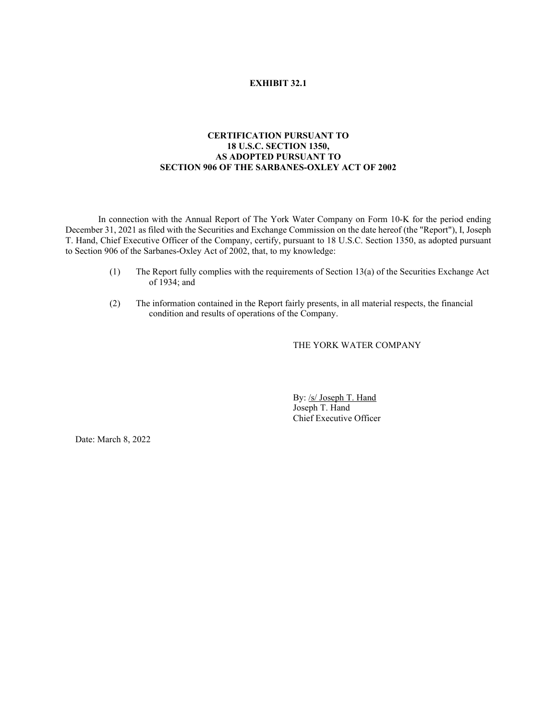#### **EXHIBIT 32.1**

# **CERTIFICATION PURSUANT TO 18 U.S.C. SECTION 1350, AS ADOPTED PURSUANT TO SECTION 906 OF THE SARBANES-OXLEY ACT OF 2002**

In connection with the Annual Report of The York Water Company on Form 10-K for the period ending December 31, 2021 as filed with the Securities and Exchange Commission on the date hereof (the "Report"), I, Joseph T. Hand, Chief Executive Officer of the Company, certify, pursuant to 18 U.S.C. Section 1350, as adopted pursuant to Section 906 of the Sarbanes-Oxley Act of 2002, that, to my knowledge:

- (1) The Report fully complies with the requirements of Section 13(a) of the Securities Exchange Act of 1934; and
- (2) The information contained in the Report fairly presents, in all material respects, the financial condition and results of operations of the Company.

THE YORK WATER COMPANY

By: /s/ Joseph T. Hand Joseph T. Hand Chief Executive Officer

Date: March 8, 2022